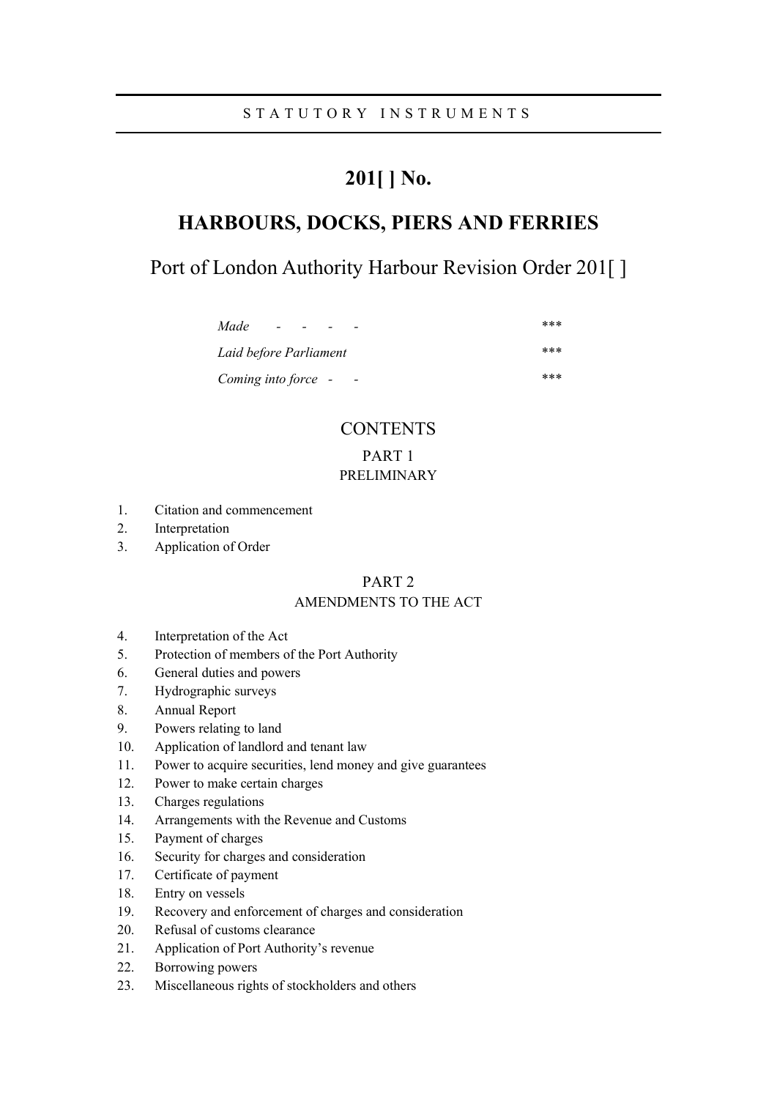# **201[ ] No.**

# **HARBOURS, DOCKS, PIERS AND FERRIES**

Port of London Authority Harbour Revision Order 201[]

| Made<br>$\overline{\phantom{0}}$                | *** |
|-------------------------------------------------|-----|
| Laid before Parliament                          | *** |
| Coming into force -<br>$\overline{\phantom{a}}$ | *** |

# **CONTENTS**

PART 1

# PRELIMINARY

- 1. Citation and commencement
- 2. Interpretation
- 3. Application of Order

# PART 2

# AMENDMENTS TO THE ACT

- 4. Interpretation of the Act
- 5. Protection of members of the Port Authority
- 6. General duties and powers
- 7. Hydrographic surveys
- 8. Annual Report
- 9. Powers relating to land
- 10. Application of landlord and tenant law
- 11. Power to acquire securities, lend money and give guarantees
- 12. Power to make certain charges
- 13. Charges regulations
- 14. Arrangements with the Revenue and Customs
- 15. Payment of charges
- 16. Security for charges and consideration
- 17. Certificate of payment
- 18. Entry on vessels
- 19. Recovery and enforcement of charges and consideration
- 20. Refusal of customs clearance
- 21. Application of Port Authority's revenue
- 22. Borrowing powers
- 23. Miscellaneous rights of stockholders and others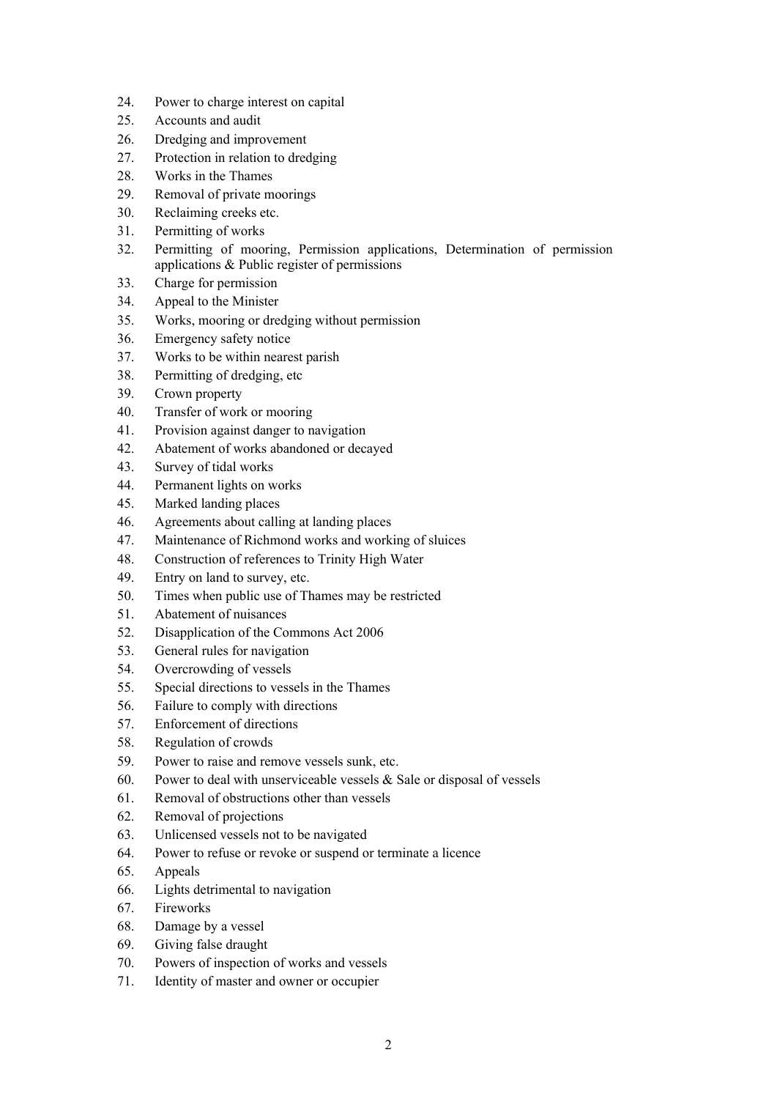- 24. Power to charge interest on capital
- 25. Accounts and audit
- 26. Dredging and improvement
- 27. Protection in relation to dredging
- 28. Works in the Thames
- 29. Removal of private moorings
- 30. Reclaiming creeks etc.
- 31. Permitting of works
- 32. Permitting of mooring, Permission applications, Determination of permission applications & Public register of permissions
- 33. Charge for permission
- 34. Appeal to the Minister
- 35. Works, mooring or dredging without permission
- 36. Emergency safety notice
- 37. Works to be within nearest parish
- 38. Permitting of dredging, etc
- 39. Crown property
- 40. Transfer of work or mooring
- 41. Provision against danger to navigation
- 42. Abatement of works abandoned or decayed
- 43. Survey of tidal works
- 44. Permanent lights on works
- 45. Marked landing places
- 46. Agreements about calling at landing places
- 47. Maintenance of Richmond works and working of sluices
- 48. Construction of references to Trinity High Water
- 49. Entry on land to survey, etc.
- 50. Times when public use of Thames may be restricted
- 51. Abatement of nuisances
- 52. Disapplication of the Commons Act 2006
- 53. General rules for navigation
- 54. Overcrowding of vessels
- 55. Special directions to vessels in the Thames
- 56. Failure to comply with directions
- 57. Enforcement of directions
- 58. Regulation of crowds
- 59. Power to raise and remove vessels sunk, etc.
- 60. Power to deal with unserviceable vessels  $\&$  Sale or disposal of vessels
- 61. Removal of obstructions other than vessels
- 62. Removal of projections
- 63. Unlicensed vessels not to be navigated
- 64. Power to refuse or revoke or suspend or terminate a licence
- 65. Appeals
- 66. Lights detrimental to navigation
- 67. Fireworks
- 68. Damage by a vessel
- 69. Giving false draught
- 70. Powers of inspection of works and vessels
- 71. Identity of master and owner or occupier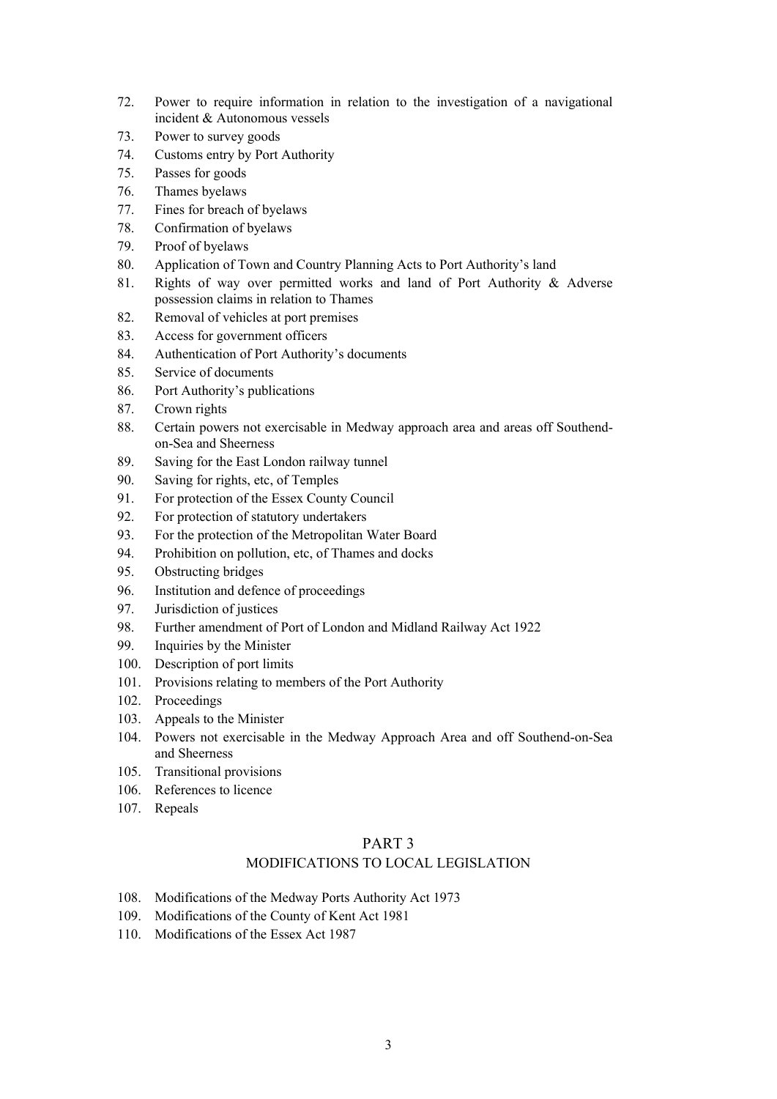- 72. Power to require information in relation to the investigation of a navigational incident & Autonomous vessels
- 73. Power to survey goods
- 74. Customs entry by Port Authority
- 75. Passes for goods
- 76. Thames byelaws
- 77. Fines for breach of byelaws
- 78. Confirmation of byelaws
- 79. Proof of byelaws
- 80. Application of Town and Country Planning Acts to Port Authority's land
- 81. Rights of way over permitted works and land of Port Authority & Adverse possession claims in relation to Thames
- 82. Removal of vehicles at port premises
- 83. Access for government officers
- 84. Authentication of Port Authority's documents
- 85. Service of documents
- 86. Port Authority's publications
- 87. Crown rights
- 88. Certain powers not exercisable in Medway approach area and areas off Southendon-Sea and Sheerness
- 89. Saving for the East London railway tunnel
- 90. Saving for rights, etc, of Temples
- 91. For protection of the Essex County Council
- 92. For protection of statutory undertakers
- 93. For the protection of the Metropolitan Water Board
- 94. Prohibition on pollution, etc, of Thames and docks
- 95. Obstructing bridges
- 96. Institution and defence of proceedings
- 97. Jurisdiction of justices
- 98. Further amendment of Port of London and Midland Railway Act 1922
- 99. Inquiries by the Minister
- 100. Description of port limits
- 101. Provisions relating to members of the Port Authority
- 102. Proceedings
- 103. Appeals to the Minister
- 104. Powers not exercisable in the Medway Approach Area and off Southend-on-Sea and Sheerness
- 105. Transitional provisions
- 106. References to licence
- 107. Repeals

# PART 3

# MODIFICATIONS TO LOCAL LEGISLATION

- 108. Modifications of the Medway Ports Authority Act 1973
- 109. Modifications of the County of Kent Act 1981
- 110. Modifications of the Essex Act 1987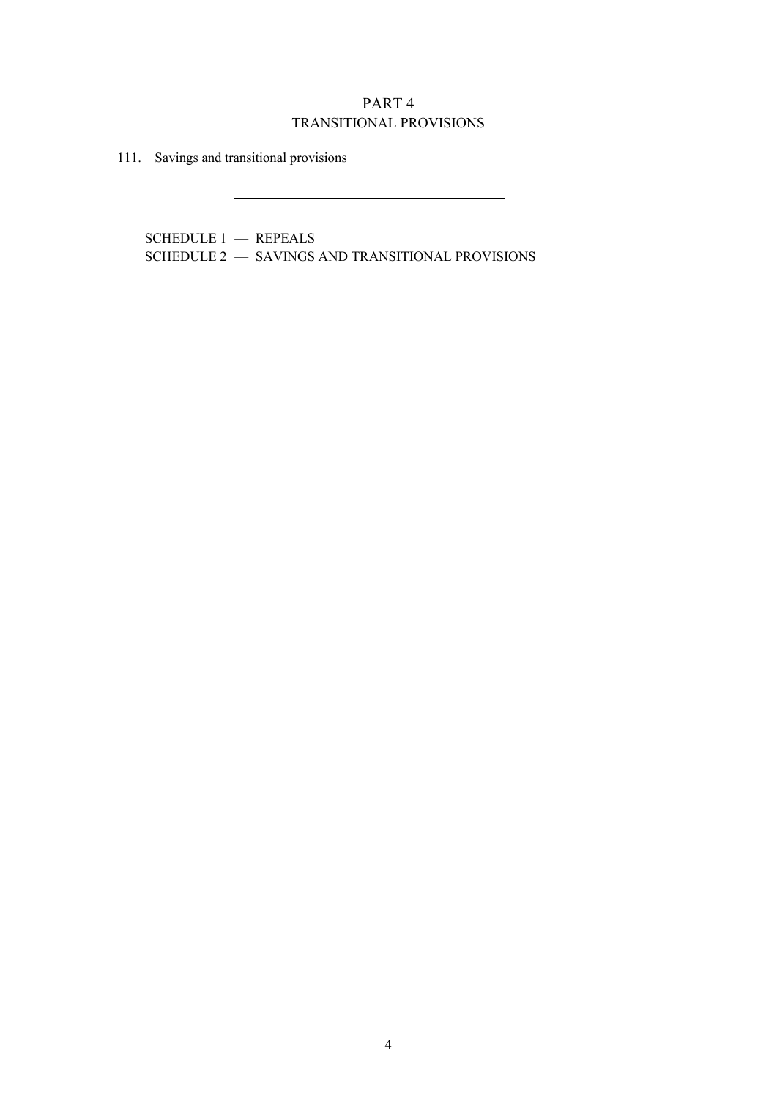# PART 4 TRANSITIONAL PROVISIONS

111. Savings and transitional provisions

SCHEDULE 1 — REPEALS SCHEDULE 2 — SAVINGS AND TRANSITIONAL PROVISIONS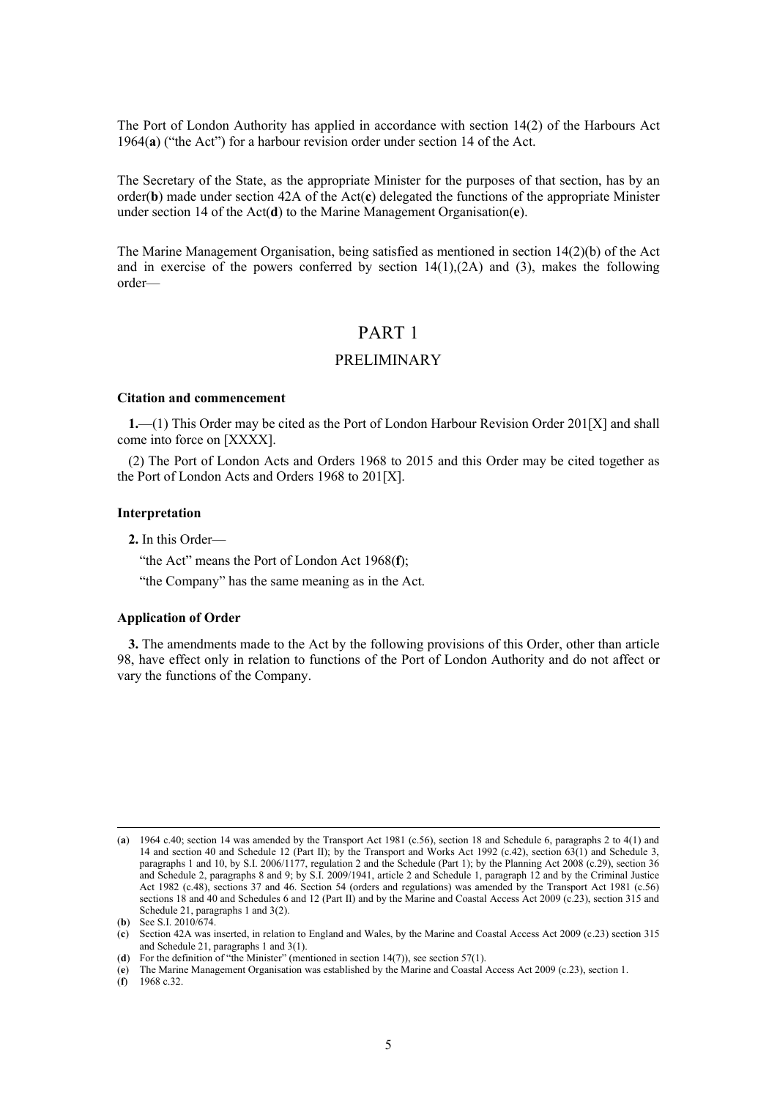The Port of London Authority has applied in accordance with section 14(2) of the Harbours Act 1964(**a**) ("the Act") for a harbour revision order under section 14 of the Act.

The Secretary of the State, as the appropriate Minister for the purposes of that section, has by an order(**b**) made under section 42A of the Act(**c**) delegated the functions of the appropriate Minister under section 14 of the Act(**d**) to the Marine Management Organisation(**e**).

The Marine Management Organisation, being satisfied as mentioned in section 14(2)(b) of the Act and in exercise of the powers conferred by section  $14(1),(2)$  and  $(3)$ , makes the following order—

# PART 1

# PRELIMINARY

#### **Citation and commencement**

**1.**—(1) This Order may be cited as the Port of London Harbour Revision Order 201[X] and shall come into force on [XXXX].

(2) The Port of London Acts and Orders 1968 to 2015 and this Order may be cited together as the Port of London Acts and Orders 1968 to 201[X].

# **Interpretation**

**2.** In this Order—

"the Act" means the Port of London Act 1968(**f**);

"the Company" has the same meaning as in the Act.

#### **Application of Order**

**3.** The amendments made to the Act by the following provisions of this Order, other than article 98, have effect only in relation to functions of the Port of London Authority and do not affect or vary the functions of the Company.

(**f**) 1968 c.32.

<sup>(</sup>**a**) 1964 c.40; section 14 was amended by the Transport Act 1981 (c.56), section 18 and Schedule 6, paragraphs 2 to 4(1) and 14 and section 40 and Schedule 12 (Part II); by the Transport and Works Act 1992 (c.42), section 63(1) and Schedule 3, paragraphs 1 and 10, by S.I. 2006/1177, regulation 2 and the Schedule (Part 1); by the Planning Act 2008 (c.29), section 36 and Schedule 2, paragraphs 8 and 9; by S.I. 2009/1941, article 2 and Schedule 1, paragraph 12 and by the Criminal Justice Act 1982 (c.48), sections 37 and 46. Section 54 (orders and regulations) was amended by the Transport Act 1981 (c.56) sections 18 and 40 and Schedules 6 and 12 (Part II) and by the Marine and Coastal Access Act 2009 (c.23), section 315 and Schedule 21, paragraphs 1 and 3(2).

<sup>(</sup>**b**) See S.I. 2010/674.

<sup>(</sup>**c**) Section 42A was inserted, in relation to England and Wales, by the Marine and Coastal Access Act 2009 (c.23) section 315 and Schedule 21, paragraphs 1 and 3(1).

<sup>(</sup>**d**) For the definition of "the Minister" (mentioned in section 14(7)), see section 57(1).

<sup>(</sup>**e**) The Marine Management Organisation was established by the Marine and Coastal Access Act 2009 (c.23), section 1.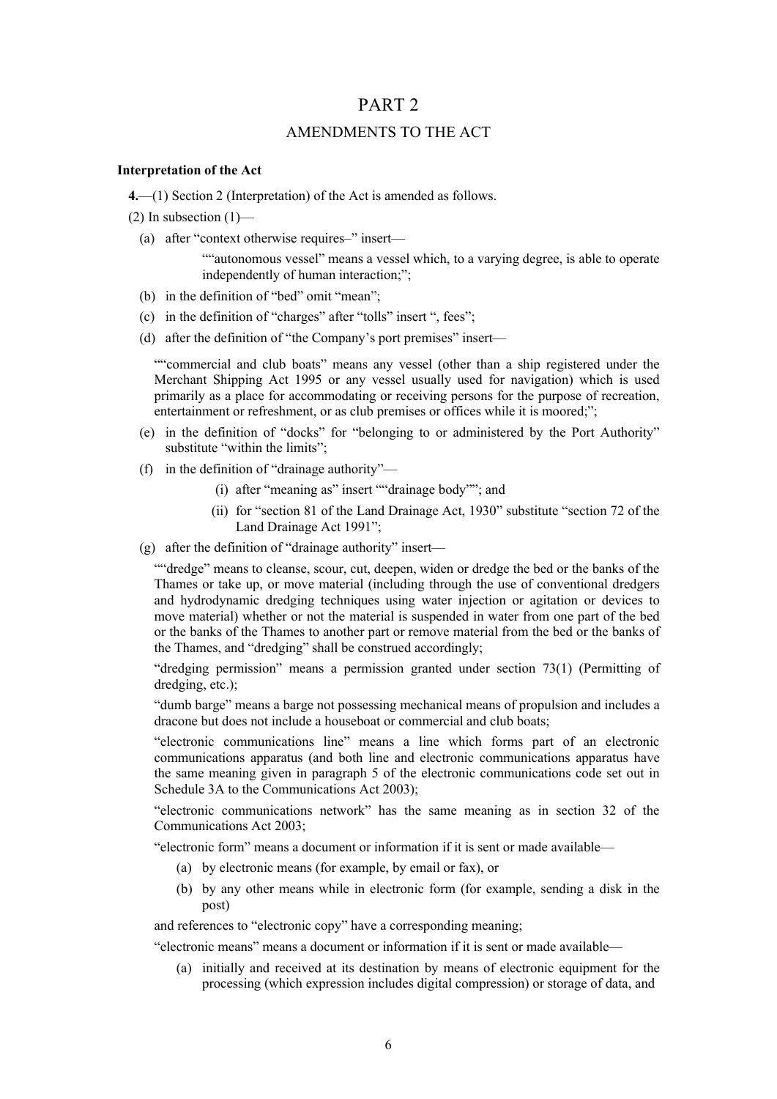# PART 2

# AMENDMENTS TO THE ACT

# **Interpretation of the Act**

**4.**—(1) Section 2 (Interpretation) of the Act is amended as follows.

 $(2)$  In subsection  $(1)$ —

(a) after "context otherwise requires–" insert—

""autonomous vessel" means a vessel which, to a varying degree, is able to operate independently of human interaction;";

- (b) in the definition of "bed" omit "mean";
- (c) in the definition of "charges" after "tolls" insert ", fees";
- (d) after the definition of "the Company's port premises" insert—

""commercial and club boats" means any vessel (other than a ship registered under the Merchant Shipping Act 1995 or any vessel usually used for navigation) which is used primarily as a place for accommodating or receiving persons for the purpose of recreation, entertainment or refreshment, or as club premises or offices while it is moored;";

- (e) in the definition of "docks" for "belonging to or administered by the Port Authority" substitute "within the limits":
- (f) in the definition of "drainage authority"—
	- (i) after "meaning as" insert ""drainage body""; and
	- (ii) for "section 81 of the Land Drainage Act, 1930" substitute "section 72 of the Land Drainage Act 1991";

(g) after the definition of "drainage authority" insert—

""dredge" means to cleanse, scour, cut, deepen, widen or dredge the bed or the banks of the Thames or take up, or move material (including through the use of conventional dredgers and hydrodynamic dredging techniques using water injection or agitation or devices to move material) whether or not the material is suspended in water from one part of the bed or the banks of the Thames to another part or remove material from the bed or the banks of the Thames, and "dredging" shall be construed accordingly;

"dredging permission" means a permission granted under section 73(1) (Permitting of dredging, etc.);

"dumb barge" means a barge not possessing mechanical means of propulsion and includes a dracone but does not include a houseboat or commercial and club boats;

"electronic communications line" means a line which forms part of an electronic communications apparatus (and both line and electronic communications apparatus have the same meaning given in paragraph 5 of the electronic communications code set out in Schedule 3A to the Communications Act 2003);

"electronic communications network" has the same meaning as in section 32 of the Communications Act 2003;

"electronic form" means a document or information if it is sent or made available—

- (a) by electronic means (for example, by email or fax), or
- (b) by any other means while in electronic form (for example, sending a disk in the post)

and references to "electronic copy" have a corresponding meaning;

"electronic means" means a document or information if it is sent or made available—

(a) initially and received at its destination by means of electronic equipment for the processing (which expression includes digital compression) or storage of data, and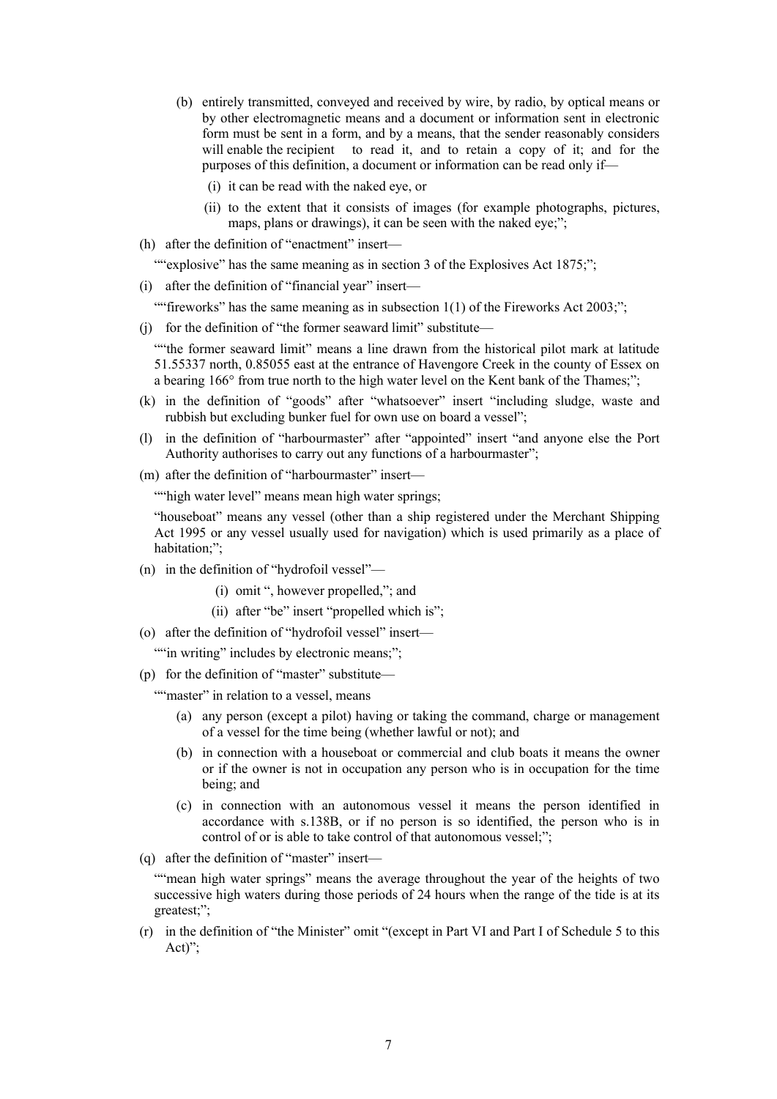- (b) entirely transmitted, conveyed and received by wire, by radio, by optical means or by other electromagnetic means and a document or information sent in electronic form must be sent in a form, and by a means, that the sender reasonably considers will enable the recipient to read it, and to retain a copy of it; and for the purposes of this definition, a document or information can be read only if—
	- (i) it can be read with the naked eye, or
	- (ii) to the extent that it consists of images (for example photographs, pictures, maps, plans or drawings), it can be seen with the naked eye;";
- (h) after the definition of "enactment" insert—

""explosive" has the same meaning as in section 3 of the Explosives Act 1875;";

(i) after the definition of "financial year" insert—

""fireworks" has the same meaning as in subsection  $1(1)$  of the Fireworks Act 2003;";

(j) for the definition of "the former seaward limit" substitute—

""the former seaward limit" means a line drawn from the historical pilot mark at latitude 51.55337 north, 0.85055 east at the entrance of Havengore Creek in the county of Essex on a bearing 166° from true north to the high water level on the Kent bank of the Thames;";

- (k) in the definition of "goods" after "whatsoever" insert "including sludge, waste and rubbish but excluding bunker fuel for own use on board a vessel";
- (l) in the definition of "harbourmaster" after "appointed" insert "and anyone else the Port Authority authorises to carry out any functions of a harbourmaster";
- (m) after the definition of "harbourmaster" insert—

""high water level" means mean high water springs;

"houseboat" means any vessel (other than a ship registered under the Merchant Shipping Act 1995 or any vessel usually used for navigation) which is used primarily as a place of habitation;";

- (n) in the definition of "hydrofoil vessel"—
	- (i) omit ", however propelled,"; and
	- (ii) after "be" insert "propelled which is";
- (o) after the definition of "hydrofoil vessel" insert—

"" in writing" includes by electronic means;";

(p) for the definition of "master" substitute—

""master" in relation to a vessel, means

- (a) any person (except a pilot) having or taking the command, charge or management of a vessel for the time being (whether lawful or not); and
- (b) in connection with a houseboat or commercial and club boats it means the owner or if the owner is not in occupation any person who is in occupation for the time being; and
- (c) in connection with an autonomous vessel it means the person identified in accordance with s.138B, or if no person is so identified, the person who is in control of or is able to take control of that autonomous vessel;";
- (q) after the definition of "master" insert—

""mean high water springs" means the average throughout the year of the heights of two successive high waters during those periods of 24 hours when the range of the tide is at its greatest;";

(r) in the definition of "the Minister" omit "(except in Part VI and Part I of Schedule 5 to this Act)";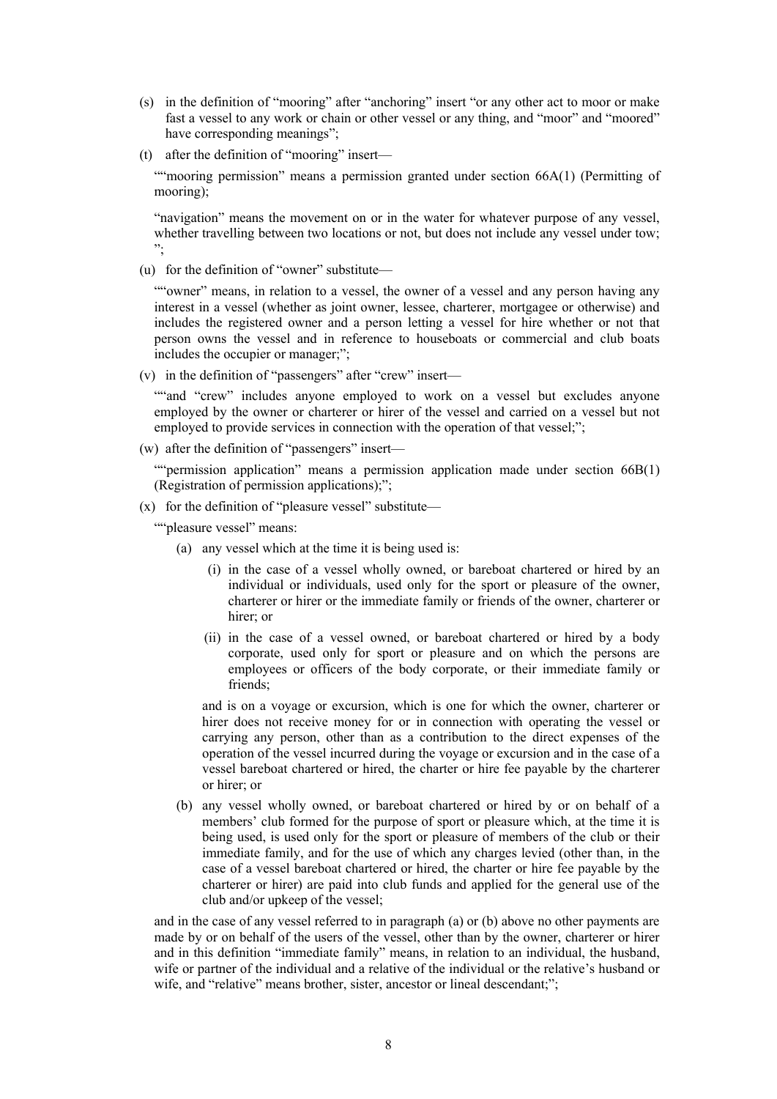- (s) in the definition of "mooring" after "anchoring" insert "or any other act to moor or make fast a vessel to any work or chain or other vessel or any thing, and "moor" and "moored" have corresponding meanings";
- (t) after the definition of "mooring" insert—

""mooring permission" means a permission granted under section 66A(1) (Permitting of mooring);

"navigation" means the movement on or in the water for whatever purpose of any vessel, whether travelling between two locations or not, but does not include any vessel under tow; ";

(u) for the definition of "owner" substitute—

""owner" means, in relation to a vessel, the owner of a vessel and any person having any interest in a vessel (whether as joint owner, lessee, charterer, mortgagee or otherwise) and includes the registered owner and a person letting a vessel for hire whether or not that person owns the vessel and in reference to houseboats or commercial and club boats includes the occupier or manager;";

(v) in the definition of "passengers" after "crew" insert—

""and "crew" includes anyone employed to work on a vessel but excludes anyone employed by the owner or charterer or hirer of the vessel and carried on a vessel but not employed to provide services in connection with the operation of that vessel;";

(w) after the definition of "passengers" insert—

""permission application" means a permission application made under section 66B(1) (Registration of permission applications);";

(x) for the definition of "pleasure vessel" substitute—

""pleasure vessel" means:

- (a) any vessel which at the time it is being used is:
	- (i) in the case of a vessel wholly owned, or bareboat chartered or hired by an individual or individuals, used only for the sport or pleasure of the owner, charterer or hirer or the immediate family or friends of the owner, charterer or hirer; or
	- (ii) in the case of a vessel owned, or bareboat chartered or hired by a body corporate, used only for sport or pleasure and on which the persons are employees or officers of the body corporate, or their immediate family or friends;

and is on a voyage or excursion, which is one for which the owner, charterer or hirer does not receive money for or in connection with operating the vessel or carrying any person, other than as a contribution to the direct expenses of the operation of the vessel incurred during the voyage or excursion and in the case of a vessel bareboat chartered or hired, the charter or hire fee payable by the charterer or hirer; or

(b) any vessel wholly owned, or bareboat chartered or hired by or on behalf of a members' club formed for the purpose of sport or pleasure which, at the time it is being used, is used only for the sport or pleasure of members of the club or their immediate family, and for the use of which any charges levied (other than, in the case of a vessel bareboat chartered or hired, the charter or hire fee payable by the charterer or hirer) are paid into club funds and applied for the general use of the club and/or upkeep of the vessel;

and in the case of any vessel referred to in paragraph (a) or (b) above no other payments are made by or on behalf of the users of the vessel, other than by the owner, charterer or hirer and in this definition "immediate family" means, in relation to an individual, the husband, wife or partner of the individual and a relative of the individual or the relative's husband or wife, and "relative" means brother, sister, ancestor or lineal descendant;";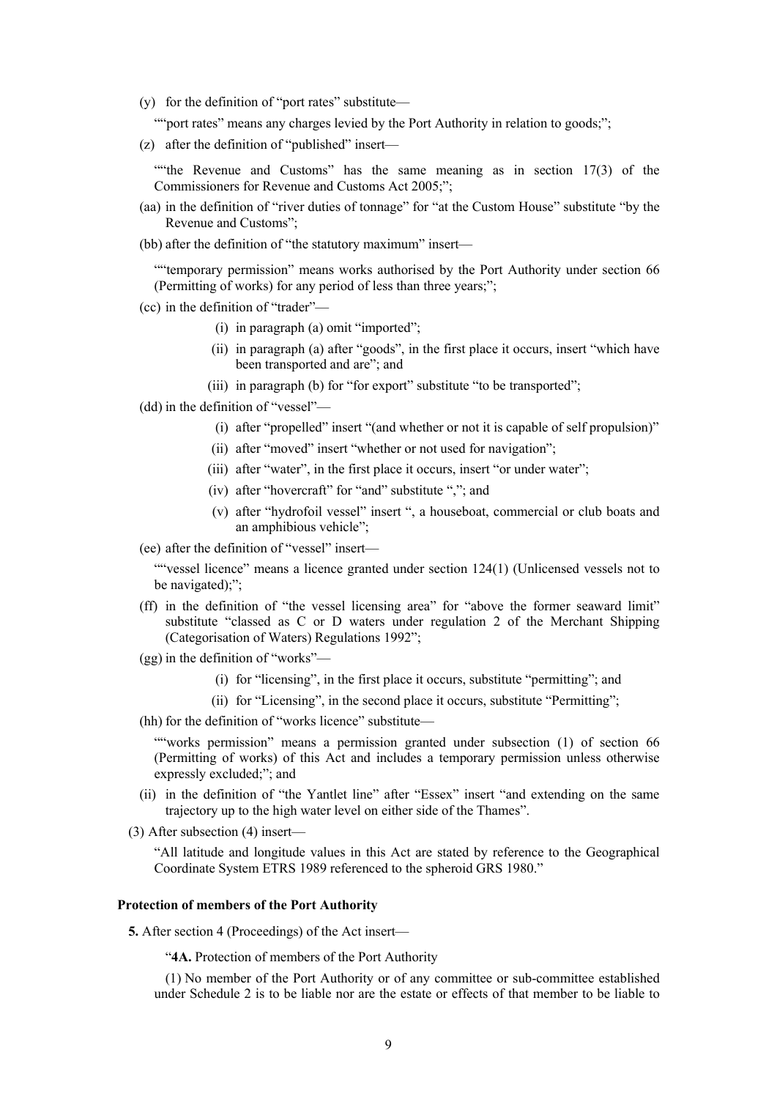(y) for the definition of "port rates" substitute—

""port rates" means any charges levied by the Port Authority in relation to goods;";

(z) after the definition of "published" insert—

""the Revenue and Customs" has the same meaning as in section  $17(3)$  of the Commissioners for Revenue and Customs Act 2005;";

- (aa) in the definition of "river duties of tonnage" for "at the Custom House" substitute "by the Revenue and Customs";
- (bb) after the definition of "the statutory maximum" insert—

""temporary permission" means works authorised by the Port Authority under section 66 (Permitting of works) for any period of less than three years;";

- (cc) in the definition of "trader"—
	- (i) in paragraph (a) omit "imported";
	- (ii) in paragraph (a) after "goods", in the first place it occurs, insert "which have been transported and are"; and
	- (iii) in paragraph (b) for "for export" substitute "to be transported";
- (dd) in the definition of "vessel"—
	- (i) after "propelled" insert "(and whether or not it is capable of self propulsion)"
	- (ii) after "moved" insert "whether or not used for navigation";
	- (iii) after "water", in the first place it occurs, insert "or under water";
	- (iv) after "hovercraft" for "and" substitute ","; and
	- (v) after "hydrofoil vessel" insert ", a houseboat, commercial or club boats and an amphibious vehicle";

(ee) after the definition of "vessel" insert—

""vessel licence" means a licence granted under section 124(1) (Unlicensed vessels not to be navigated);";

- (ff) in the definition of "the vessel licensing area" for "above the former seaward limit" substitute "classed as C or D waters under regulation 2 of the Merchant Shipping (Categorisation of Waters) Regulations 1992";
- (gg) in the definition of "works"—
	- (i) for "licensing", in the first place it occurs, substitute "permitting"; and
	- (ii) for "Licensing", in the second place it occurs, substitute "Permitting";
- (hh) for the definition of "works licence" substitute—

""works permission" means a permission granted under subsection (1) of section 66 (Permitting of works) of this Act and includes a temporary permission unless otherwise expressly excluded;"; and

- (ii) in the definition of "the Yantlet line" after "Essex" insert "and extending on the same trajectory up to the high water level on either side of the Thames".
- (3) After subsection (4) insert—

"All latitude and longitude values in this Act are stated by reference to the Geographical Coordinate System ETRS 1989 referenced to the spheroid GRS 1980."

# **Protection of members of the Port Authority**

**5.** After section 4 (Proceedings) of the Act insert—

"**4A.** Protection of members of the Port Authority

(1) No member of the Port Authority or of any committee or sub-committee established under Schedule 2 is to be liable nor are the estate or effects of that member to be liable to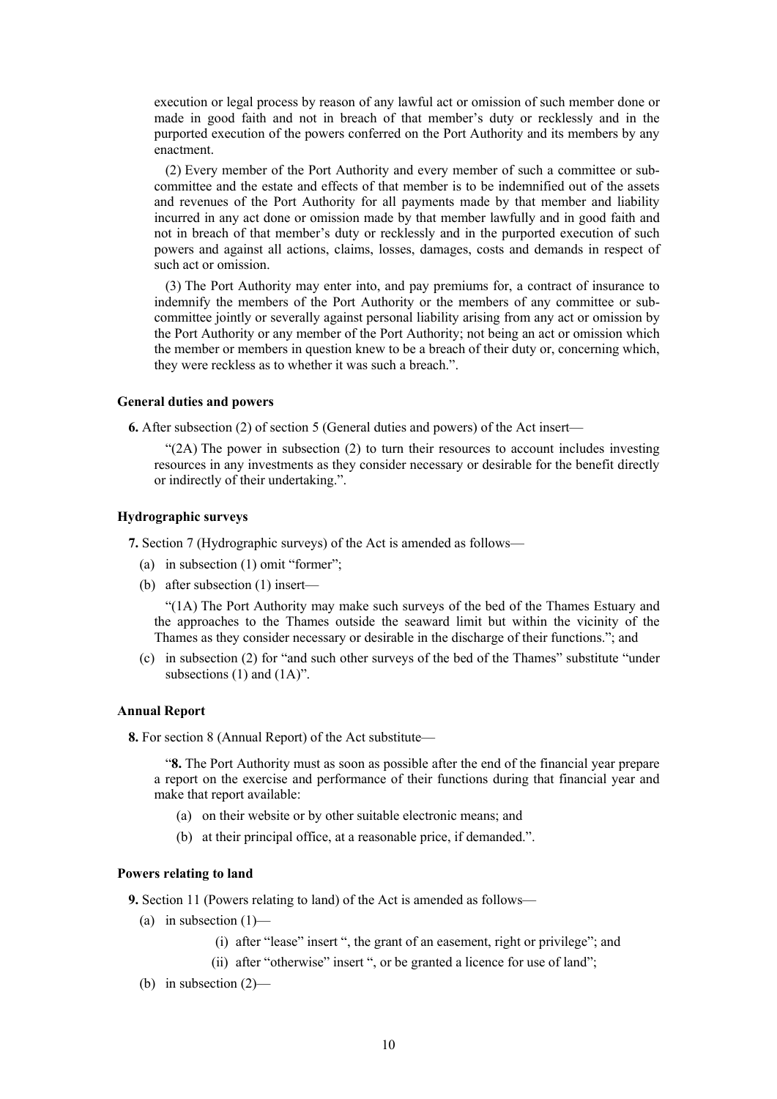execution or legal process by reason of any lawful act or omission of such member done or made in good faith and not in breach of that member's duty or recklessly and in the purported execution of the powers conferred on the Port Authority and its members by any enactment.

(2) Every member of the Port Authority and every member of such a committee or subcommittee and the estate and effects of that member is to be indemnified out of the assets and revenues of the Port Authority for all payments made by that member and liability incurred in any act done or omission made by that member lawfully and in good faith and not in breach of that member's duty or recklessly and in the purported execution of such powers and against all actions, claims, losses, damages, costs and demands in respect of such act or omission.

(3) The Port Authority may enter into, and pay premiums for, a contract of insurance to indemnify the members of the Port Authority or the members of any committee or subcommittee jointly or severally against personal liability arising from any act or omission by the Port Authority or any member of the Port Authority; not being an act or omission which the member or members in question knew to be a breach of their duty or, concerning which, they were reckless as to whether it was such a breach.".

#### **General duties and powers**

**6.** After subsection (2) of section 5 (General duties and powers) of the Act insert—

"(2A) The power in subsection (2) to turn their resources to account includes investing resources in any investments as they consider necessary or desirable for the benefit directly or indirectly of their undertaking.".

# **Hydrographic surveys**

**7.** Section 7 (Hydrographic surveys) of the Act is amended as follows—

- (a) in subsection (1) omit "former";
- (b) after subsection (1) insert—

"(1A) The Port Authority may make such surveys of the bed of the Thames Estuary and the approaches to the Thames outside the seaward limit but within the vicinity of the Thames as they consider necessary or desirable in the discharge of their functions."; and

(c) in subsection (2) for "and such other surveys of the bed of the Thames" substitute "under subsections  $(1)$  and  $(1A)$ ".

# **Annual Report**

**8.** For section 8 (Annual Report) of the Act substitute—

"**8.** The Port Authority must as soon as possible after the end of the financial year prepare a report on the exercise and performance of their functions during that financial year and make that report available:

- (a) on their website or by other suitable electronic means; and
- (b) at their principal office, at a reasonable price, if demanded.".

# **Powers relating to land**

**9.** Section 11 (Powers relating to land) of the Act is amended as follows—

- (a) in subsection  $(1)$ 
	- (i) after "lease" insert ", the grant of an easement, right or privilege"; and
	- (ii) after "otherwise" insert ", or be granted a licence for use of land";
- (b) in subsection (2)—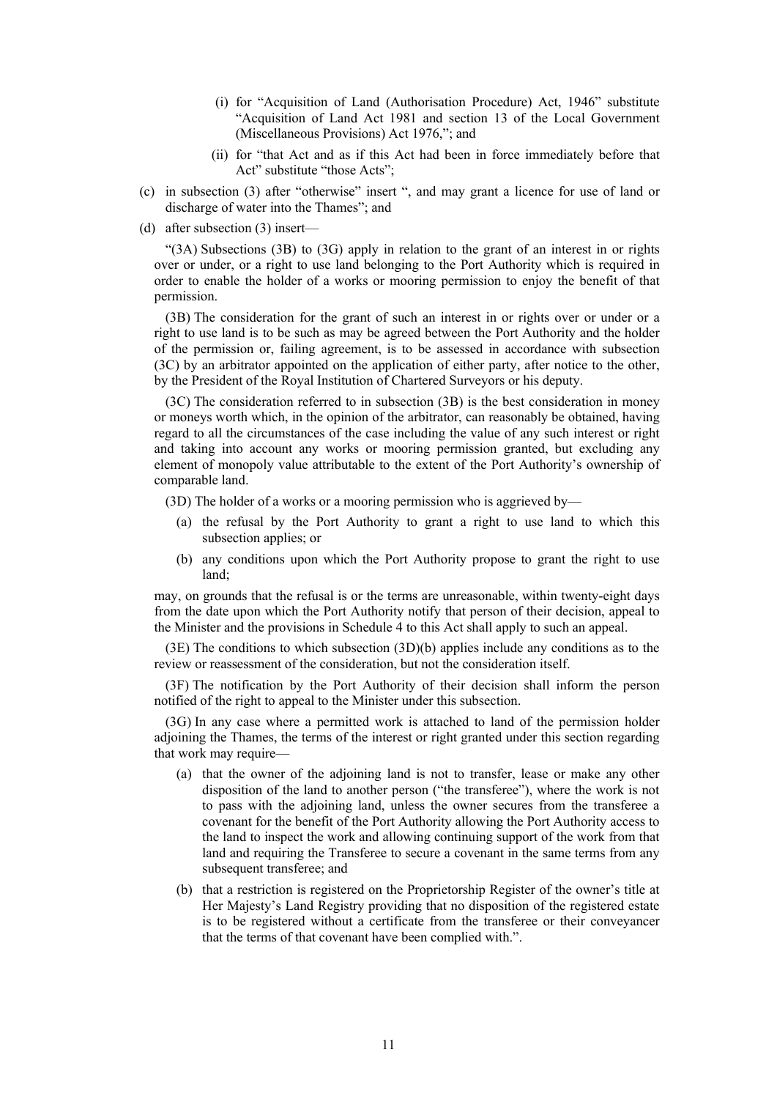- (i) for "Acquisition of Land (Authorisation Procedure) Act, 1946" substitute "Acquisition of Land Act 1981 and section 13 of the Local Government (Miscellaneous Provisions) Act 1976,"; and
- (ii) for "that Act and as if this Act had been in force immediately before that Act" substitute "those Acts";
- (c) in subsection (3) after "otherwise" insert ", and may grant a licence for use of land or discharge of water into the Thames"; and
- (d) after subsection (3) insert—

"(3A) Subsections (3B) to (3G) apply in relation to the grant of an interest in or rights over or under, or a right to use land belonging to the Port Authority which is required in order to enable the holder of a works or mooring permission to enjoy the benefit of that permission.

(3B) The consideration for the grant of such an interest in or rights over or under or a right to use land is to be such as may be agreed between the Port Authority and the holder of the permission or, failing agreement, is to be assessed in accordance with subsection (3C) by an arbitrator appointed on the application of either party, after notice to the other, by the President of the Royal Institution of Chartered Surveyors or his deputy.

(3C) The consideration referred to in subsection (3B) is the best consideration in money or moneys worth which, in the opinion of the arbitrator, can reasonably be obtained, having regard to all the circumstances of the case including the value of any such interest or right and taking into account any works or mooring permission granted, but excluding any element of monopoly value attributable to the extent of the Port Authority's ownership of comparable land.

(3D) The holder of a works or a mooring permission who is aggrieved by—

- (a) the refusal by the Port Authority to grant a right to use land to which this subsection applies; or
- (b) any conditions upon which the Port Authority propose to grant the right to use land;

may, on grounds that the refusal is or the terms are unreasonable, within twenty-eight days from the date upon which the Port Authority notify that person of their decision, appeal to the Minister and the provisions in Schedule 4 to this Act shall apply to such an appeal.

(3E) The conditions to which subsection (3D)(b) applies include any conditions as to the review or reassessment of the consideration, but not the consideration itself.

(3F) The notification by the Port Authority of their decision shall inform the person notified of the right to appeal to the Minister under this subsection.

(3G) In any case where a permitted work is attached to land of the permission holder adjoining the Thames, the terms of the interest or right granted under this section regarding that work may require—

- (a) that the owner of the adjoining land is not to transfer, lease or make any other disposition of the land to another person ("the transferee"), where the work is not to pass with the adjoining land, unless the owner secures from the transferee a covenant for the benefit of the Port Authority allowing the Port Authority access to the land to inspect the work and allowing continuing support of the work from that land and requiring the Transferee to secure a covenant in the same terms from any subsequent transferee; and
- (b) that a restriction is registered on the Proprietorship Register of the owner's title at Her Majesty's Land Registry providing that no disposition of the registered estate is to be registered without a certificate from the transferee or their conveyancer that the terms of that covenant have been complied with.".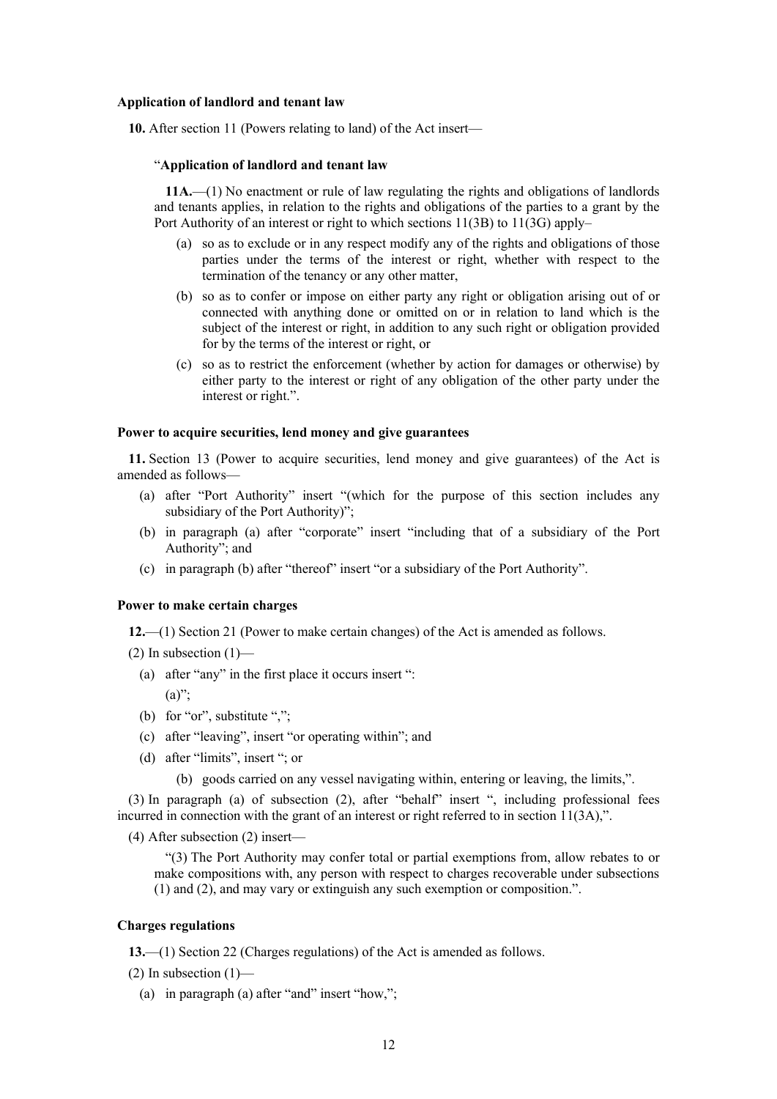#### **Application of landlord and tenant law**

**10.** After section 11 (Powers relating to land) of the Act insert—

#### "**Application of landlord and tenant law**

**11A.**—(1) No enactment or rule of law regulating the rights and obligations of landlords and tenants applies, in relation to the rights and obligations of the parties to a grant by the Port Authority of an interest or right to which sections 11(3B) to 11(3G) apply–

- (a) so as to exclude or in any respect modify any of the rights and obligations of those parties under the terms of the interest or right, whether with respect to the termination of the tenancy or any other matter,
- (b) so as to confer or impose on either party any right or obligation arising out of or connected with anything done or omitted on or in relation to land which is the subject of the interest or right, in addition to any such right or obligation provided for by the terms of the interest or right, or
- (c) so as to restrict the enforcement (whether by action for damages or otherwise) by either party to the interest or right of any obligation of the other party under the interest or right.".

## **Power to acquire securities, lend money and give guarantees**

**11.** Section 13 (Power to acquire securities, lend money and give guarantees) of the Act is amended as follows—

- (a) after "Port Authority" insert "(which for the purpose of this section includes any subsidiary of the Port Authority)";
- (b) in paragraph (a) after "corporate" insert "including that of a subsidiary of the Port Authority"; and
- (c) in paragraph (b) after "thereof" insert "or a subsidiary of the Port Authority".

# **Power to make certain charges**

**12.**—(1) Section 21 (Power to make certain changes) of the Act is amended as follows.

- $(2)$  In subsection  $(1)$ 
	- (a) after "any" in the first place it occurs insert ":

 $(a)$ ":

- (b) for "or", substitute ",";
- (c) after "leaving", insert "or operating within"; and
- (d) after "limits", insert "; or
	- (b) goods carried on any vessel navigating within, entering or leaving, the limits,".

(3) In paragraph (a) of subsection (2), after "behalf" insert ", including professional fees incurred in connection with the grant of an interest or right referred to in section 11(3A),".

(4) After subsection (2) insert—

"(3) The Port Authority may confer total or partial exemptions from, allow rebates to or make compositions with, any person with respect to charges recoverable under subsections (1) and (2), and may vary or extinguish any such exemption or composition.".

#### **Charges regulations**

**13.**—(1) Section 22 (Charges regulations) of the Act is amended as follows.

 $(2)$  In subsection  $(1)$ —

(a) in paragraph (a) after "and" insert "how,";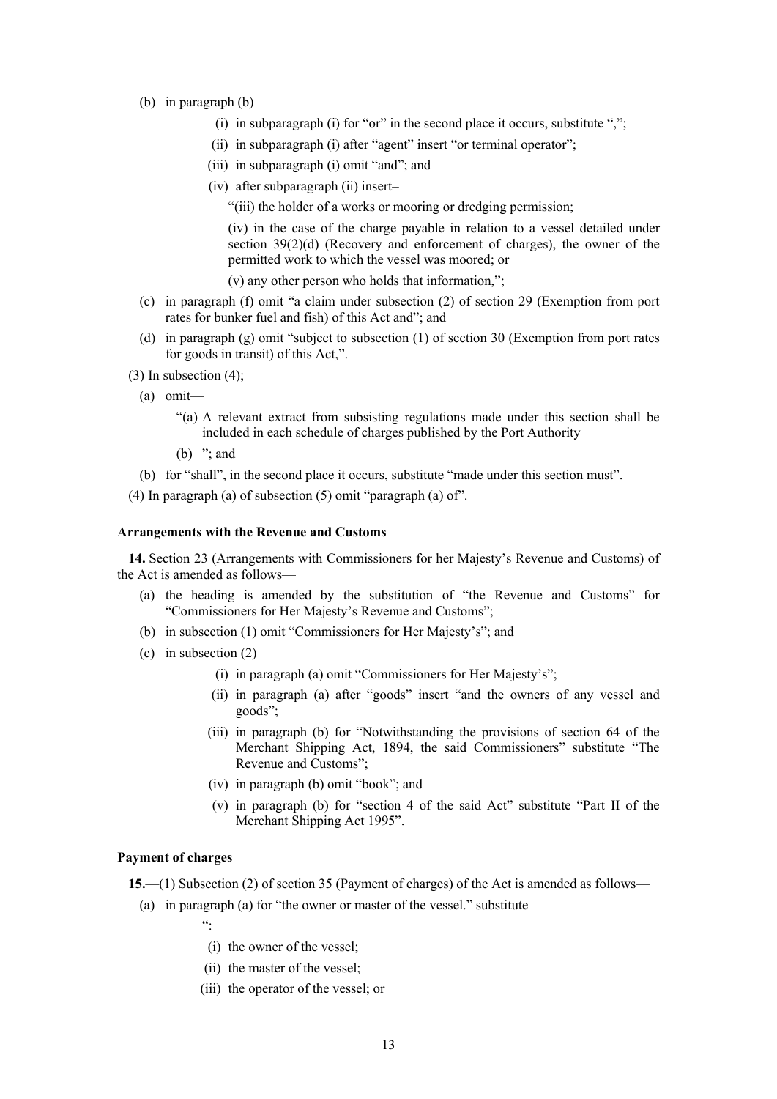- (b) in paragraph (b)–
	- (i) in subparagraph (i) for "or" in the second place it occurs, substitute " $\ddot{ }$ ";
	- (ii) in subparagraph (i) after "agent" insert "or terminal operator";
	- (iii) in subparagraph (i) omit "and"; and
	- (iv) after subparagraph (ii) insert–

"(iii) the holder of a works or mooring or dredging permission;

(iv) in the case of the charge payable in relation to a vessel detailed under section 39(2)(d) (Recovery and enforcement of charges), the owner of the permitted work to which the vessel was moored; or

(v) any other person who holds that information,";

- (c) in paragraph (f) omit "a claim under subsection (2) of section 29 (Exemption from port rates for bunker fuel and fish) of this Act and"; and
- (d) in paragraph (g) omit "subject to subsection (1) of section 30 (Exemption from port rates for goods in transit) of this Act,".
- (3) In subsection (4);
	- (a) omit—
		- "(a) A relevant extract from subsisting regulations made under this section shall be included in each schedule of charges published by the Port Authority
		- (b)  $"$ ; and
	- (b) for "shall", in the second place it occurs, substitute "made under this section must".
- (4) In paragraph (a) of subsection (5) omit "paragraph (a) of".

#### **Arrangements with the Revenue and Customs**

**14.** Section 23 (Arrangements with Commissioners for her Majesty's Revenue and Customs) of the Act is amended as follows—

- (a) the heading is amended by the substitution of "the Revenue and Customs" for "Commissioners for Her Majesty's Revenue and Customs";
- (b) in subsection (1) omit "Commissioners for Her Majesty's"; and
- (c) in subsection  $(2)$ 
	- (i) in paragraph (a) omit "Commissioners for Her Majesty's";
	- (ii) in paragraph (a) after "goods" insert "and the owners of any vessel and goods";
	- (iii) in paragraph (b) for "Notwithstanding the provisions of section 64 of the Merchant Shipping Act, 1894, the said Commissioners" substitute "The Revenue and Customs";
	- (iv) in paragraph (b) omit "book"; and
	- (v) in paragraph (b) for "section 4 of the said Act" substitute "Part II of the Merchant Shipping Act 1995".

# **Payment of charges**

**15.**—(1) Subsection (2) of section 35 (Payment of charges) of the Act is amended as follows—

- (a) in paragraph (a) for "the owner or master of the vessel." substitute–
	- ":
	- (i) the owner of the vessel;
	- (ii) the master of the vessel;
	- (iii) the operator of the vessel; or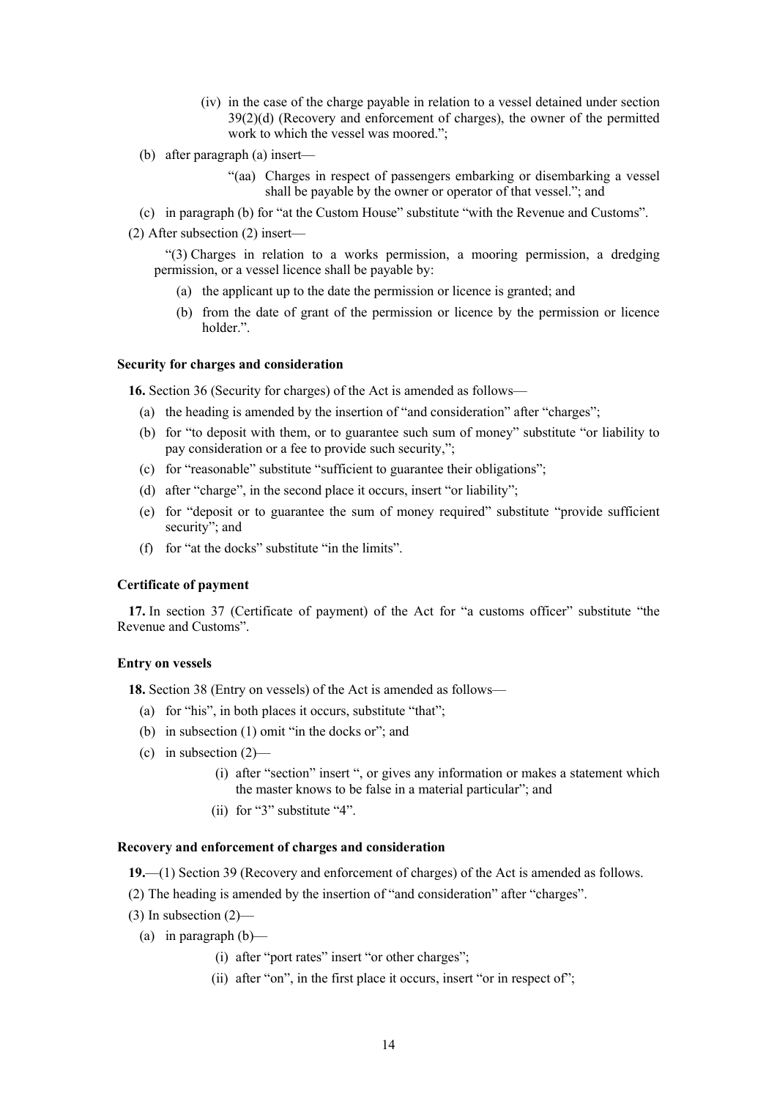- (iv) in the case of the charge payable in relation to a vessel detained under section 39(2)(d) (Recovery and enforcement of charges), the owner of the permitted work to which the vessel was moored.";
- (b) after paragraph (a) insert—
	- "(aa) Charges in respect of passengers embarking or disembarking a vessel shall be payable by the owner or operator of that vessel."; and
- (c) in paragraph (b) for "at the Custom House" substitute "with the Revenue and Customs".
- (2) After subsection (2) insert—

"(3) Charges in relation to a works permission, a mooring permission, a dredging permission, or a vessel licence shall be payable by:

- (a) the applicant up to the date the permission or licence is granted; and
- (b) from the date of grant of the permission or licence by the permission or licence holder.".

#### **Security for charges and consideration**

**16.** Section 36 (Security for charges) of the Act is amended as follows—

- (a) the heading is amended by the insertion of "and consideration" after "charges";
- (b) for "to deposit with them, or to guarantee such sum of money" substitute "or liability to pay consideration or a fee to provide such security,";
- (c) for "reasonable" substitute "sufficient to guarantee their obligations";
- (d) after "charge", in the second place it occurs, insert "or liability";
- (e) for "deposit or to guarantee the sum of money required" substitute "provide sufficient security"; and
- (f) for "at the docks" substitute "in the limits".

#### **Certificate of payment**

**17.** In section 37 (Certificate of payment) of the Act for "a customs officer" substitute "the Revenue and Customs".

## **Entry on vessels**

**18.** Section 38 (Entry on vessels) of the Act is amended as follows—

- (a) for "his", in both places it occurs, substitute "that";
- (b) in subsection (1) omit "in the docks or"; and
- (c) in subsection  $(2)$ 
	- (i) after "section" insert ", or gives any information or makes a statement which the master knows to be false in a material particular"; and
	- (ii) for "3" substitute "4".

# **Recovery and enforcement of charges and consideration**

**19.**—(1) Section 39 (Recovery and enforcement of charges) of the Act is amended as follows.

- (2) The heading is amended by the insertion of "and consideration" after "charges".
- $(3)$  In subsection  $(2)$ 
	- (a) in paragraph  $(b)$ 
		- (i) after "port rates" insert "or other charges";
		- (ii) after "on", in the first place it occurs, insert "or in respect of";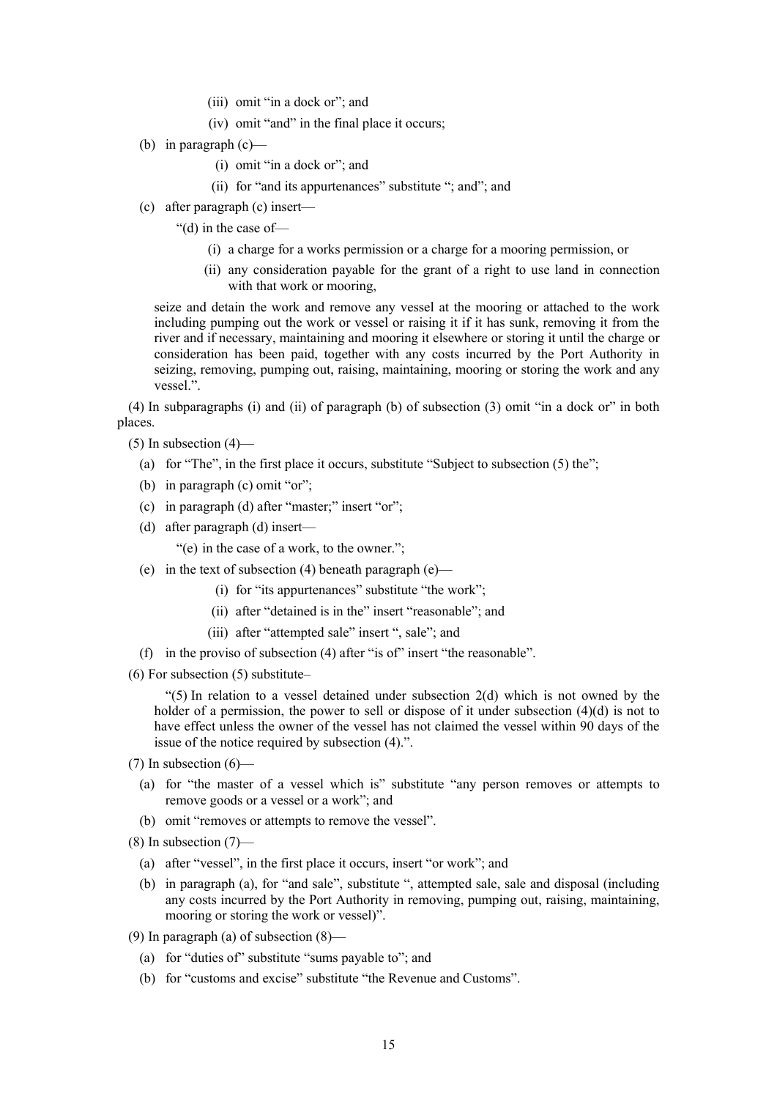- (iii) omit "in a dock or"; and
- (iv) omit "and" in the final place it occurs;
- (b) in paragraph  $(c)$ 
	- (i) omit "in a dock or"; and
	- (ii) for "and its appurtenances" substitute "; and"; and
- (c) after paragraph (c) insert—
	- "(d) in the case of—
		- (i) a charge for a works permission or a charge for a mooring permission, or
		- (ii) any consideration payable for the grant of a right to use land in connection with that work or mooring,

seize and detain the work and remove any vessel at the mooring or attached to the work including pumping out the work or vessel or raising it if it has sunk, removing it from the river and if necessary, maintaining and mooring it elsewhere or storing it until the charge or consideration has been paid, together with any costs incurred by the Port Authority in seizing, removing, pumping out, raising, maintaining, mooring or storing the work and any vessel.".

(4) In subparagraphs (i) and (ii) of paragraph (b) of subsection (3) omit "in a dock or" in both places.

 $(5)$  In subsection  $(4)$ —

- (a) for "The", in the first place it occurs, substitute "Subject to subsection (5) the";
- (b) in paragraph (c) omit "or";
- (c) in paragraph (d) after "master;" insert "or";
- (d) after paragraph (d) insert—
	- "(e) in the case of a work, to the owner.";
- (e) in the text of subsection (4) beneath paragraph (e)—
	- (i) for "its appurtenances" substitute "the work";
	- (ii) after "detained is in the" insert "reasonable"; and
	- (iii) after "attempted sale" insert ", sale"; and
- (f) in the proviso of subsection (4) after "is of" insert "the reasonable".
- (6) For subsection (5) substitute–

" $(5)$  In relation to a vessel detained under subsection 2(d) which is not owned by the holder of a permission, the power to sell or dispose of it under subsection  $(4)(d)$  is not to have effect unless the owner of the vessel has not claimed the vessel within 90 days of the issue of the notice required by subsection (4).".

- $(7)$  In subsection  $(6)$ 
	- (a) for "the master of a vessel which is" substitute "any person removes or attempts to remove goods or a vessel or a work"; and
	- (b) omit "removes or attempts to remove the vessel".
- $(8)$  In subsection  $(7)$ 
	- (a) after "vessel", in the first place it occurs, insert "or work"; and
	- (b) in paragraph (a), for "and sale", substitute ", attempted sale, sale and disposal (including any costs incurred by the Port Authority in removing, pumping out, raising, maintaining, mooring or storing the work or vessel)".
- (9) In paragraph (a) of subsection (8)—
	- (a) for "duties of" substitute "sums payable to"; and
	- (b) for "customs and excise" substitute "the Revenue and Customs".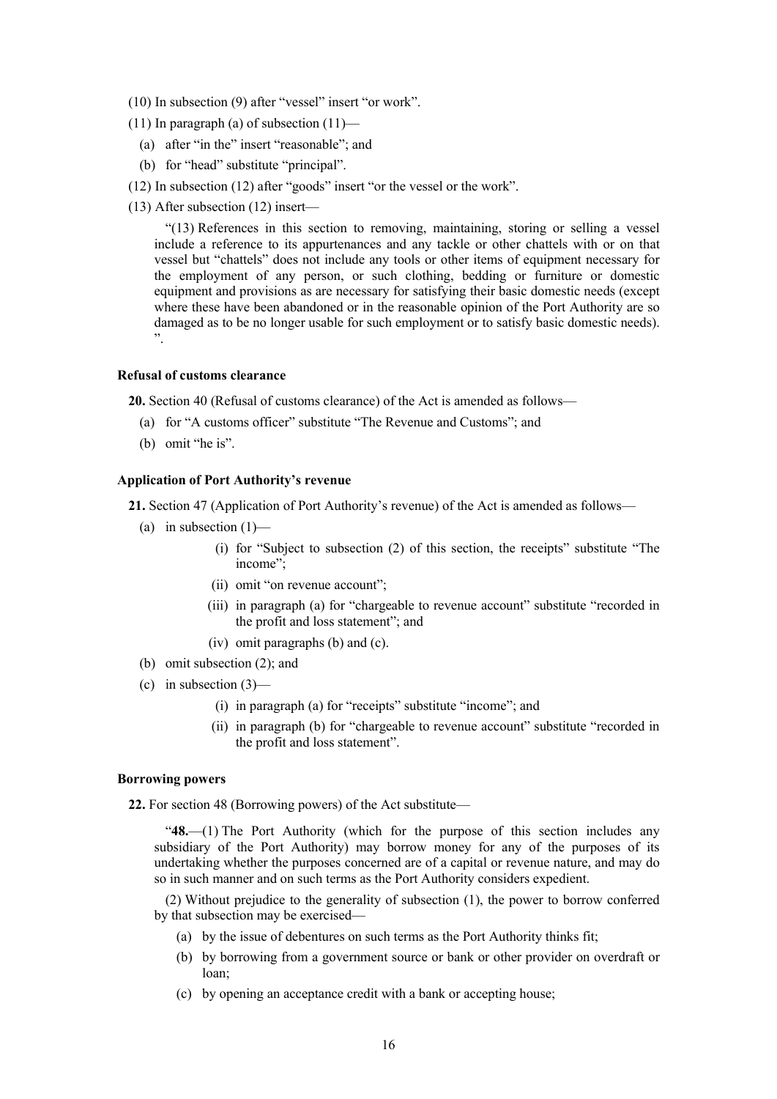- (10) In subsection (9) after "vessel" insert "or work".
- (11) In paragraph (a) of subsection  $(11)$ 
	- (a) after "in the" insert "reasonable"; and
	- (b) for "head" substitute "principal".
- (12) In subsection (12) after "goods" insert "or the vessel or the work".
- (13) After subsection (12) insert—

"(13) References in this section to removing, maintaining, storing or selling a vessel include a reference to its appurtenances and any tackle or other chattels with or on that vessel but "chattels" does not include any tools or other items of equipment necessary for the employment of any person, or such clothing, bedding or furniture or domestic equipment and provisions as are necessary for satisfying their basic domestic needs (except where these have been abandoned or in the reasonable opinion of the Port Authority are so damaged as to be no longer usable for such employment or to satisfy basic domestic needs). ".

# **Refusal of customs clearance**

**20.** Section 40 (Refusal of customs clearance) of the Act is amended as follows—

- (a) for "A customs officer" substitute "The Revenue and Customs"; and
- (b) omit "he is".

# **Application of Port Authority's revenue**

**21.** Section 47 (Application of Port Authority's revenue) of the Act is amended as follows—

- (a) in subsection  $(1)$ 
	- (i) for "Subject to subsection (2) of this section, the receipts" substitute "The income";
	- (ii) omit "on revenue account";
	- (iii) in paragraph (a) for "chargeable to revenue account" substitute "recorded in the profit and loss statement"; and
	- (iv) omit paragraphs (b) and (c).
- (b) omit subsection (2); and
- (c) in subsection  $(3)$ 
	- (i) in paragraph (a) for "receipts" substitute "income"; and
	- (ii) in paragraph (b) for "chargeable to revenue account" substitute "recorded in the profit and loss statement".

#### **Borrowing powers**

**22.** For section 48 (Borrowing powers) of the Act substitute—

"**48.**—(1) The Port Authority (which for the purpose of this section includes any subsidiary of the Port Authority) may borrow money for any of the purposes of its undertaking whether the purposes concerned are of a capital or revenue nature, and may do so in such manner and on such terms as the Port Authority considers expedient.

(2) Without prejudice to the generality of subsection (1), the power to borrow conferred by that subsection may be exercised—

- (a) by the issue of debentures on such terms as the Port Authority thinks fit;
- (b) by borrowing from a government source or bank or other provider on overdraft or loan;
- (c) by opening an acceptance credit with a bank or accepting house;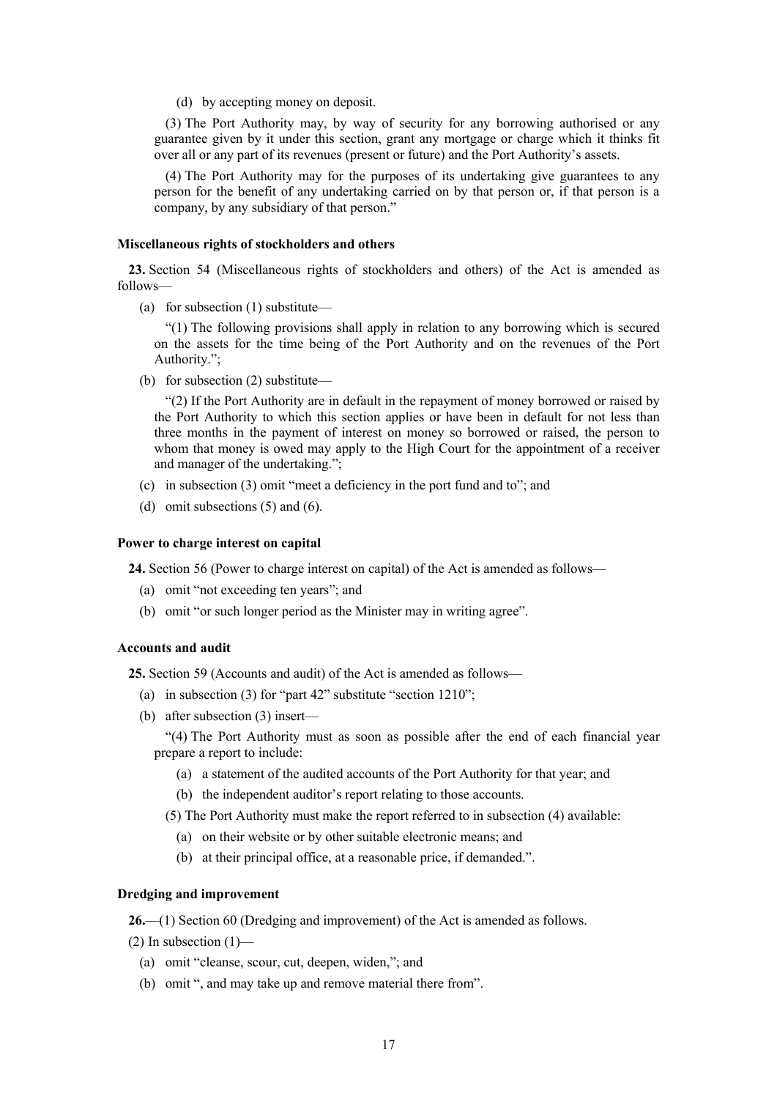(d) by accepting money on deposit.

(3) The Port Authority may, by way of security for any borrowing authorised or any guarantee given by it under this section, grant any mortgage or charge which it thinks fit over all or any part of its revenues (present or future) and the Port Authority's assets.

(4) The Port Authority may for the purposes of its undertaking give guarantees to any person for the benefit of any undertaking carried on by that person or, if that person is a company, by any subsidiary of that person."

## **Miscellaneous rights of stockholders and others**

**23.** Section 54 (Miscellaneous rights of stockholders and others) of the Act is amended as follows—

(a) for subsection (1) substitute—

"(1) The following provisions shall apply in relation to any borrowing which is secured on the assets for the time being of the Port Authority and on the revenues of the Port Authority.";

(b) for subsection (2) substitute—

"(2) If the Port Authority are in default in the repayment of money borrowed or raised by the Port Authority to which this section applies or have been in default for not less than three months in the payment of interest on money so borrowed or raised, the person to whom that money is owed may apply to the High Court for the appointment of a receiver and manager of the undertaking.";

- (c) in subsection (3) omit "meet a deficiency in the port fund and to"; and
- (d) omit subsections (5) and (6).

#### **Power to charge interest on capital**

**24.** Section 56 (Power to charge interest on capital) of the Act is amended as follows—

- (a) omit "not exceeding ten years"; and
- (b) omit "or such longer period as the Minister may in writing agree".

#### **Accounts and audit**

**25.** Section 59 (Accounts and audit) of the Act is amended as follows—

- (a) in subsection (3) for "part 42" substitute "section 1210";
- (b) after subsection (3) insert—

"(4) The Port Authority must as soon as possible after the end of each financial year prepare a report to include:

- (a) a statement of the audited accounts of the Port Authority for that year; and
- (b) the independent auditor's report relating to those accounts.
- (5) The Port Authority must make the report referred to in subsection (4) available:
	- (a) on their website or by other suitable electronic means; and
	- (b) at their principal office, at a reasonable price, if demanded.".

# **Dredging and improvement**

**26.**—(1) Section 60 (Dredging and improvement) of the Act is amended as follows.

 $(2)$  In subsection  $(1)$ —

- (a) omit "cleanse, scour, cut, deepen, widen,"; and
- (b) omit ", and may take up and remove material there from".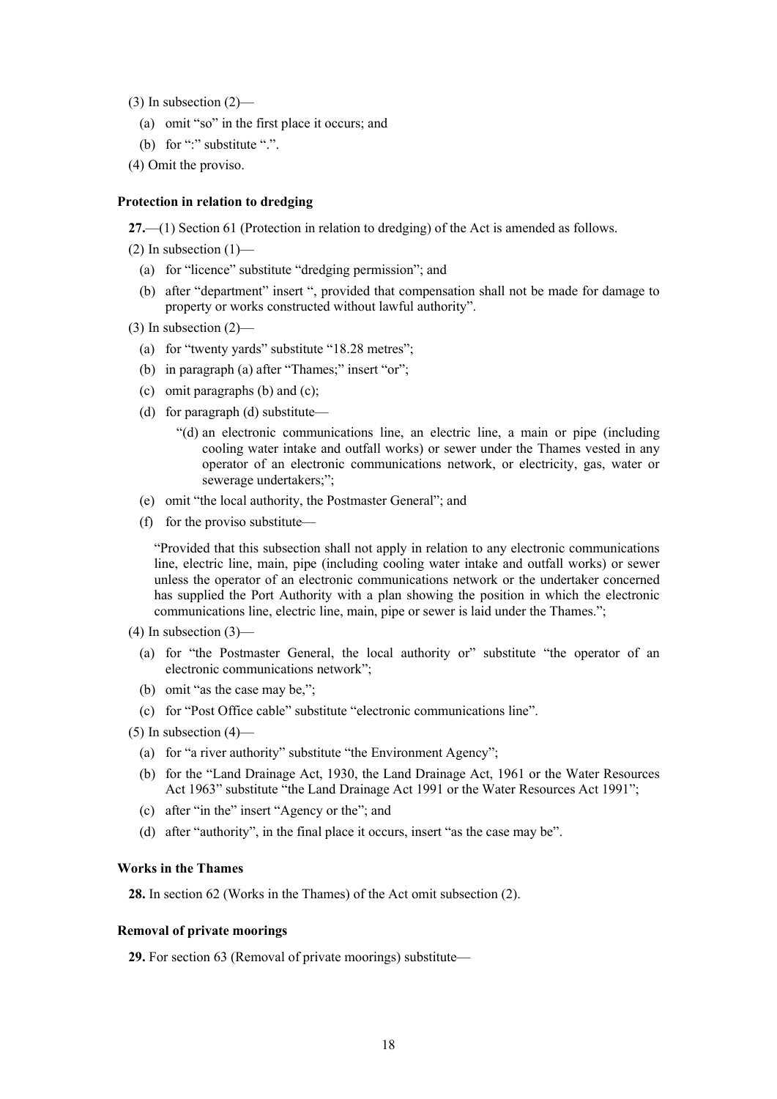$(3)$  In subsection  $(2)$ —

- (a) omit "so" in the first place it occurs; and
- (b) for ":" substitute ".".
- (4) Omit the proviso.

#### **Protection in relation to dredging**

**27.**—(1) Section 61 (Protection in relation to dredging) of the Act is amended as follows.

 $(2)$  In subsection  $(1)$ —

- (a) for "licence" substitute "dredging permission"; and
- (b) after "department" insert ", provided that compensation shall not be made for damage to property or works constructed without lawful authority".
- $(3)$  In subsection  $(2)$ 
	- (a) for "twenty yards" substitute "18.28 metres";
	- (b) in paragraph (a) after "Thames;" insert "or";
	- (c) omit paragraphs (b) and (c);
	- (d) for paragraph (d) substitute—
		- "(d) an electronic communications line, an electric line, a main or pipe (including cooling water intake and outfall works) or sewer under the Thames vested in any operator of an electronic communications network, or electricity, gas, water or sewerage undertakers;";
	- (e) omit "the local authority, the Postmaster General"; and
	- (f) for the proviso substitute—

"Provided that this subsection shall not apply in relation to any electronic communications line, electric line, main, pipe (including cooling water intake and outfall works) or sewer unless the operator of an electronic communications network or the undertaker concerned has supplied the Port Authority with a plan showing the position in which the electronic communications line, electric line, main, pipe or sewer is laid under the Thames.";

- $(4)$  In subsection  $(3)$ 
	- (a) for "the Postmaster General, the local authority or" substitute "the operator of an electronic communications network";
	- (b) omit "as the case may be,";
	- (c) for "Post Office cable" substitute "electronic communications line".
- $(5)$  In subsection  $(4)$ 
	- (a) for "a river authority" substitute "the Environment Agency";
	- (b) for the "Land Drainage Act, 1930, the Land Drainage Act, 1961 or the Water Resources Act 1963" substitute "the Land Drainage Act 1991 or the Water Resources Act 1991";
	- (c) after "in the" insert "Agency or the"; and
	- (d) after "authority", in the final place it occurs, insert "as the case may be".

### **Works in the Thames**

**28.** In section 62 (Works in the Thames) of the Act omit subsection (2).

#### **Removal of private moorings**

**29.** For section 63 (Removal of private moorings) substitute—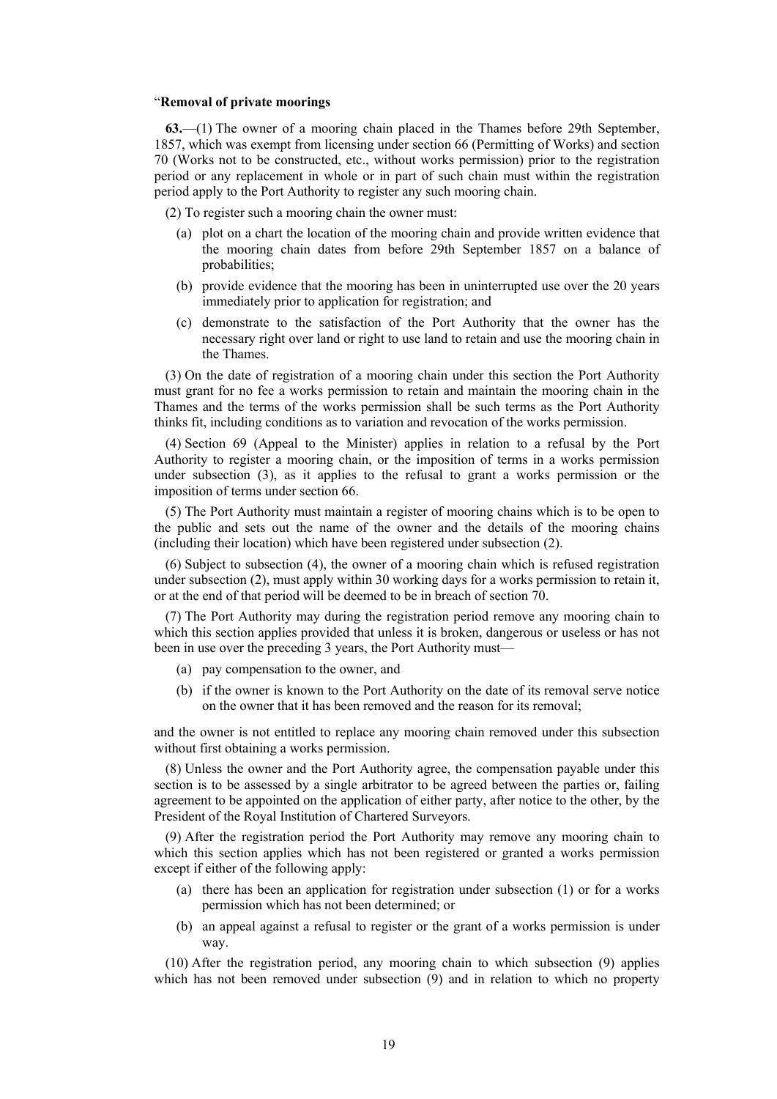#### "**Removal of private moorings**

**63.**—(1) The owner of a mooring chain placed in the Thames before 29th September, 1857, which was exempt from licensing under section 66 (Permitting of Works) and section 70 (Works not to be constructed, etc., without works permission) prior to the registration period or any replacement in whole or in part of such chain must within the registration period apply to the Port Authority to register any such mooring chain.

(2) To register such a mooring chain the owner must:

- (a) plot on a chart the location of the mooring chain and provide written evidence that the mooring chain dates from before 29th September 1857 on a balance of probabilities;
- (b) provide evidence that the mooring has been in uninterrupted use over the 20 years immediately prior to application for registration; and
- (c) demonstrate to the satisfaction of the Port Authority that the owner has the necessary right over land or right to use land to retain and use the mooring chain in the Thames.

(3) On the date of registration of a mooring chain under this section the Port Authority must grant for no fee a works permission to retain and maintain the mooring chain in the Thames and the terms of the works permission shall be such terms as the Port Authority thinks fit, including conditions as to variation and revocation of the works permission.

(4) Section 69 (Appeal to the Minister) applies in relation to a refusal by the Port Authority to register a mooring chain, or the imposition of terms in a works permission under subsection (3), as it applies to the refusal to grant a works permission or the imposition of terms under section 66.

(5) The Port Authority must maintain a register of mooring chains which is to be open to the public and sets out the name of the owner and the details of the mooring chains (including their location) which have been registered under subsection (2).

(6) Subject to subsection (4), the owner of a mooring chain which is refused registration under subsection (2), must apply within 30 working days for a works permission to retain it, or at the end of that period will be deemed to be in breach of section 70.

(7) The Port Authority may during the registration period remove any mooring chain to which this section applies provided that unless it is broken, dangerous or useless or has not been in use over the preceding 3 years, the Port Authority must—

- (a) pay compensation to the owner, and
- (b) if the owner is known to the Port Authority on the date of its removal serve notice on the owner that it has been removed and the reason for its removal;

and the owner is not entitled to replace any mooring chain removed under this subsection without first obtaining a works permission.

(8) Unless the owner and the Port Authority agree, the compensation payable under this section is to be assessed by a single arbitrator to be agreed between the parties or, failing agreement to be appointed on the application of either party, after notice to the other, by the President of the Royal Institution of Chartered Surveyors.

(9) After the registration period the Port Authority may remove any mooring chain to which this section applies which has not been registered or granted a works permission except if either of the following apply:

- (a) there has been an application for registration under subsection (1) or for a works permission which has not been determined; or
- (b) an appeal against a refusal to register or the grant of a works permission is under way.

(10) After the registration period, any mooring chain to which subsection (9) applies which has not been removed under subsection (9) and in relation to which no property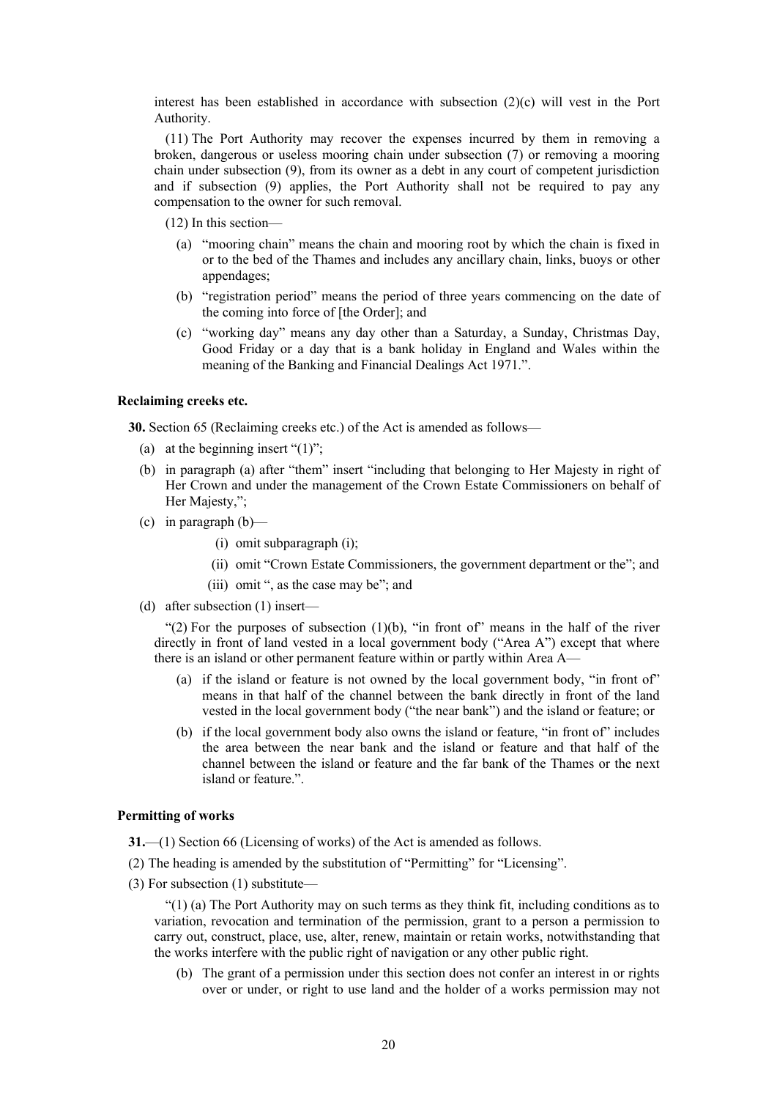interest has been established in accordance with subsection  $(2)(c)$  will vest in the Port Authority.

(11) The Port Authority may recover the expenses incurred by them in removing a broken, dangerous or useless mooring chain under subsection (7) or removing a mooring chain under subsection (9), from its owner as a debt in any court of competent jurisdiction and if subsection (9) applies, the Port Authority shall not be required to pay any compensation to the owner for such removal.

(12) In this section—

- (a) "mooring chain" means the chain and mooring root by which the chain is fixed in or to the bed of the Thames and includes any ancillary chain, links, buoys or other appendages;
- (b) "registration period" means the period of three years commencing on the date of the coming into force of [the Order]; and
- (c) "working day" means any day other than a Saturday, a Sunday, Christmas Day, Good Friday or a day that is a bank holiday in England and Wales within the meaning of the Banking and Financial Dealings Act 1971.".

#### **Reclaiming creeks etc.**

**30.** Section 65 (Reclaiming creeks etc.) of the Act is amended as follows—

- (a) at the beginning insert " $(1)$ ";
- (b) in paragraph (a) after "them" insert "including that belonging to Her Majesty in right of Her Crown and under the management of the Crown Estate Commissioners on behalf of Her Majesty,";
- (c) in paragraph  $(b)$ 
	- (i) omit subparagraph (i);
	- (ii) omit "Crown Estate Commissioners, the government department or the"; and
	- (iii) omit ", as the case may be"; and
- (d) after subsection (1) insert—

"(2) For the purposes of subsection  $(1)(b)$ , "in front of" means in the half of the river directly in front of land vested in a local government body ("Area A") except that where there is an island or other permanent feature within or partly within Area A—

- (a) if the island or feature is not owned by the local government body, "in front of" means in that half of the channel between the bank directly in front of the land vested in the local government body ("the near bank") and the island or feature; or
- (b) if the local government body also owns the island or feature, "in front of" includes the area between the near bank and the island or feature and that half of the channel between the island or feature and the far bank of the Thames or the next island or feature.".

# **Permitting of works**

- **31.**—(1) Section 66 (Licensing of works) of the Act is amended as follows.
- (2) The heading is amended by the substitution of "Permitting" for "Licensing".
- (3) For subsection (1) substitute—

"(1) (a) The Port Authority may on such terms as they think fit, including conditions as to variation, revocation and termination of the permission, grant to a person a permission to carry out, construct, place, use, alter, renew, maintain or retain works, notwithstanding that the works interfere with the public right of navigation or any other public right.

(b) The grant of a permission under this section does not confer an interest in or rights over or under, or right to use land and the holder of a works permission may not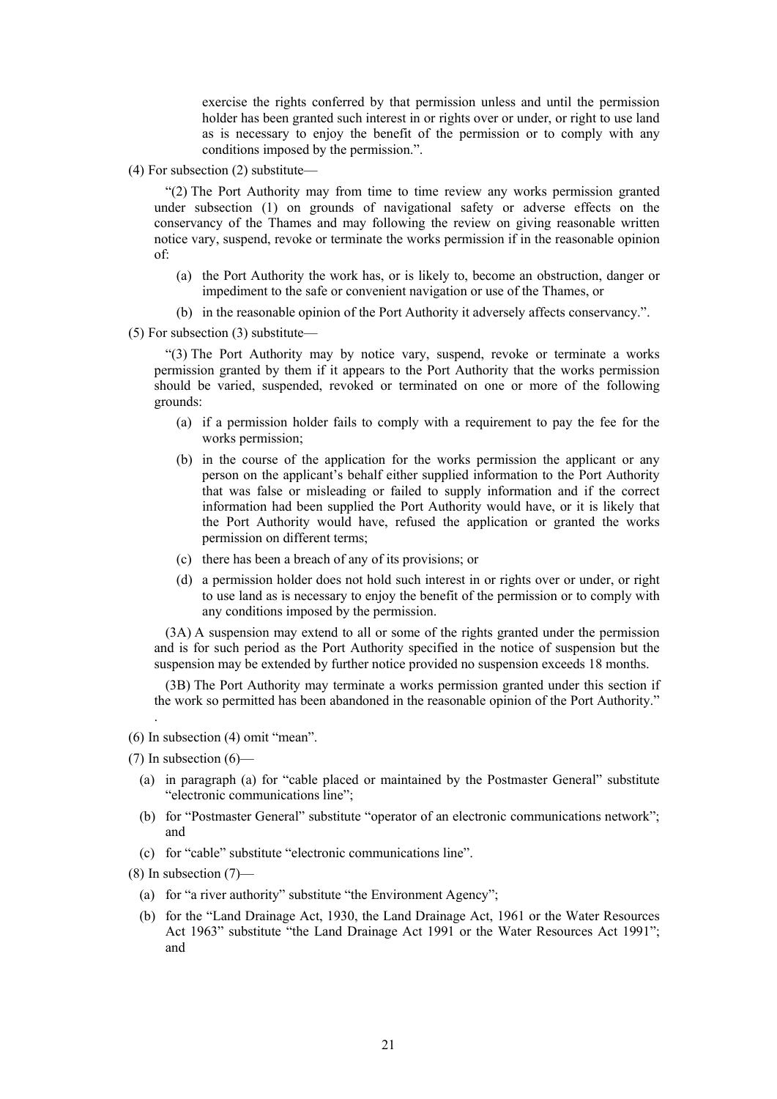exercise the rights conferred by that permission unless and until the permission holder has been granted such interest in or rights over or under, or right to use land as is necessary to enjoy the benefit of the permission or to comply with any conditions imposed by the permission.".

(4) For subsection (2) substitute—

"(2) The Port Authority may from time to time review any works permission granted under subsection (1) on grounds of navigational safety or adverse effects on the conservancy of the Thames and may following the review on giving reasonable written notice vary, suspend, revoke or terminate the works permission if in the reasonable opinion of:

- (a) the Port Authority the work has, or is likely to, become an obstruction, danger or impediment to the safe or convenient navigation or use of the Thames, or
- (b) in the reasonable opinion of the Port Authority it adversely affects conservancy.".

(5) For subsection (3) substitute—

"(3) The Port Authority may by notice vary, suspend, revoke or terminate a works permission granted by them if it appears to the Port Authority that the works permission should be varied, suspended, revoked or terminated on one or more of the following grounds:

- (a) if a permission holder fails to comply with a requirement to pay the fee for the works permission;
- (b) in the course of the application for the works permission the applicant or any person on the applicant's behalf either supplied information to the Port Authority that was false or misleading or failed to supply information and if the correct information had been supplied the Port Authority would have, or it is likely that the Port Authority would have, refused the application or granted the works permission on different terms;
- (c) there has been a breach of any of its provisions; or
- (d) a permission holder does not hold such interest in or rights over or under, or right to use land as is necessary to enjoy the benefit of the permission or to comply with any conditions imposed by the permission.

(3A) A suspension may extend to all or some of the rights granted under the permission and is for such period as the Port Authority specified in the notice of suspension but the suspension may be extended by further notice provided no suspension exceeds 18 months.

(3B) The Port Authority may terminate a works permission granted under this section if the work so permitted has been abandoned in the reasonable opinion of the Port Authority."

(6) In subsection (4) omit "mean".

.

- (a) in paragraph (a) for "cable placed or maintained by the Postmaster General" substitute "electronic communications line";
- (b) for "Postmaster General" substitute "operator of an electronic communications network"; and
- (c) for "cable" substitute "electronic communications line".

(8) In subsection (7)—

- (a) for "a river authority" substitute "the Environment Agency";
- (b) for the "Land Drainage Act, 1930, the Land Drainage Act, 1961 or the Water Resources Act 1963" substitute "the Land Drainage Act 1991 or the Water Resources Act 1991"; and

 $(7)$  In subsection  $(6)$ —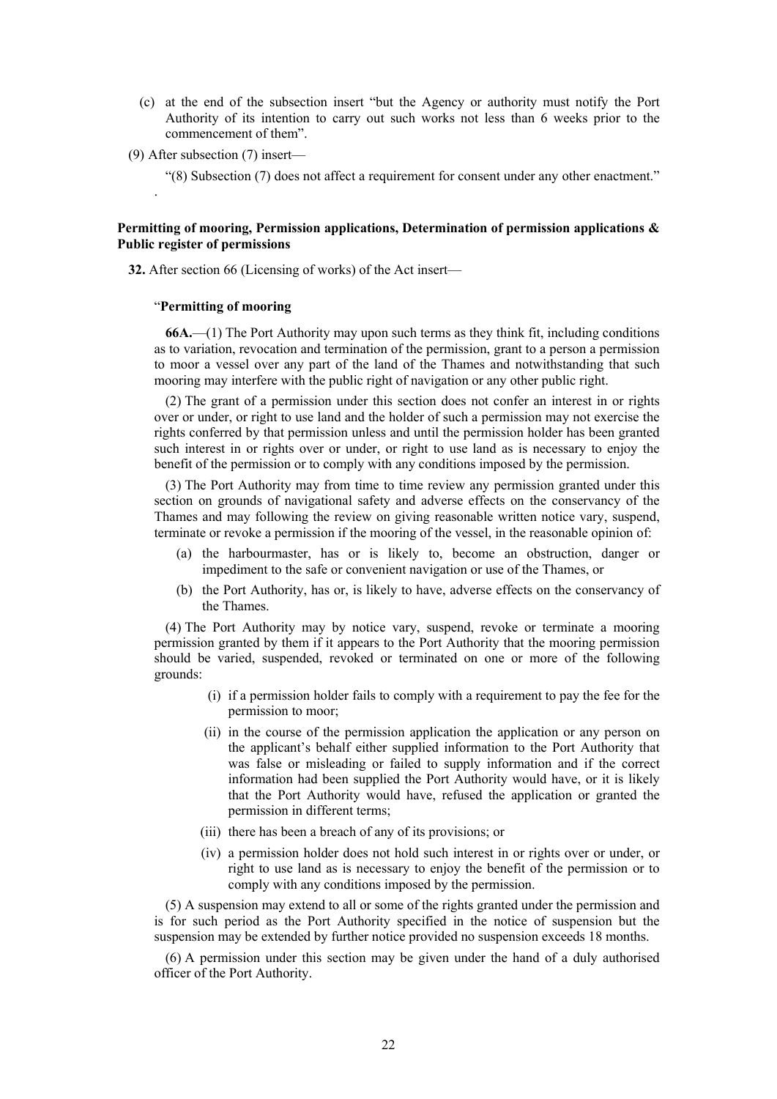- (c) at the end of the subsection insert "but the Agency or authority must notify the Port Authority of its intention to carry out such works not less than 6 weeks prior to the commencement of them".
- (9) After subsection (7) insert—

.

"(8) Subsection (7) does not affect a requirement for consent under any other enactment."

# **Permitting of mooring, Permission applications, Determination of permission applications & Public register of permissions**

**32.** After section 66 (Licensing of works) of the Act insert—

#### "**Permitting of mooring**

**66A.**—(1) The Port Authority may upon such terms as they think fit, including conditions as to variation, revocation and termination of the permission, grant to a person a permission to moor a vessel over any part of the land of the Thames and notwithstanding that such mooring may interfere with the public right of navigation or any other public right.

(2) The grant of a permission under this section does not confer an interest in or rights over or under, or right to use land and the holder of such a permission may not exercise the rights conferred by that permission unless and until the permission holder has been granted such interest in or rights over or under, or right to use land as is necessary to enjoy the benefit of the permission or to comply with any conditions imposed by the permission.

(3) The Port Authority may from time to time review any permission granted under this section on grounds of navigational safety and adverse effects on the conservancy of the Thames and may following the review on giving reasonable written notice vary, suspend, terminate or revoke a permission if the mooring of the vessel, in the reasonable opinion of:

- (a) the harbourmaster, has or is likely to, become an obstruction, danger or impediment to the safe or convenient navigation or use of the Thames, or
- (b) the Port Authority, has or, is likely to have, adverse effects on the conservancy of the Thames.

(4) The Port Authority may by notice vary, suspend, revoke or terminate a mooring permission granted by them if it appears to the Port Authority that the mooring permission should be varied, suspended, revoked or terminated on one or more of the following grounds:

- (i) if a permission holder fails to comply with a requirement to pay the fee for the permission to moor;
- (ii) in the course of the permission application the application or any person on the applicant's behalf either supplied information to the Port Authority that was false or misleading or failed to supply information and if the correct information had been supplied the Port Authority would have, or it is likely that the Port Authority would have, refused the application or granted the permission in different terms;
- (iii) there has been a breach of any of its provisions; or
- (iv) a permission holder does not hold such interest in or rights over or under, or right to use land as is necessary to enjoy the benefit of the permission or to comply with any conditions imposed by the permission.

(5) A suspension may extend to all or some of the rights granted under the permission and is for such period as the Port Authority specified in the notice of suspension but the suspension may be extended by further notice provided no suspension exceeds 18 months.

(6) A permission under this section may be given under the hand of a duly authorised officer of the Port Authority.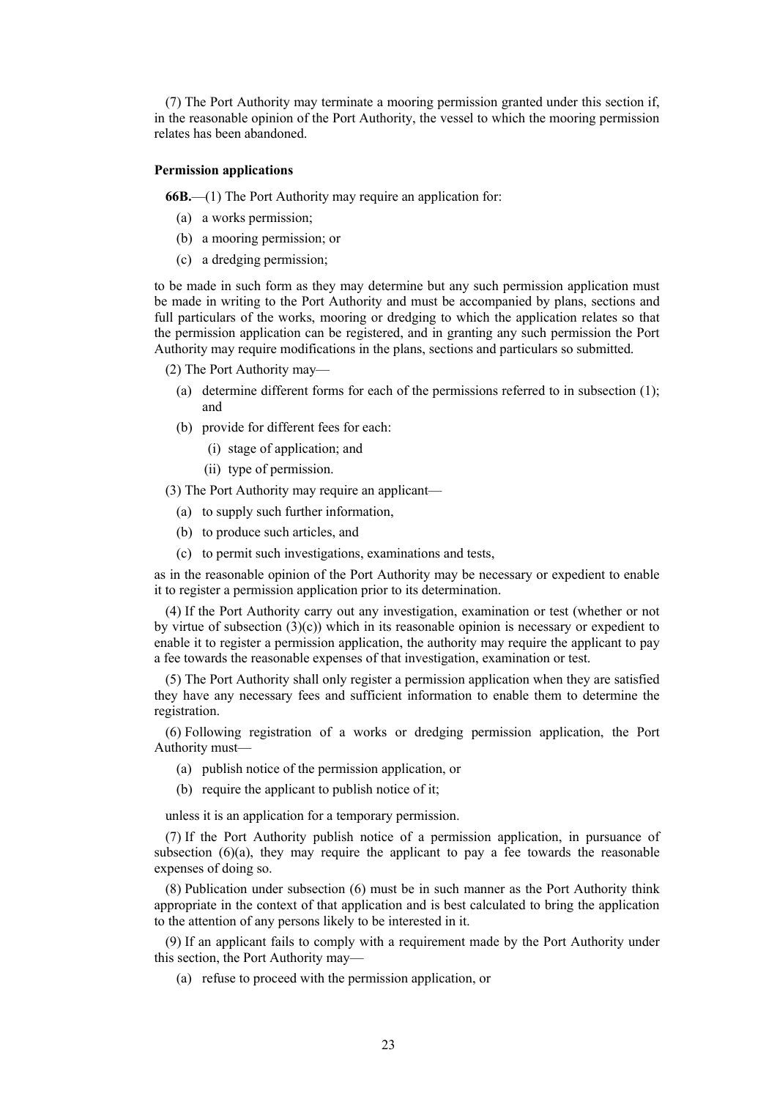(7) The Port Authority may terminate a mooring permission granted under this section if, in the reasonable opinion of the Port Authority, the vessel to which the mooring permission relates has been abandoned.

# **Permission applications**

**66B.**—(1) The Port Authority may require an application for:

- (a) a works permission;
- (b) a mooring permission; or
- (c) a dredging permission;

to be made in such form as they may determine but any such permission application must be made in writing to the Port Authority and must be accompanied by plans, sections and full particulars of the works, mooring or dredging to which the application relates so that the permission application can be registered, and in granting any such permission the Port Authority may require modifications in the plans, sections and particulars so submitted.

(2) The Port Authority may—

- (a) determine different forms for each of the permissions referred to in subsection (1); and
- (b) provide for different fees for each:
	- (i) stage of application; and
	- (ii) type of permission.

(3) The Port Authority may require an applicant—

- (a) to supply such further information,
- (b) to produce such articles, and
- (c) to permit such investigations, examinations and tests,

as in the reasonable opinion of the Port Authority may be necessary or expedient to enable it to register a permission application prior to its determination.

(4) If the Port Authority carry out any investigation, examination or test (whether or not by virtue of subsection  $(3)(c)$ ) which in its reasonable opinion is necessary or expedient to enable it to register a permission application, the authority may require the applicant to pay a fee towards the reasonable expenses of that investigation, examination or test.

(5) The Port Authority shall only register a permission application when they are satisfied they have any necessary fees and sufficient information to enable them to determine the registration.

(6) Following registration of a works or dredging permission application, the Port Authority must—

- (a) publish notice of the permission application, or
- (b) require the applicant to publish notice of it;

unless it is an application for a temporary permission.

(7) If the Port Authority publish notice of a permission application, in pursuance of subsection  $(6)(a)$ , they may require the applicant to pay a fee towards the reasonable expenses of doing so.

(8) Publication under subsection (6) must be in such manner as the Port Authority think appropriate in the context of that application and is best calculated to bring the application to the attention of any persons likely to be interested in it.

(9) If an applicant fails to comply with a requirement made by the Port Authority under this section, the Port Authority may—

(a) refuse to proceed with the permission application, or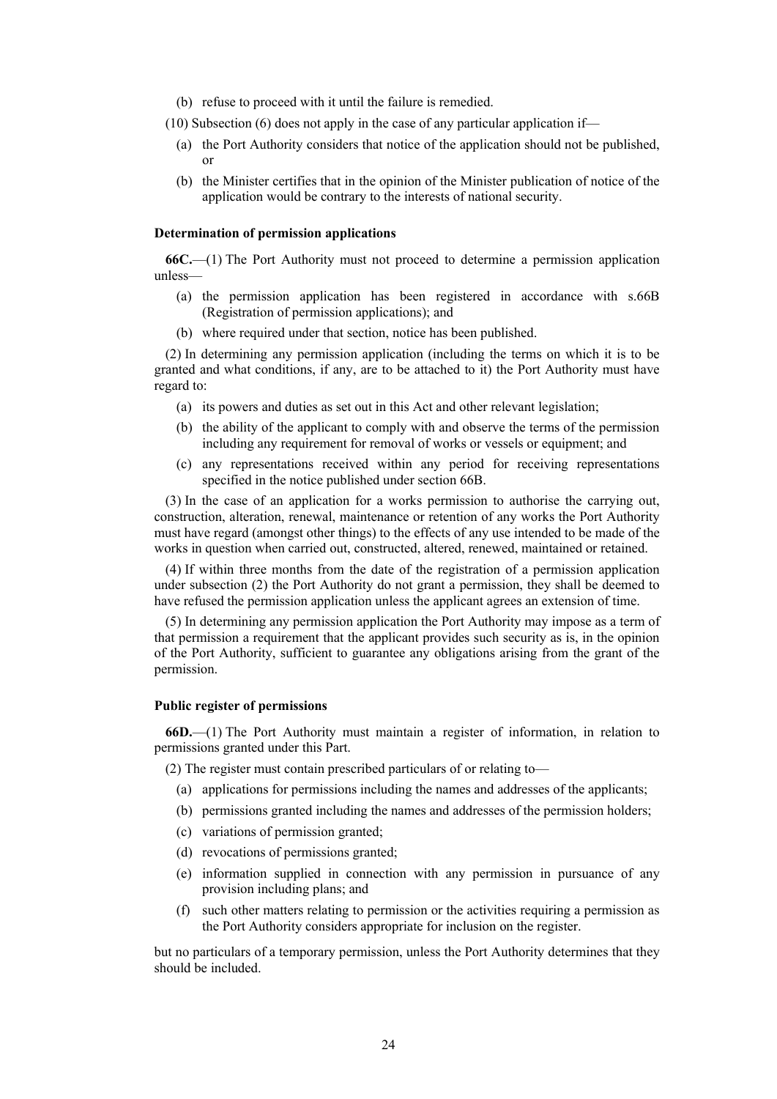- (b) refuse to proceed with it until the failure is remedied.
- (10) Subsection (6) does not apply in the case of any particular application if—
	- (a) the Port Authority considers that notice of the application should not be published, or
	- (b) the Minister certifies that in the opinion of the Minister publication of notice of the application would be contrary to the interests of national security.

#### **Determination of permission applications**

**66C.**—(1) The Port Authority must not proceed to determine a permission application unless—

- (a) the permission application has been registered in accordance with s.66B (Registration of permission applications); and
- (b) where required under that section, notice has been published.

(2) In determining any permission application (including the terms on which it is to be granted and what conditions, if any, are to be attached to it) the Port Authority must have regard to:

- (a) its powers and duties as set out in this Act and other relevant legislation;
- (b) the ability of the applicant to comply with and observe the terms of the permission including any requirement for removal of works or vessels or equipment; and
- (c) any representations received within any period for receiving representations specified in the notice published under section 66B.

(3) In the case of an application for a works permission to authorise the carrying out, construction, alteration, renewal, maintenance or retention of any works the Port Authority must have regard (amongst other things) to the effects of any use intended to be made of the works in question when carried out, constructed, altered, renewed, maintained or retained.

(4) If within three months from the date of the registration of a permission application under subsection (2) the Port Authority do not grant a permission, they shall be deemed to have refused the permission application unless the applicant agrees an extension of time.

(5) In determining any permission application the Port Authority may impose as a term of that permission a requirement that the applicant provides such security as is, in the opinion of the Port Authority, sufficient to guarantee any obligations arising from the grant of the permission.

# **Public register of permissions**

**66D.**—(1) The Port Authority must maintain a register of information, in relation to permissions granted under this Part.

(2) The register must contain prescribed particulars of or relating to—

- (a) applications for permissions including the names and addresses of the applicants;
- (b) permissions granted including the names and addresses of the permission holders;
- (c) variations of permission granted;
- (d) revocations of permissions granted;
- (e) information supplied in connection with any permission in pursuance of any provision including plans; and
- (f) such other matters relating to permission or the activities requiring a permission as the Port Authority considers appropriate for inclusion on the register.

but no particulars of a temporary permission, unless the Port Authority determines that they should be included.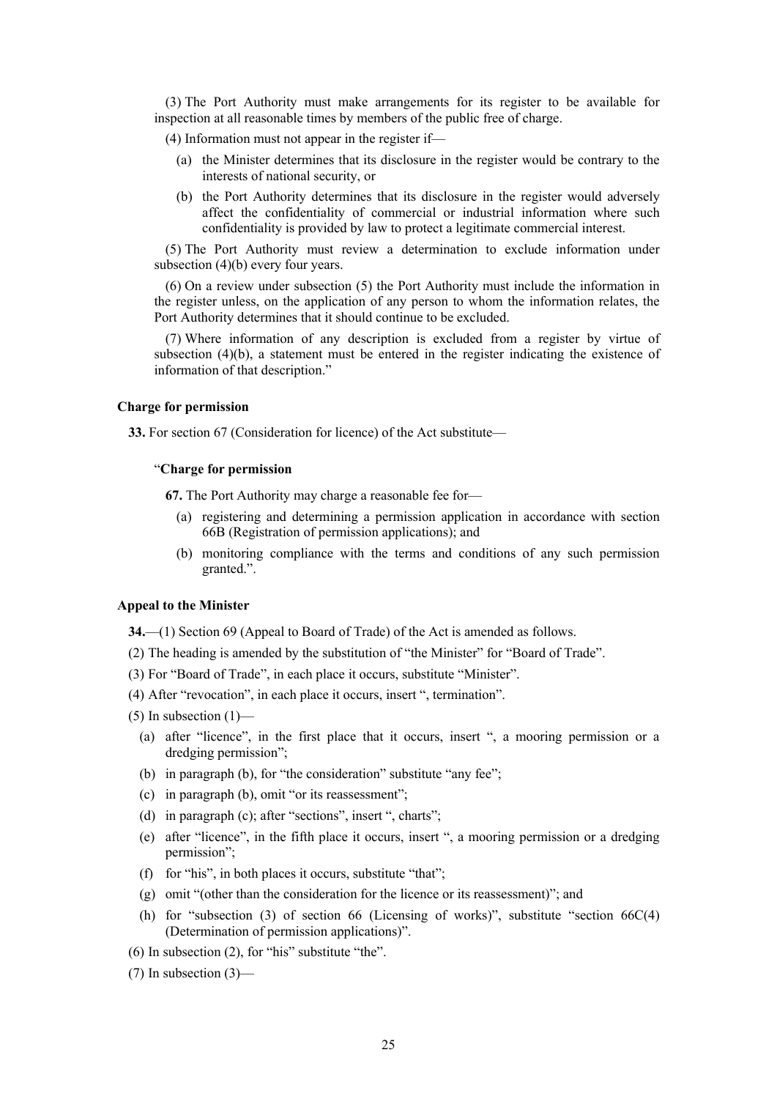(3) The Port Authority must make arrangements for its register to be available for inspection at all reasonable times by members of the public free of charge.

(4) Information must not appear in the register if—

- (a) the Minister determines that its disclosure in the register would be contrary to the interests of national security, or
- (b) the Port Authority determines that its disclosure in the register would adversely affect the confidentiality of commercial or industrial information where such confidentiality is provided by law to protect a legitimate commercial interest.

(5) The Port Authority must review a determination to exclude information under subsection (4)(b) every four years.

(6) On a review under subsection (5) the Port Authority must include the information in the register unless, on the application of any person to whom the information relates, the Port Authority determines that it should continue to be excluded.

(7) Where information of any description is excluded from a register by virtue of subsection  $(4)(b)$ , a statement must be entered in the register indicating the existence of information of that description."

# **Charge for permission**

**33.** For section 67 (Consideration for licence) of the Act substitute—

## "**Charge for permission**

**67.** The Port Authority may charge a reasonable fee for—

- (a) registering and determining a permission application in accordance with section 66B (Registration of permission applications); and
- (b) monitoring compliance with the terms and conditions of any such permission granted.".

#### **Appeal to the Minister**

**34.**—(1) Section 69 (Appeal to Board of Trade) of the Act is amended as follows.

- (2) The heading is amended by the substitution of "the Minister" for "Board of Trade".
- (3) For "Board of Trade", in each place it occurs, substitute "Minister".
- (4) After "revocation", in each place it occurs, insert ", termination".
- $(5)$  In subsection  $(1)$ 
	- (a) after "licence", in the first place that it occurs, insert ", a mooring permission or a dredging permission";
	- (b) in paragraph (b), for "the consideration" substitute "any fee";
	- (c) in paragraph (b), omit "or its reassessment";
	- (d) in paragraph (c); after "sections", insert ", charts";
	- (e) after "licence", in the fifth place it occurs, insert ", a mooring permission or a dredging permission";
	- (f) for "his", in both places it occurs, substitute "that";
	- (g) omit "(other than the consideration for the licence or its reassessment)"; and
	- (h) for "subsection (3) of section 66 (Licensing of works)", substitute "section  $66C(4)$ (Determination of permission applications)".
- (6) In subsection (2), for "his" substitute "the".
- (7) In subsection (3)—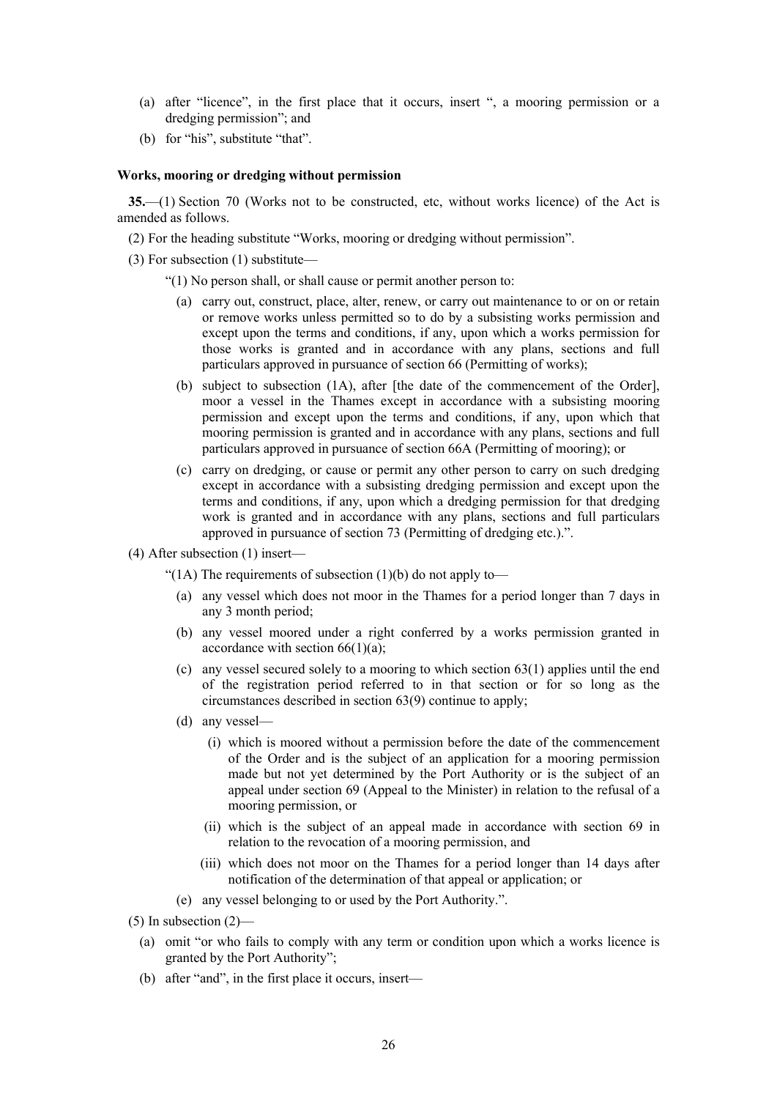- (a) after "licence", in the first place that it occurs, insert ", a mooring permission or a dredging permission"; and
- (b) for "his", substitute "that".

#### **Works, mooring or dredging without permission**

**35.**—(1) Section 70 (Works not to be constructed, etc, without works licence) of the Act is amended as follows.

(2) For the heading substitute "Works, mooring or dredging without permission".

(3) For subsection (1) substitute—

"(1) No person shall, or shall cause or permit another person to:

- (a) carry out, construct, place, alter, renew, or carry out maintenance to or on or retain or remove works unless permitted so to do by a subsisting works permission and except upon the terms and conditions, if any, upon which a works permission for those works is granted and in accordance with any plans, sections and full particulars approved in pursuance of section 66 (Permitting of works);
- (b) subject to subsection (1A), after [the date of the commencement of the Order], moor a vessel in the Thames except in accordance with a subsisting mooring permission and except upon the terms and conditions, if any, upon which that mooring permission is granted and in accordance with any plans, sections and full particulars approved in pursuance of section 66A (Permitting of mooring); or
- (c) carry on dredging, or cause or permit any other person to carry on such dredging except in accordance with a subsisting dredging permission and except upon the terms and conditions, if any, upon which a dredging permission for that dredging work is granted and in accordance with any plans, sections and full particulars approved in pursuance of section 73 (Permitting of dredging etc.).".
- (4) After subsection (1) insert—

"(1A) The requirements of subsection (1)(b) do not apply to-

- (a) any vessel which does not moor in the Thames for a period longer than 7 days in any 3 month period;
- (b) any vessel moored under a right conferred by a works permission granted in accordance with section  $66(1)(a)$ ;
- (c) any vessel secured solely to a mooring to which section 63(1) applies until the end of the registration period referred to in that section or for so long as the circumstances described in section 63(9) continue to apply;
- (d) any vessel—
	- (i) which is moored without a permission before the date of the commencement of the Order and is the subject of an application for a mooring permission made but not yet determined by the Port Authority or is the subject of an appeal under section 69 (Appeal to the Minister) in relation to the refusal of a mooring permission, or
	- (ii) which is the subject of an appeal made in accordance with section 69 in relation to the revocation of a mooring permission, and
	- (iii) which does not moor on the Thames for a period longer than 14 days after notification of the determination of that appeal or application; or
- (e) any vessel belonging to or used by the Port Authority.".
- $(5)$  In subsection  $(2)$ 
	- (a) omit "or who fails to comply with any term or condition upon which a works licence is granted by the Port Authority";
	- (b) after "and", in the first place it occurs, insert—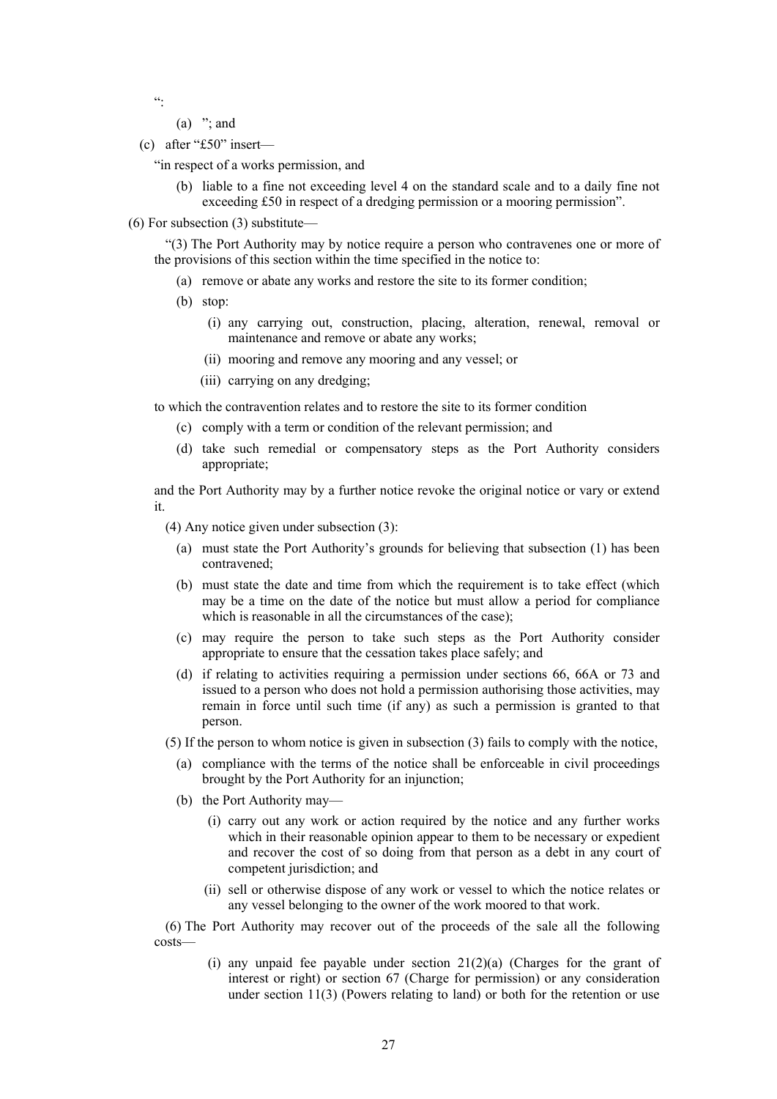$^{cc}$ 

- $(a)$  "; and
- (c) after "£50" insert—

"in respect of a works permission, and

- (b) liable to a fine not exceeding level 4 on the standard scale and to a daily fine not exceeding £50 in respect of a dredging permission or a mooring permission".
- (6) For subsection (3) substitute—

"(3) The Port Authority may by notice require a person who contravenes one or more of the provisions of this section within the time specified in the notice to:

- (a) remove or abate any works and restore the site to its former condition;
- (b) stop:
	- (i) any carrying out, construction, placing, alteration, renewal, removal or maintenance and remove or abate any works;
	- (ii) mooring and remove any mooring and any vessel; or
	- (iii) carrying on any dredging;

to which the contravention relates and to restore the site to its former condition

- (c) comply with a term or condition of the relevant permission; and
- (d) take such remedial or compensatory steps as the Port Authority considers appropriate;

and the Port Authority may by a further notice revoke the original notice or vary or extend it.

(4) Any notice given under subsection (3):

- (a) must state the Port Authority's grounds for believing that subsection (1) has been contravened;
- (b) must state the date and time from which the requirement is to take effect (which may be a time on the date of the notice but must allow a period for compliance which is reasonable in all the circumstances of the case);
- (c) may require the person to take such steps as the Port Authority consider appropriate to ensure that the cessation takes place safely; and
- (d) if relating to activities requiring a permission under sections 66, 66A or 73 and issued to a person who does not hold a permission authorising those activities, may remain in force until such time (if any) as such a permission is granted to that person.

(5) If the person to whom notice is given in subsection (3) fails to comply with the notice,

- (a) compliance with the terms of the notice shall be enforceable in civil proceedings brought by the Port Authority for an injunction;
- (b) the Port Authority may—
	- (i) carry out any work or action required by the notice and any further works which in their reasonable opinion appear to them to be necessary or expedient and recover the cost of so doing from that person as a debt in any court of competent jurisdiction; and
	- (ii) sell or otherwise dispose of any work or vessel to which the notice relates or any vessel belonging to the owner of the work moored to that work.

(6) The Port Authority may recover out of the proceeds of the sale all the following costs—

> (i) any unpaid fee payable under section  $21(2)(a)$  (Charges for the grant of interest or right) or section 67 (Charge for permission) or any consideration under section 11(3) (Powers relating to land) or both for the retention or use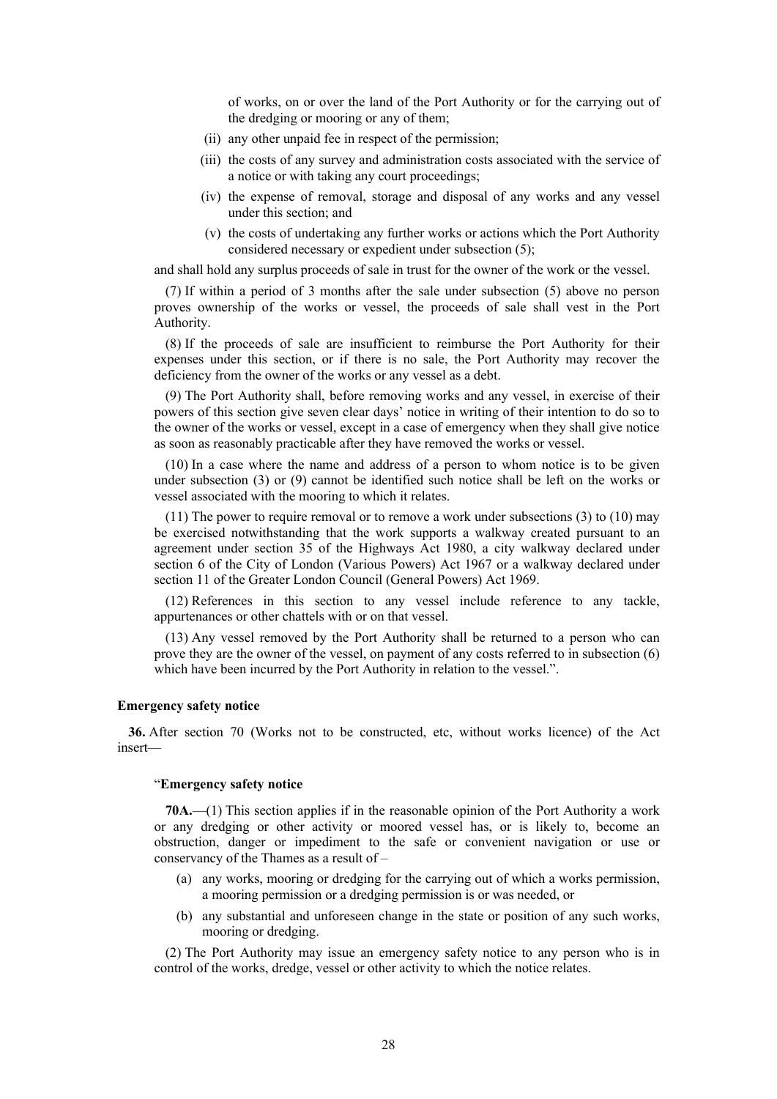of works, on or over the land of the Port Authority or for the carrying out of the dredging or mooring or any of them;

- (ii) any other unpaid fee in respect of the permission;
- (iii) the costs of any survey and administration costs associated with the service of a notice or with taking any court proceedings;
- (iv) the expense of removal, storage and disposal of any works and any vessel under this section; and
- (v) the costs of undertaking any further works or actions which the Port Authority considered necessary or expedient under subsection (5);

and shall hold any surplus proceeds of sale in trust for the owner of the work or the vessel.

(7) If within a period of 3 months after the sale under subsection (5) above no person proves ownership of the works or vessel, the proceeds of sale shall vest in the Port Authority.

(8) If the proceeds of sale are insufficient to reimburse the Port Authority for their expenses under this section, or if there is no sale, the Port Authority may recover the deficiency from the owner of the works or any vessel as a debt.

(9) The Port Authority shall, before removing works and any vessel, in exercise of their powers of this section give seven clear days' notice in writing of their intention to do so to the owner of the works or vessel, except in a case of emergency when they shall give notice as soon as reasonably practicable after they have removed the works or vessel.

(10) In a case where the name and address of a person to whom notice is to be given under subsection (3) or (9) cannot be identified such notice shall be left on the works or vessel associated with the mooring to which it relates.

(11) The power to require removal or to remove a work under subsections (3) to (10) may be exercised notwithstanding that the work supports a walkway created pursuant to an agreement under section 35 of the Highways Act 1980, a city walkway declared under section 6 of the City of London (Various Powers) Act 1967 or a walkway declared under section 11 of the Greater London Council (General Powers) Act 1969.

(12) References in this section to any vessel include reference to any tackle, appurtenances or other chattels with or on that vessel.

(13) Any vessel removed by the Port Authority shall be returned to a person who can prove they are the owner of the vessel, on payment of any costs referred to in subsection (6) which have been incurred by the Port Authority in relation to the vessel.".

# **Emergency safety notice**

**36.** After section 70 (Works not to be constructed, etc, without works licence) of the Act insert—

#### "**Emergency safety notice**

**70A.**—(1) This section applies if in the reasonable opinion of the Port Authority a work or any dredging or other activity or moored vessel has, or is likely to, become an obstruction, danger or impediment to the safe or convenient navigation or use or conservancy of the Thames as a result of –

- (a) any works, mooring or dredging for the carrying out of which a works permission, a mooring permission or a dredging permission is or was needed, or
- (b) any substantial and unforeseen change in the state or position of any such works, mooring or dredging.

(2) The Port Authority may issue an emergency safety notice to any person who is in control of the works, dredge, vessel or other activity to which the notice relates.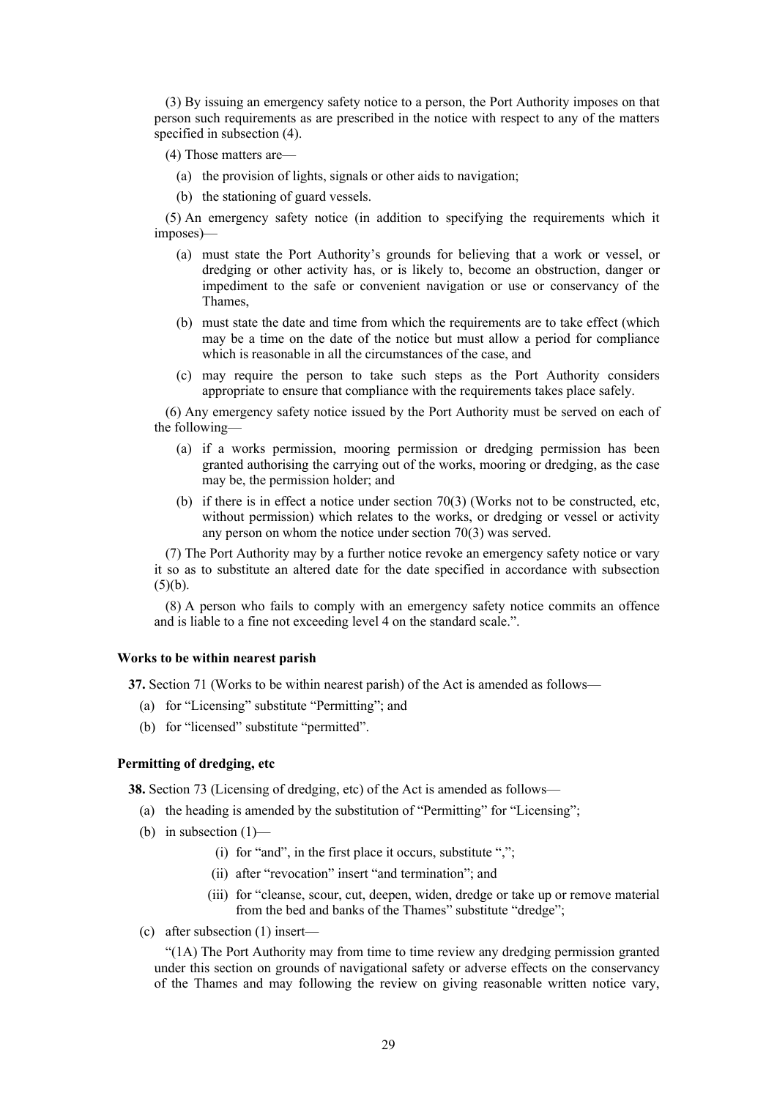(3) By issuing an emergency safety notice to a person, the Port Authority imposes on that person such requirements as are prescribed in the notice with respect to any of the matters specified in subsection (4).

- (4) Those matters are—
	- (a) the provision of lights, signals or other aids to navigation;
	- (b) the stationing of guard vessels.

(5) An emergency safety notice (in addition to specifying the requirements which it imposes)—

- (a) must state the Port Authority's grounds for believing that a work or vessel, or dredging or other activity has, or is likely to, become an obstruction, danger or impediment to the safe or convenient navigation or use or conservancy of the Thames,
- (b) must state the date and time from which the requirements are to take effect (which may be a time on the date of the notice but must allow a period for compliance which is reasonable in all the circumstances of the case, and
- (c) may require the person to take such steps as the Port Authority considers appropriate to ensure that compliance with the requirements takes place safely.

(6) Any emergency safety notice issued by the Port Authority must be served on each of the following—

- (a) if a works permission, mooring permission or dredging permission has been granted authorising the carrying out of the works, mooring or dredging, as the case may be, the permission holder; and
- (b) if there is in effect a notice under section 70(3) (Works not to be constructed, etc, without permission) which relates to the works, or dredging or vessel or activity any person on whom the notice under section 70(3) was served.

(7) The Port Authority may by a further notice revoke an emergency safety notice or vary it so as to substitute an altered date for the date specified in accordance with subsection  $(5)(b)$ .

(8) A person who fails to comply with an emergency safety notice commits an offence and is liable to a fine not exceeding level 4 on the standard scale.".

# **Works to be within nearest parish**

**37.** Section 71 (Works to be within nearest parish) of the Act is amended as follows—

- (a) for "Licensing" substitute "Permitting"; and
- (b) for "licensed" substitute "permitted".

# **Permitting of dredging, etc**

**38.** Section 73 (Licensing of dredging, etc) of the Act is amended as follows—

- (a) the heading is amended by the substitution of "Permitting" for "Licensing";
- (b) in subsection (1)—
	- (i) for "and", in the first place it occurs, substitute ",";
	- (ii) after "revocation" insert "and termination"; and
	- (iii) for "cleanse, scour, cut, deepen, widen, dredge or take up or remove material from the bed and banks of the Thames" substitute "dredge";
- (c) after subsection (1) insert—

"(1A) The Port Authority may from time to time review any dredging permission granted under this section on grounds of navigational safety or adverse effects on the conservancy of the Thames and may following the review on giving reasonable written notice vary,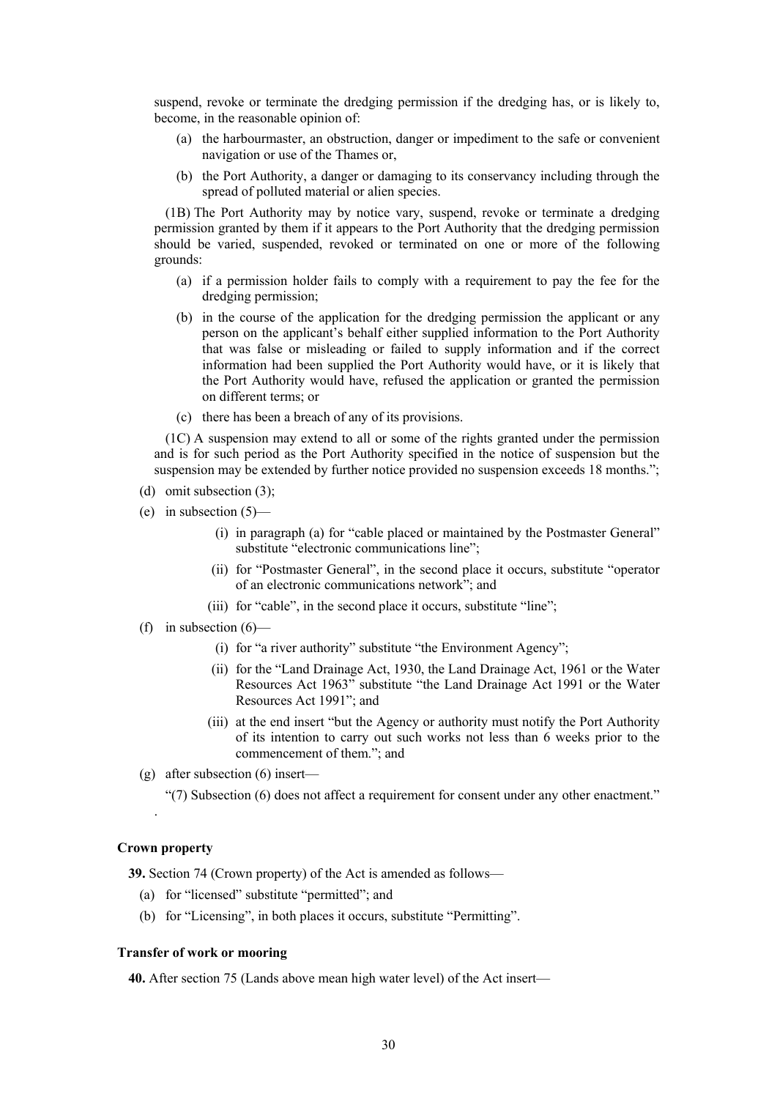suspend, revoke or terminate the dredging permission if the dredging has, or is likely to, become, in the reasonable opinion of:

- (a) the harbourmaster, an obstruction, danger or impediment to the safe or convenient navigation or use of the Thames or,
- (b) the Port Authority, a danger or damaging to its conservancy including through the spread of polluted material or alien species.

(1B) The Port Authority may by notice vary, suspend, revoke or terminate a dredging permission granted by them if it appears to the Port Authority that the dredging permission should be varied, suspended, revoked or terminated on one or more of the following grounds:

- (a) if a permission holder fails to comply with a requirement to pay the fee for the dredging permission;
- (b) in the course of the application for the dredging permission the applicant or any person on the applicant's behalf either supplied information to the Port Authority that was false or misleading or failed to supply information and if the correct information had been supplied the Port Authority would have, or it is likely that the Port Authority would have, refused the application or granted the permission on different terms; or
- (c) there has been a breach of any of its provisions.

(1C) A suspension may extend to all or some of the rights granted under the permission and is for such period as the Port Authority specified in the notice of suspension but the suspension may be extended by further notice provided no suspension exceeds 18 months.";

- (d) omit subsection (3);
- (e) in subsection  $(5)$ 
	- (i) in paragraph (a) for "cable placed or maintained by the Postmaster General" substitute "electronic communications line";
	- (ii) for "Postmaster General", in the second place it occurs, substitute "operator of an electronic communications network"; and
	- (iii) for "cable", in the second place it occurs, substitute "line";
- (f) in subsection  $(6)$ 
	- (i) for "a river authority" substitute "the Environment Agency";
	- (ii) for the "Land Drainage Act, 1930, the Land Drainage Act, 1961 or the Water Resources Act 1963" substitute "the Land Drainage Act 1991 or the Water Resources Act 1991"; and
	- (iii) at the end insert "but the Agency or authority must notify the Port Authority of its intention to carry out such works not less than 6 weeks prior to the commencement of them."; and
- (g) after subsection (6) insert—
	- "(7) Subsection (6) does not affect a requirement for consent under any other enactment."

# **Crown property**

.

**39.** Section 74 (Crown property) of the Act is amended as follows—

- (a) for "licensed" substitute "permitted"; and
- (b) for "Licensing", in both places it occurs, substitute "Permitting".

# **Transfer of work or mooring**

**40.** After section 75 (Lands above mean high water level) of the Act insert—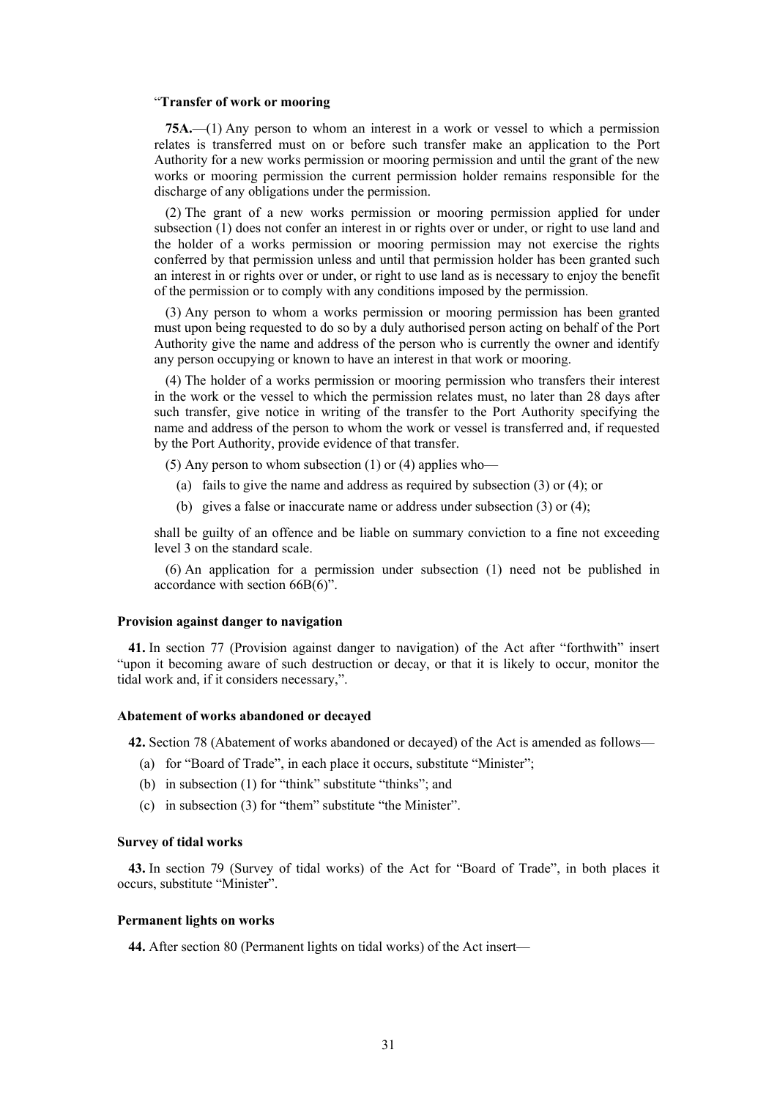#### "**Transfer of work or mooring**

**75A.**—(1) Any person to whom an interest in a work or vessel to which a permission relates is transferred must on or before such transfer make an application to the Port Authority for a new works permission or mooring permission and until the grant of the new works or mooring permission the current permission holder remains responsible for the discharge of any obligations under the permission.

(2) The grant of a new works permission or mooring permission applied for under subsection (1) does not confer an interest in or rights over or under, or right to use land and the holder of a works permission or mooring permission may not exercise the rights conferred by that permission unless and until that permission holder has been granted such an interest in or rights over or under, or right to use land as is necessary to enjoy the benefit of the permission or to comply with any conditions imposed by the permission.

(3) Any person to whom a works permission or mooring permission has been granted must upon being requested to do so by a duly authorised person acting on behalf of the Port Authority give the name and address of the person who is currently the owner and identify any person occupying or known to have an interest in that work or mooring.

(4) The holder of a works permission or mooring permission who transfers their interest in the work or the vessel to which the permission relates must, no later than 28 days after such transfer, give notice in writing of the transfer to the Port Authority specifying the name and address of the person to whom the work or vessel is transferred and, if requested by the Port Authority, provide evidence of that transfer.

(5) Any person to whom subsection  $(1)$  or  $(4)$  applies who—

- (a) fails to give the name and address as required by subsection (3) or (4); or
- (b) gives a false or inaccurate name or address under subsection (3) or (4);

shall be guilty of an offence and be liable on summary conviction to a fine not exceeding level 3 on the standard scale.

(6) An application for a permission under subsection (1) need not be published in accordance with section 66B(6)".

#### **Provision against danger to navigation**

**41.** In section 77 (Provision against danger to navigation) of the Act after "forthwith" insert "upon it becoming aware of such destruction or decay, or that it is likely to occur, monitor the tidal work and, if it considers necessary,".

#### **Abatement of works abandoned or decayed**

**42.** Section 78 (Abatement of works abandoned or decayed) of the Act is amended as follows—

- (a) for "Board of Trade", in each place it occurs, substitute "Minister";
- (b) in subsection (1) for "think" substitute "thinks"; and
- (c) in subsection (3) for "them" substitute "the Minister".

#### **Survey of tidal works**

**43.** In section 79 (Survey of tidal works) of the Act for "Board of Trade", in both places it occurs, substitute "Minister".

#### **Permanent lights on works**

**44.** After section 80 (Permanent lights on tidal works) of the Act insert—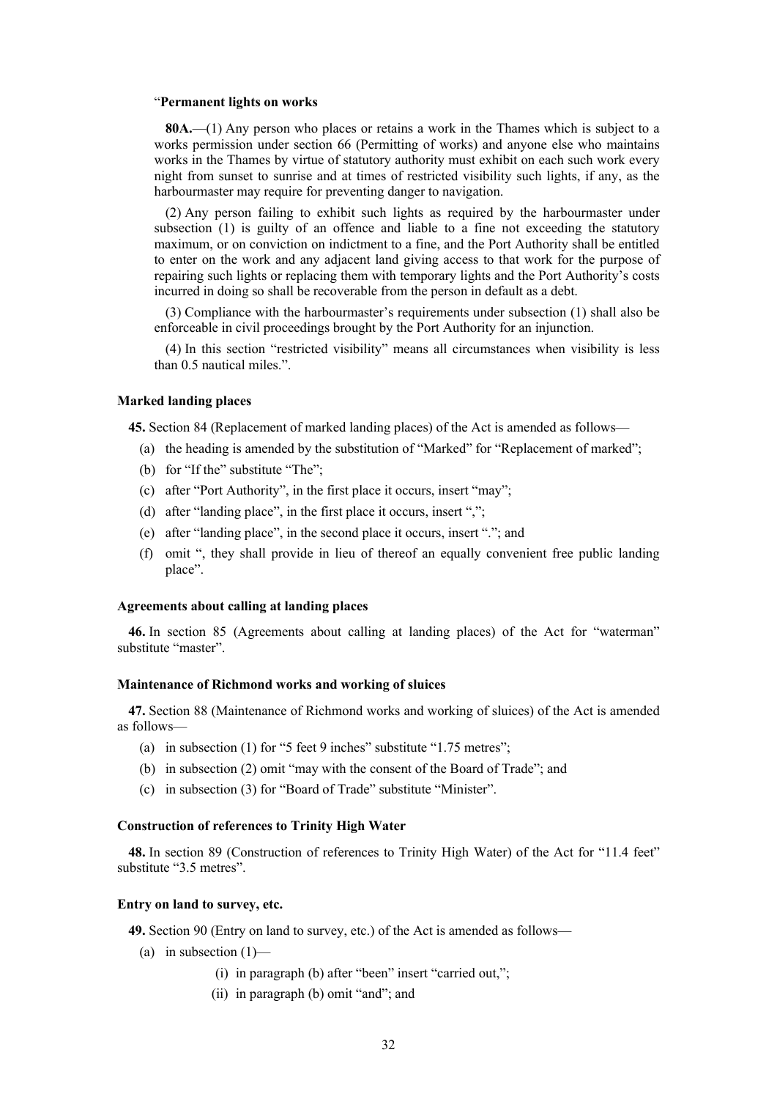#### "**Permanent lights on works**

**80A.**—(1) Any person who places or retains a work in the Thames which is subject to a works permission under section 66 (Permitting of works) and anyone else who maintains works in the Thames by virtue of statutory authority must exhibit on each such work every night from sunset to sunrise and at times of restricted visibility such lights, if any, as the harbourmaster may require for preventing danger to navigation.

(2) Any person failing to exhibit such lights as required by the harbourmaster under subsection (1) is guilty of an offence and liable to a fine not exceeding the statutory maximum, or on conviction on indictment to a fine, and the Port Authority shall be entitled to enter on the work and any adjacent land giving access to that work for the purpose of repairing such lights or replacing them with temporary lights and the Port Authority's costs incurred in doing so shall be recoverable from the person in default as a debt.

(3) Compliance with the harbourmaster's requirements under subsection (1) shall also be enforceable in civil proceedings brought by the Port Authority for an injunction.

(4) In this section "restricted visibility" means all circumstances when visibility is less than 0.5 nautical miles.".

#### **Marked landing places**

**45.** Section 84 (Replacement of marked landing places) of the Act is amended as follows—

- (a) the heading is amended by the substitution of "Marked" for "Replacement of marked";
- (b) for "If the" substitute "The";
- (c) after "Port Authority", in the first place it occurs, insert "may";
- (d) after "landing place", in the first place it occurs, insert ",";
- (e) after "landing place", in the second place it occurs, insert "."; and
- (f) omit ", they shall provide in lieu of thereof an equally convenient free public landing place".

# **Agreements about calling at landing places**

**46.** In section 85 (Agreements about calling at landing places) of the Act for "waterman" substitute "master".

#### **Maintenance of Richmond works and working of sluices**

**47.** Section 88 (Maintenance of Richmond works and working of sluices) of the Act is amended as follows—

- (a) in subsection (1) for "5 feet 9 inches" substitute "1.75 metres";
- (b) in subsection (2) omit "may with the consent of the Board of Trade"; and
- (c) in subsection (3) for "Board of Trade" substitute "Minister".

# **Construction of references to Trinity High Water**

**48.** In section 89 (Construction of references to Trinity High Water) of the Act for "11.4 feet" substitute "3.5 metres".

# **Entry on land to survey, etc.**

**49.** Section 90 (Entry on land to survey, etc.) of the Act is amended as follows—

- (a) in subsection  $(1)$ 
	- (i) in paragraph (b) after "been" insert "carried out,";
	- (ii) in paragraph (b) omit "and"; and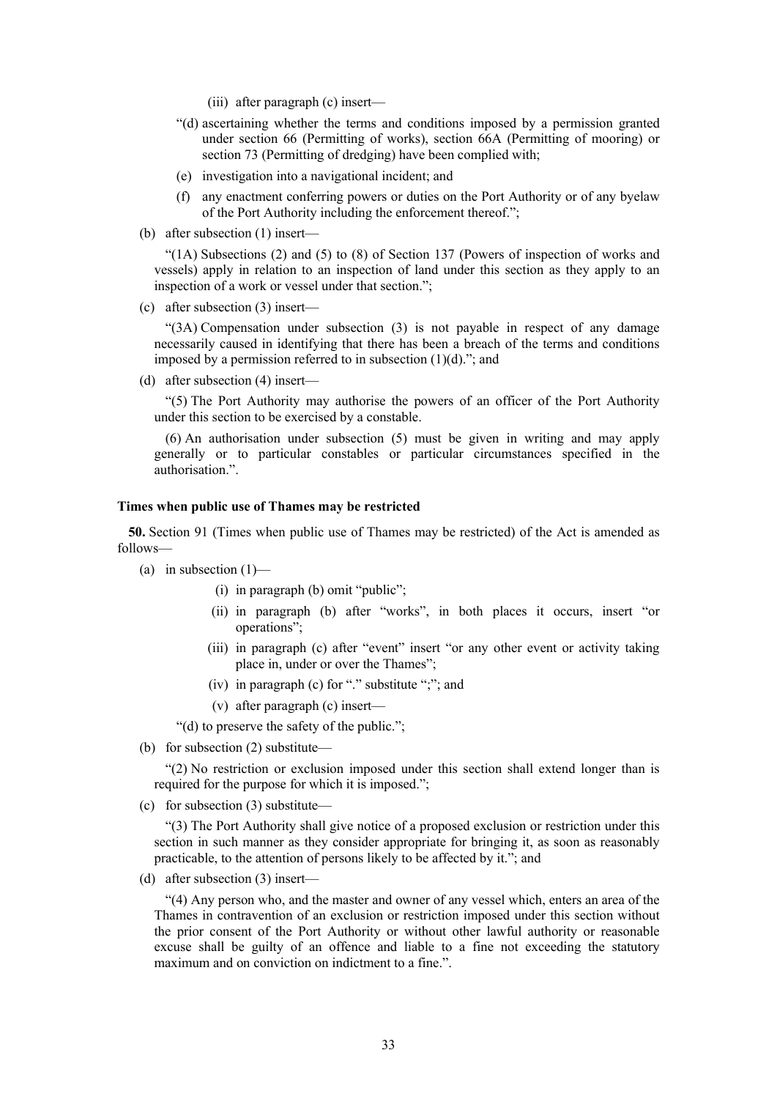- (iii) after paragraph (c) insert—
- "(d) ascertaining whether the terms and conditions imposed by a permission granted under section 66 (Permitting of works), section 66A (Permitting of mooring) or section 73 (Permitting of dredging) have been complied with;
- (e) investigation into a navigational incident; and
- (f) any enactment conferring powers or duties on the Port Authority or of any byelaw of the Port Authority including the enforcement thereof.";
- (b) after subsection (1) insert—

"(1A) Subsections (2) and (5) to (8) of Section 137 (Powers of inspection of works and vessels) apply in relation to an inspection of land under this section as they apply to an inspection of a work or vessel under that section.";

(c) after subsection (3) insert—

"(3A) Compensation under subsection (3) is not payable in respect of any damage necessarily caused in identifying that there has been a breach of the terms and conditions imposed by a permission referred to in subsection  $(1)(d)$ ."; and

(d) after subsection (4) insert—

"(5) The Port Authority may authorise the powers of an officer of the Port Authority under this section to be exercised by a constable.

(6) An authorisation under subsection (5) must be given in writing and may apply generally or to particular constables or particular circumstances specified in the authorisation.".

# **Times when public use of Thames may be restricted**

**50.** Section 91 (Times when public use of Thames may be restricted) of the Act is amended as follows—

- (a) in subsection  $(1)$ 
	- (i) in paragraph (b) omit "public";
	- (ii) in paragraph (b) after "works", in both places it occurs, insert "or operations";
	- (iii) in paragraph (c) after "event" insert "or any other event or activity taking place in, under or over the Thames";
	- (iv) in paragraph (c) for "." substitute ";"; and
	- (v) after paragraph (c) insert—

"(d) to preserve the safety of the public.";

(b) for subsection (2) substitute—

"(2) No restriction or exclusion imposed under this section shall extend longer than is required for the purpose for which it is imposed.";

(c) for subsection (3) substitute—

"(3) The Port Authority shall give notice of a proposed exclusion or restriction under this section in such manner as they consider appropriate for bringing it, as soon as reasonably practicable, to the attention of persons likely to be affected by it."; and

(d) after subsection (3) insert—

"(4) Any person who, and the master and owner of any vessel which, enters an area of the Thames in contravention of an exclusion or restriction imposed under this section without the prior consent of the Port Authority or without other lawful authority or reasonable excuse shall be guilty of an offence and liable to a fine not exceeding the statutory maximum and on conviction on indictment to a fine.".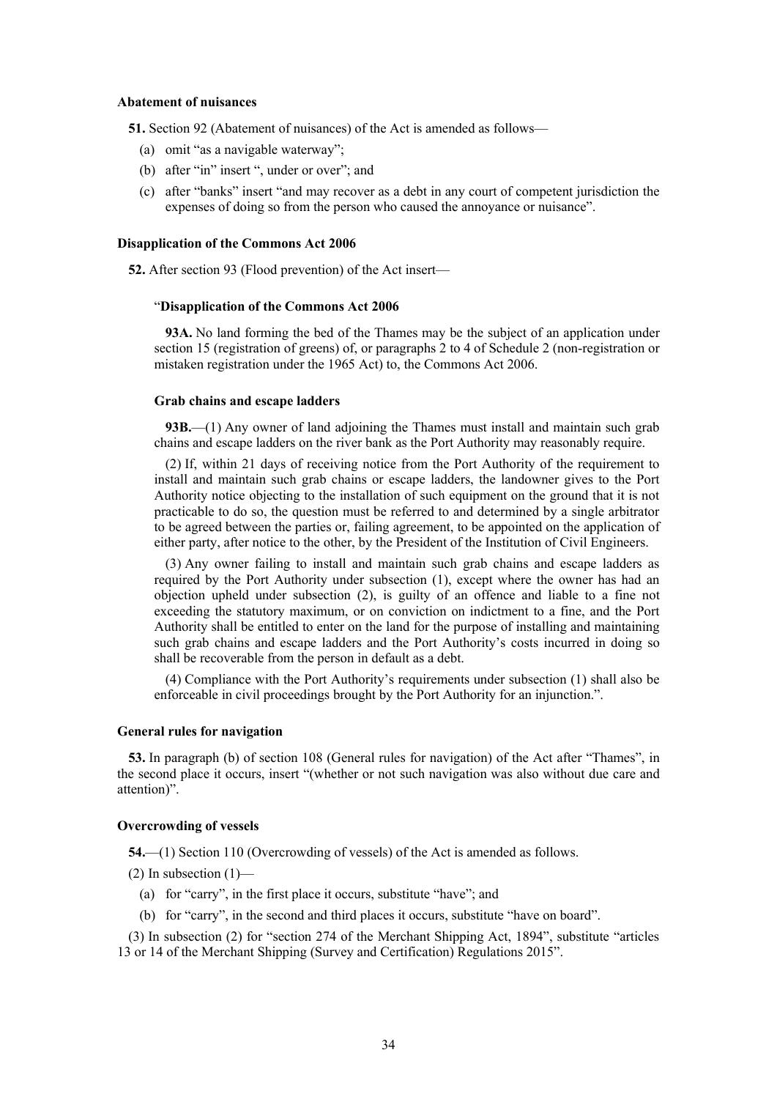#### **Abatement of nuisances**

**51.** Section 92 (Abatement of nuisances) of the Act is amended as follows—

- (a) omit "as a navigable waterway";
- (b) after "in" insert ", under or over"; and
- (c) after "banks" insert "and may recover as a debt in any court of competent jurisdiction the expenses of doing so from the person who caused the annoyance or nuisance".

#### **Disapplication of the Commons Act 2006**

**52.** After section 93 (Flood prevention) of the Act insert—

#### "**Disapplication of the Commons Act 2006**

**93A.** No land forming the bed of the Thames may be the subject of an application under section 15 (registration of greens) of, or paragraphs 2 to 4 of Schedule 2 (non-registration or mistaken registration under the 1965 Act) to, the Commons Act 2006.

#### **Grab chains and escape ladders**

**93B.**—(1) Any owner of land adjoining the Thames must install and maintain such grab chains and escape ladders on the river bank as the Port Authority may reasonably require.

(2) If, within 21 days of receiving notice from the Port Authority of the requirement to install and maintain such grab chains or escape ladders, the landowner gives to the Port Authority notice objecting to the installation of such equipment on the ground that it is not practicable to do so, the question must be referred to and determined by a single arbitrator to be agreed between the parties or, failing agreement, to be appointed on the application of either party, after notice to the other, by the President of the Institution of Civil Engineers.

(3) Any owner failing to install and maintain such grab chains and escape ladders as required by the Port Authority under subsection (1), except where the owner has had an objection upheld under subsection (2), is guilty of an offence and liable to a fine not exceeding the statutory maximum, or on conviction on indictment to a fine, and the Port Authority shall be entitled to enter on the land for the purpose of installing and maintaining such grab chains and escape ladders and the Port Authority's costs incurred in doing so shall be recoverable from the person in default as a debt.

(4) Compliance with the Port Authority's requirements under subsection (1) shall also be enforceable in civil proceedings brought by the Port Authority for an injunction.".

#### **General rules for navigation**

**53.** In paragraph (b) of section 108 (General rules for navigation) of the Act after "Thames", in the second place it occurs, insert "(whether or not such navigation was also without due care and attention)".

# **Overcrowding of vessels**

**54.**—(1) Section 110 (Overcrowding of vessels) of the Act is amended as follows.

 $(2)$  In subsection  $(1)$ —

- (a) for "carry", in the first place it occurs, substitute "have"; and
- (b) for "carry", in the second and third places it occurs, substitute "have on board".

(3) In subsection (2) for "section 274 of the Merchant Shipping Act, 1894", substitute "articles 13 or 14 of the Merchant Shipping (Survey and Certification) Regulations 2015".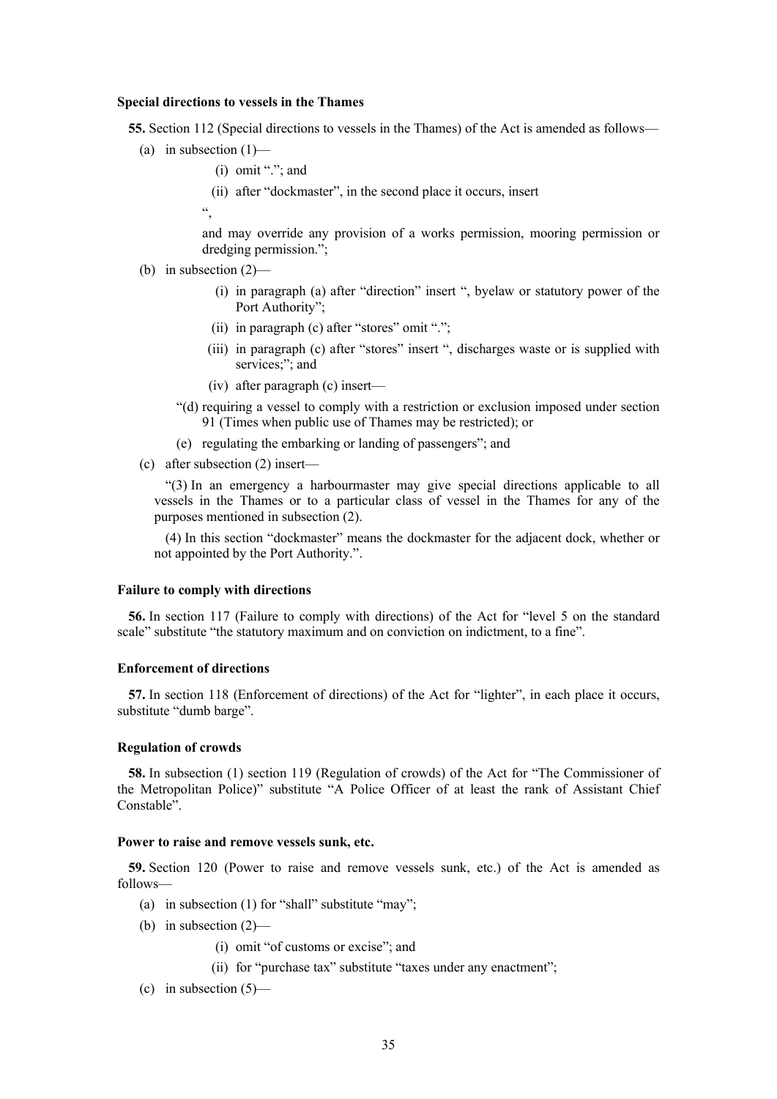#### **Special directions to vessels in the Thames**

**55.** Section 112 (Special directions to vessels in the Thames) of the Act is amended as follows—

- (a) in subsection  $(1)$ 
	- $(i)$  omit "."; and
	- (ii) after "dockmaster", in the second place it occurs, insert

 $\epsilon$ 

and may override any provision of a works permission, mooring permission or dredging permission.";

- (b) in subsection (2)—
	- (i) in paragraph (a) after "direction" insert ", byelaw or statutory power of the Port Authority";
	- (ii) in paragraph (c) after "stores" omit ".";
	- (iii) in paragraph (c) after "stores" insert ", discharges waste or is supplied with services;"; and
	- (iv) after paragraph (c) insert—
	- "(d) requiring a vessel to comply with a restriction or exclusion imposed under section 91 (Times when public use of Thames may be restricted); or
	- (e) regulating the embarking or landing of passengers"; and
- (c) after subsection (2) insert—

"(3) In an emergency a harbourmaster may give special directions applicable to all vessels in the Thames or to a particular class of vessel in the Thames for any of the purposes mentioned in subsection (2).

(4) In this section "dockmaster" means the dockmaster for the adjacent dock, whether or not appointed by the Port Authority.".

#### **Failure to comply with directions**

**56.** In section 117 (Failure to comply with directions) of the Act for "level 5 on the standard scale" substitute "the statutory maximum and on conviction on indictment, to a fine".

### **Enforcement of directions**

**57.** In section 118 (Enforcement of directions) of the Act for "lighter", in each place it occurs, substitute "dumb barge".

#### **Regulation of crowds**

**58.** In subsection (1) section 119 (Regulation of crowds) of the Act for "The Commissioner of the Metropolitan Police)" substitute "A Police Officer of at least the rank of Assistant Chief Constable".

#### **Power to raise and remove vessels sunk, etc.**

**59.** Section 120 (Power to raise and remove vessels sunk, etc.) of the Act is amended as follows—

- (a) in subsection (1) for "shall" substitute "may";
- (b) in subsection (2)—
	- (i) omit "of customs or excise"; and
	- (ii) for "purchase tax" substitute "taxes under any enactment";
- (c) in subsection  $(5)$ —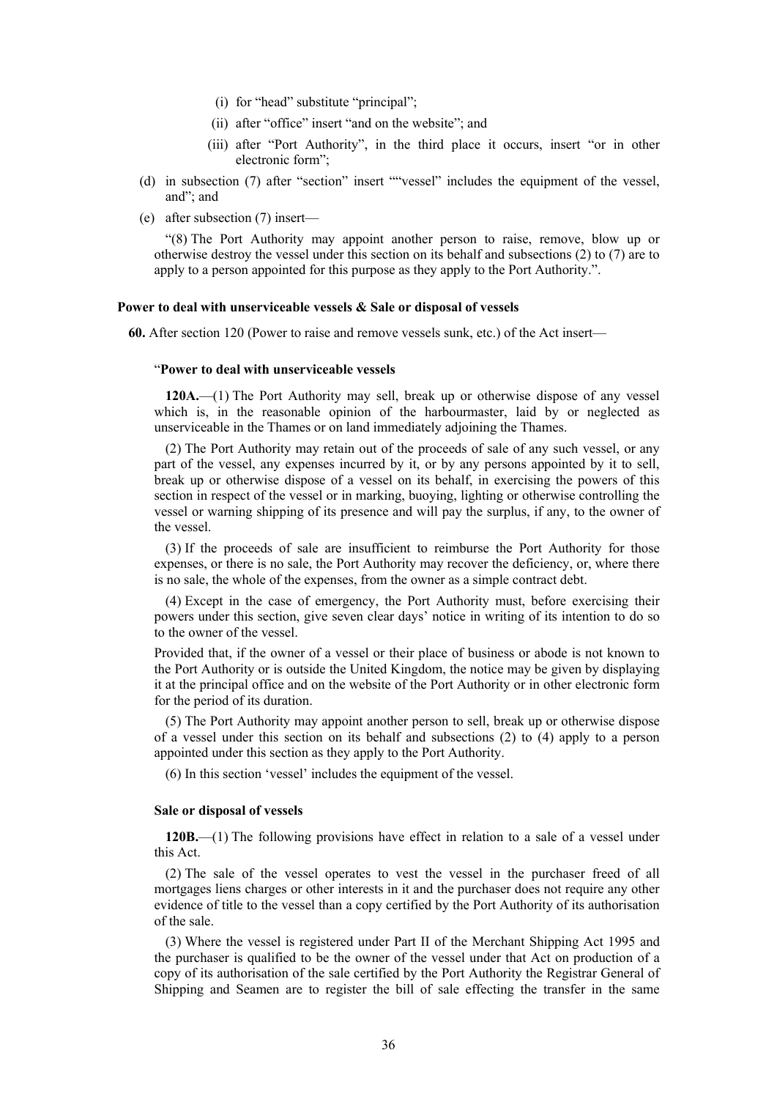- (i) for "head" substitute "principal";
- (ii) after "office" insert "and on the website"; and
- (iii) after "Port Authority", in the third place it occurs, insert "or in other electronic form";
- (d) in subsection (7) after "section" insert ""vessel" includes the equipment of the vessel, and"; and
- (e) after subsection (7) insert—

"(8) The Port Authority may appoint another person to raise, remove, blow up or otherwise destroy the vessel under this section on its behalf and subsections (2) to (7) are to apply to a person appointed for this purpose as they apply to the Port Authority.".

#### **Power to deal with unserviceable vessels & Sale or disposal of vessels**

**60.** After section 120 (Power to raise and remove vessels sunk, etc.) of the Act insert—

#### "**Power to deal with unserviceable vessels**

**120A.**—(1) The Port Authority may sell, break up or otherwise dispose of any vessel which is, in the reasonable opinion of the harbourmaster, laid by or neglected as unserviceable in the Thames or on land immediately adjoining the Thames.

(2) The Port Authority may retain out of the proceeds of sale of any such vessel, or any part of the vessel, any expenses incurred by it, or by any persons appointed by it to sell, break up or otherwise dispose of a vessel on its behalf, in exercising the powers of this section in respect of the vessel or in marking, buoying, lighting or otherwise controlling the vessel or warning shipping of its presence and will pay the surplus, if any, to the owner of the vessel.

(3) If the proceeds of sale are insufficient to reimburse the Port Authority for those expenses, or there is no sale, the Port Authority may recover the deficiency, or, where there is no sale, the whole of the expenses, from the owner as a simple contract debt.

(4) Except in the case of emergency, the Port Authority must, before exercising their powers under this section, give seven clear days' notice in writing of its intention to do so to the owner of the vessel.

Provided that, if the owner of a vessel or their place of business or abode is not known to the Port Authority or is outside the United Kingdom, the notice may be given by displaying it at the principal office and on the website of the Port Authority or in other electronic form for the period of its duration.

(5) The Port Authority may appoint another person to sell, break up or otherwise dispose of a vessel under this section on its behalf and subsections (2) to (4) apply to a person appointed under this section as they apply to the Port Authority.

(6) In this section 'vessel' includes the equipment of the vessel.

# **Sale or disposal of vessels**

**120B.**—(1) The following provisions have effect in relation to a sale of a vessel under this Act.

(2) The sale of the vessel operates to vest the vessel in the purchaser freed of all mortgages liens charges or other interests in it and the purchaser does not require any other evidence of title to the vessel than a copy certified by the Port Authority of its authorisation of the sale.

(3) Where the vessel is registered under Part II of the Merchant Shipping Act 1995 and the purchaser is qualified to be the owner of the vessel under that Act on production of a copy of its authorisation of the sale certified by the Port Authority the Registrar General of Shipping and Seamen are to register the bill of sale effecting the transfer in the same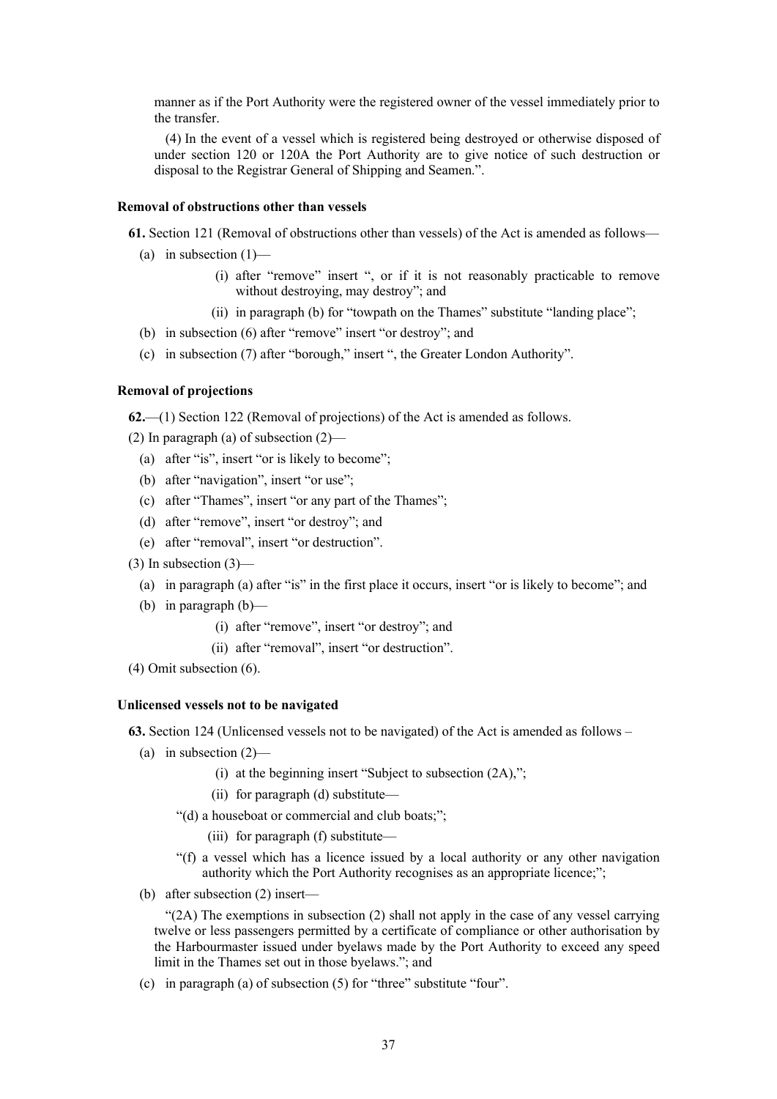manner as if the Port Authority were the registered owner of the vessel immediately prior to the transfer.

(4) In the event of a vessel which is registered being destroyed or otherwise disposed of under section 120 or 120A the Port Authority are to give notice of such destruction or disposal to the Registrar General of Shipping and Seamen.".

# **Removal of obstructions other than vessels**

**61.** Section 121 (Removal of obstructions other than vessels) of the Act is amended as follows—

- (a) in subsection  $(1)$ 
	- (i) after "remove" insert ", or if it is not reasonably practicable to remove without destroying, may destroy"; and
	- (ii) in paragraph (b) for "towpath on the Thames" substitute "landing place";
- (b) in subsection (6) after "remove" insert "or destroy"; and
- (c) in subsection (7) after "borough," insert ", the Greater London Authority".

### **Removal of projections**

**62.**—(1) Section 122 (Removal of projections) of the Act is amended as follows.

(2) In paragraph (a) of subsection (2)—

- (a) after "is", insert "or is likely to become";
- (b) after "navigation", insert "or use";
- (c) after "Thames", insert "or any part of the Thames";
- (d) after "remove", insert "or destroy"; and
- (e) after "removal", insert "or destruction".
- $(3)$  In subsection  $(3)$ 
	- (a) in paragraph (a) after "is" in the first place it occurs, insert "or is likely to become"; and
	- (b) in paragraph (b)—

(i) after "remove", insert "or destroy"; and

- (ii) after "removal", insert "or destruction".
- (4) Omit subsection (6).

# **Unlicensed vessels not to be navigated**

**63.** Section 124 (Unlicensed vessels not to be navigated) of the Act is amended as follows –

- (a) in subsection  $(2)$ 
	- (i) at the beginning insert "Subject to subsection (2A),";
	- (ii) for paragraph (d) substitute—
	- "(d) a houseboat or commercial and club boats;";
		- (iii) for paragraph (f) substitute—
	- "(f) a vessel which has a licence issued by a local authority or any other navigation authority which the Port Authority recognises as an appropriate licence;";
- (b) after subsection (2) insert—

 $\mathcal{L}(2A)$  The exemptions in subsection (2) shall not apply in the case of any vessel carrying twelve or less passengers permitted by a certificate of compliance or other authorisation by the Harbourmaster issued under byelaws made by the Port Authority to exceed any speed limit in the Thames set out in those byelaws."; and

(c) in paragraph (a) of subsection (5) for "three" substitute "four".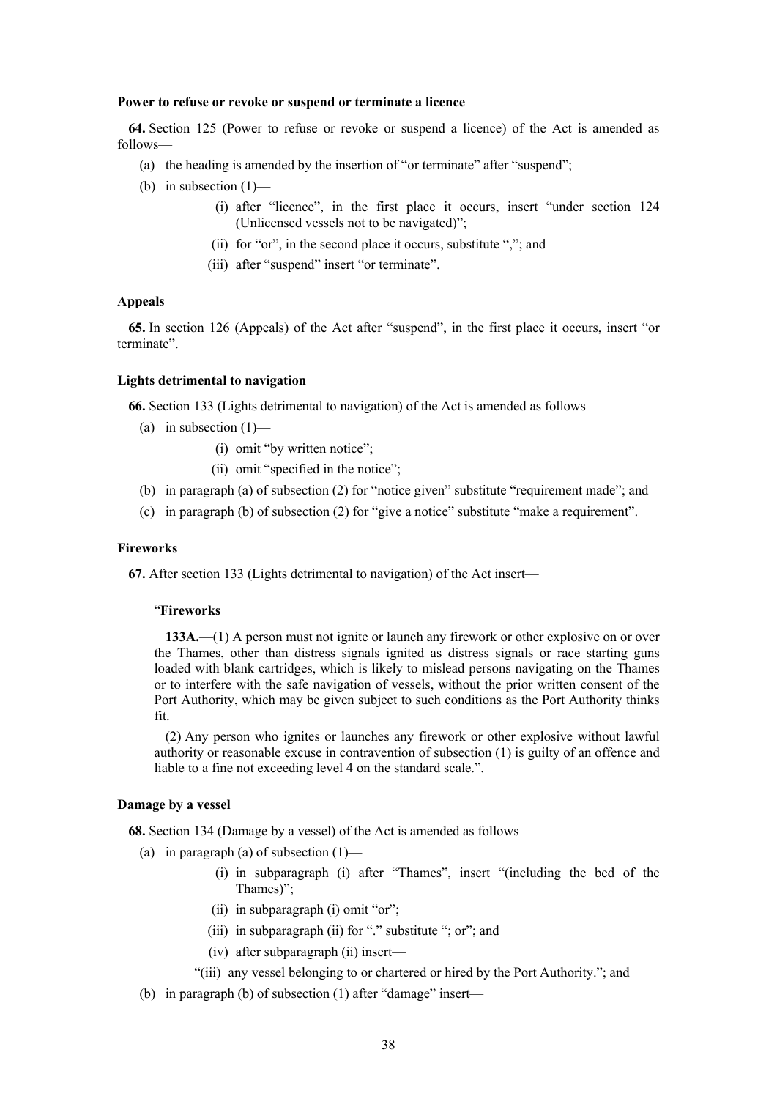#### **Power to refuse or revoke or suspend or terminate a licence**

**64.** Section 125 (Power to refuse or revoke or suspend a licence) of the Act is amended as follows—

- (a) the heading is amended by the insertion of "or terminate" after "suspend";
- (b) in subsection  $(1)$ 
	- (i) after "licence", in the first place it occurs, insert "under section 124 (Unlicensed vessels not to be navigated)";
	- (ii) for "or", in the second place it occurs, substitute ","; and
	- (iii) after "suspend" insert "or terminate".

#### **Appeals**

**65.** In section 126 (Appeals) of the Act after "suspend", in the first place it occurs, insert "or terminate".

### **Lights detrimental to navigation**

**66.** Section 133 (Lights detrimental to navigation) of the Act is amended as follows —

- (a) in subsection  $(1)$ 
	- (i) omit "by written notice";
	- (ii) omit "specified in the notice";
- (b) in paragraph (a) of subsection (2) for "notice given" substitute "requirement made"; and
- (c) in paragraph (b) of subsection (2) for "give a notice" substitute "make a requirement".

# **Fireworks**

**67.** After section 133 (Lights detrimental to navigation) of the Act insert—

#### "**Fireworks**

**133A.**—(1) A person must not ignite or launch any firework or other explosive on or over the Thames, other than distress signals ignited as distress signals or race starting guns loaded with blank cartridges, which is likely to mislead persons navigating on the Thames or to interfere with the safe navigation of vessels, without the prior written consent of the Port Authority, which may be given subject to such conditions as the Port Authority thinks fit.

(2) Any person who ignites or launches any firework or other explosive without lawful authority or reasonable excuse in contravention of subsection (1) is guilty of an offence and liable to a fine not exceeding level 4 on the standard scale.".

#### **Damage by a vessel**

**68.** Section 134 (Damage by a vessel) of the Act is amended as follows—

- (a) in paragraph (a) of subsection  $(1)$ 
	- (i) in subparagraph (i) after "Thames", insert "(including the bed of the Thames)";
	- (ii) in subparagraph (i) omit "or";
	- (iii) in subparagraph (ii) for "." substitute "; or"; and
	- (iv) after subparagraph (ii) insert—
	- "(iii) any vessel belonging to or chartered or hired by the Port Authority."; and
- (b) in paragraph (b) of subsection (1) after "damage" insert—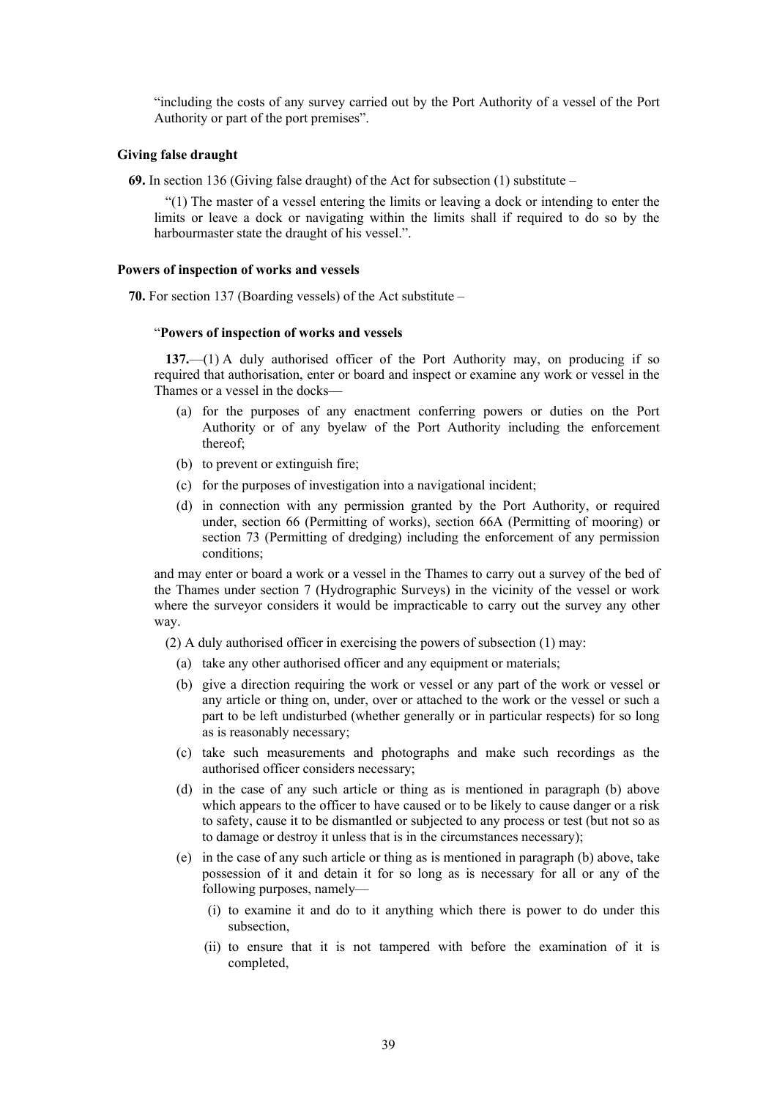"including the costs of any survey carried out by the Port Authority of a vessel of the Port Authority or part of the port premises".

#### **Giving false draught**

**69.** In section 136 (Giving false draught) of the Act for subsection (1) substitute –

"(1) The master of a vessel entering the limits or leaving a dock or intending to enter the limits or leave a dock or navigating within the limits shall if required to do so by the harbourmaster state the draught of his vessel.".

#### **Powers of inspection of works and vessels**

**70.** For section 137 (Boarding vessels) of the Act substitute –

#### "**Powers of inspection of works and vessels**

**137.**—(1) A duly authorised officer of the Port Authority may, on producing if so required that authorisation, enter or board and inspect or examine any work or vessel in the Thames or a vessel in the docks—

- (a) for the purposes of any enactment conferring powers or duties on the Port Authority or of any byelaw of the Port Authority including the enforcement thereof;
- (b) to prevent or extinguish fire;
- (c) for the purposes of investigation into a navigational incident;
- (d) in connection with any permission granted by the Port Authority, or required under, section 66 (Permitting of works), section 66A (Permitting of mooring) or section 73 (Permitting of dredging) including the enforcement of any permission conditions;

and may enter or board a work or a vessel in the Thames to carry out a survey of the bed of the Thames under section 7 (Hydrographic Surveys) in the vicinity of the vessel or work where the surveyor considers it would be impracticable to carry out the survey any other way.

(2) A duly authorised officer in exercising the powers of subsection (1) may:

- (a) take any other authorised officer and any equipment or materials;
- (b) give a direction requiring the work or vessel or any part of the work or vessel or any article or thing on, under, over or attached to the work or the vessel or such a part to be left undisturbed (whether generally or in particular respects) for so long as is reasonably necessary;
- (c) take such measurements and photographs and make such recordings as the authorised officer considers necessary;
- (d) in the case of any such article or thing as is mentioned in paragraph (b) above which appears to the officer to have caused or to be likely to cause danger or a risk to safety, cause it to be dismantled or subjected to any process or test (but not so as to damage or destroy it unless that is in the circumstances necessary);
- (e) in the case of any such article or thing as is mentioned in paragraph (b) above, take possession of it and detain it for so long as is necessary for all or any of the following purposes, namely—
	- (i) to examine it and do to it anything which there is power to do under this subsection,
	- (ii) to ensure that it is not tampered with before the examination of it is completed,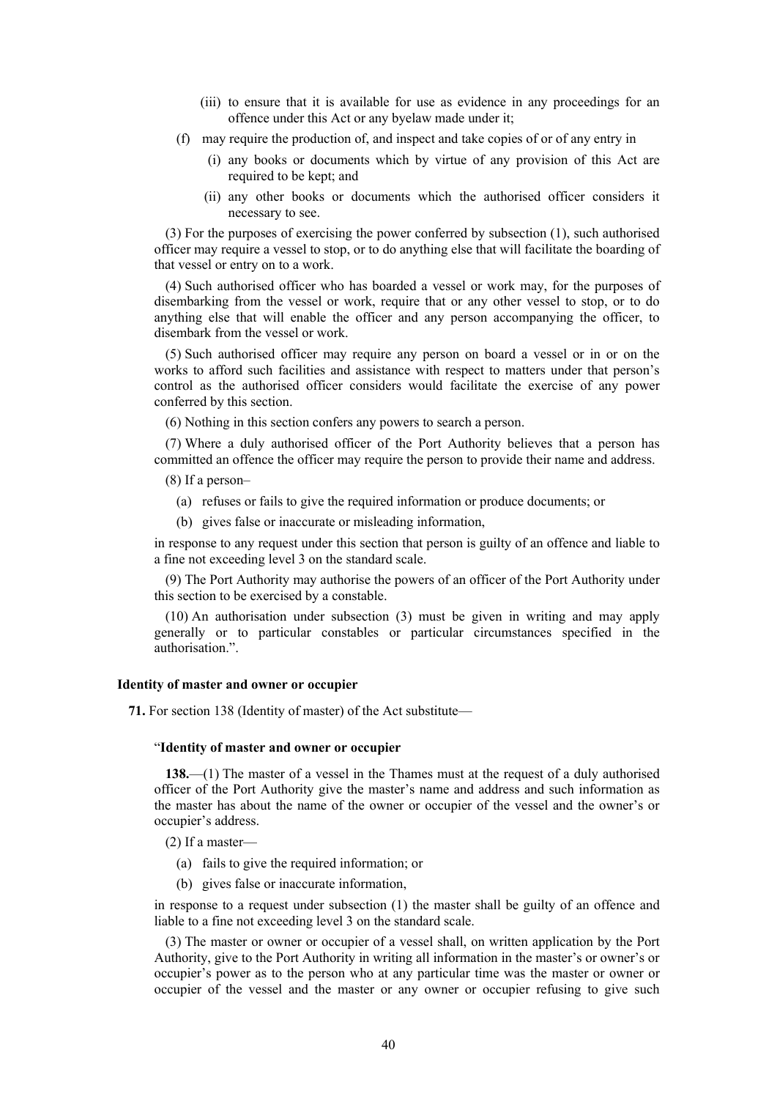- (iii) to ensure that it is available for use as evidence in any proceedings for an offence under this Act or any byelaw made under it;
- (f) may require the production of, and inspect and take copies of or of any entry in
	- (i) any books or documents which by virtue of any provision of this Act are required to be kept; and
	- (ii) any other books or documents which the authorised officer considers it necessary to see.

(3) For the purposes of exercising the power conferred by subsection (1), such authorised officer may require a vessel to stop, or to do anything else that will facilitate the boarding of that vessel or entry on to a work.

(4) Such authorised officer who has boarded a vessel or work may, for the purposes of disembarking from the vessel or work, require that or any other vessel to stop, or to do anything else that will enable the officer and any person accompanying the officer, to disembark from the vessel or work.

(5) Such authorised officer may require any person on board a vessel or in or on the works to afford such facilities and assistance with respect to matters under that person's control as the authorised officer considers would facilitate the exercise of any power conferred by this section.

(6) Nothing in this section confers any powers to search a person.

(7) Where a duly authorised officer of the Port Authority believes that a person has committed an offence the officer may require the person to provide their name and address.

(8) If a person–

- (a) refuses or fails to give the required information or produce documents; or
- (b) gives false or inaccurate or misleading information,

in response to any request under this section that person is guilty of an offence and liable to a fine not exceeding level 3 on the standard scale.

(9) The Port Authority may authorise the powers of an officer of the Port Authority under this section to be exercised by a constable.

(10) An authorisation under subsection (3) must be given in writing and may apply generally or to particular constables or particular circumstances specified in the authorisation.".

#### **Identity of master and owner or occupier**

**71.** For section 138 (Identity of master) of the Act substitute—

# "**Identity of master and owner or occupier**

**138.**—(1) The master of a vessel in the Thames must at the request of a duly authorised officer of the Port Authority give the master's name and address and such information as the master has about the name of the owner or occupier of the vessel and the owner's or occupier's address.

(2) If a master—

- (a) fails to give the required information; or
- (b) gives false or inaccurate information,

in response to a request under subsection (1) the master shall be guilty of an offence and liable to a fine not exceeding level 3 on the standard scale.

(3) The master or owner or occupier of a vessel shall, on written application by the Port Authority, give to the Port Authority in writing all information in the master's or owner's or occupier's power as to the person who at any particular time was the master or owner or occupier of the vessel and the master or any owner or occupier refusing to give such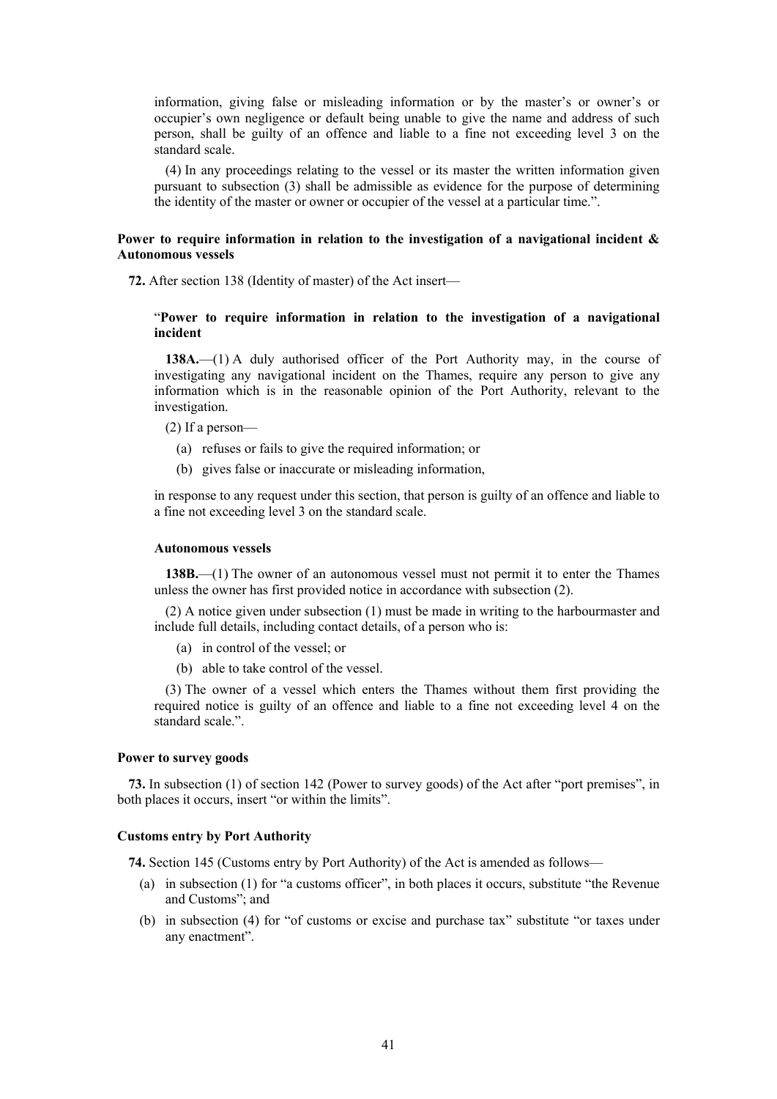information, giving false or misleading information or by the master's or owner's or occupier's own negligence or default being unable to give the name and address of such person, shall be guilty of an offence and liable to a fine not exceeding level 3 on the standard scale.

(4) In any proceedings relating to the vessel or its master the written information given pursuant to subsection (3) shall be admissible as evidence for the purpose of determining the identity of the master or owner or occupier of the vessel at a particular time.".

# **Power to require information in relation to the investigation of a navigational incident & Autonomous vessels**

**72.** After section 138 (Identity of master) of the Act insert—

# "**Power to require information in relation to the investigation of a navigational incident**

**138A.**—(1) A duly authorised officer of the Port Authority may, in the course of investigating any navigational incident on the Thames, require any person to give any information which is in the reasonable opinion of the Port Authority, relevant to the investigation.

- (2) If a person—
	- (a) refuses or fails to give the required information; or
	- (b) gives false or inaccurate or misleading information,

in response to any request under this section, that person is guilty of an offence and liable to a fine not exceeding level 3 on the standard scale.

# **Autonomous vessels**

**138B.**—(1) The owner of an autonomous vessel must not permit it to enter the Thames unless the owner has first provided notice in accordance with subsection (2).

(2) A notice given under subsection (1) must be made in writing to the harbourmaster and include full details, including contact details, of a person who is:

- (a) in control of the vessel; or
- (b) able to take control of the vessel.

(3) The owner of a vessel which enters the Thames without them first providing the required notice is guilty of an offence and liable to a fine not exceeding level 4 on the standard scale.".

#### **Power to survey goods**

**73.** In subsection (1) of section 142 (Power to survey goods) of the Act after "port premises", in both places it occurs, insert "or within the limits".

## **Customs entry by Port Authority**

**74.** Section 145 (Customs entry by Port Authority) of the Act is amended as follows—

- (a) in subsection (1) for "a customs officer", in both places it occurs, substitute "the Revenue and Customs"; and
- (b) in subsection (4) for "of customs or excise and purchase tax" substitute "or taxes under any enactment".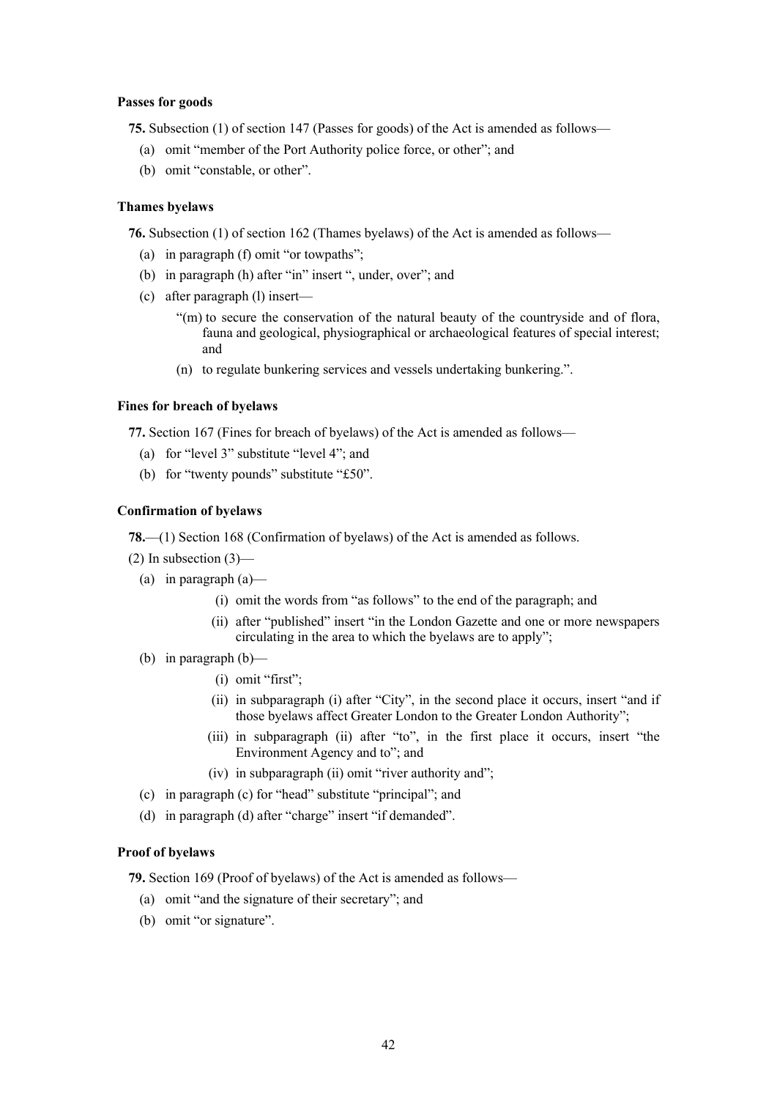# **Passes for goods**

**75.** Subsection (1) of section 147 (Passes for goods) of the Act is amended as follows—

- (a) omit "member of the Port Authority police force, or other"; and
- (b) omit "constable, or other".

# **Thames byelaws**

**76.** Subsection (1) of section 162 (Thames byelaws) of the Act is amended as follows—

- (a) in paragraph (f) omit "or towpaths";
- (b) in paragraph (h) after "in" insert ", under, over"; and
- (c) after paragraph (l) insert—
	- "(m) to secure the conservation of the natural beauty of the countryside and of flora, fauna and geological, physiographical or archaeological features of special interest; and
	- (n) to regulate bunkering services and vessels undertaking bunkering.".

# **Fines for breach of byelaws**

**77.** Section 167 (Fines for breach of byelaws) of the Act is amended as follows—

- (a) for "level 3" substitute "level 4"; and
- (b) for "twenty pounds" substitute "£50".

# **Confirmation of byelaws**

**78.**—(1) Section 168 (Confirmation of byelaws) of the Act is amended as follows.

- $(2)$  In subsection  $(3)$ 
	- (a) in paragraph  $(a)$ 
		- (i) omit the words from "as follows" to the end of the paragraph; and
		- (ii) after "published" insert "in the London Gazette and one or more newspapers circulating in the area to which the byelaws are to apply";
	- (b) in paragraph (b)—
		- (i) omit "first";
		- (ii) in subparagraph (i) after "City", in the second place it occurs, insert "and if those byelaws affect Greater London to the Greater London Authority";
		- (iii) in subparagraph (ii) after "to", in the first place it occurs, insert "the Environment Agency and to"; and
		- (iv) in subparagraph (ii) omit "river authority and";
	- (c) in paragraph (c) for "head" substitute "principal"; and
	- (d) in paragraph (d) after "charge" insert "if demanded".

# **Proof of byelaws**

**79.** Section 169 (Proof of byelaws) of the Act is amended as follows—

- (a) omit "and the signature of their secretary"; and
- (b) omit "or signature".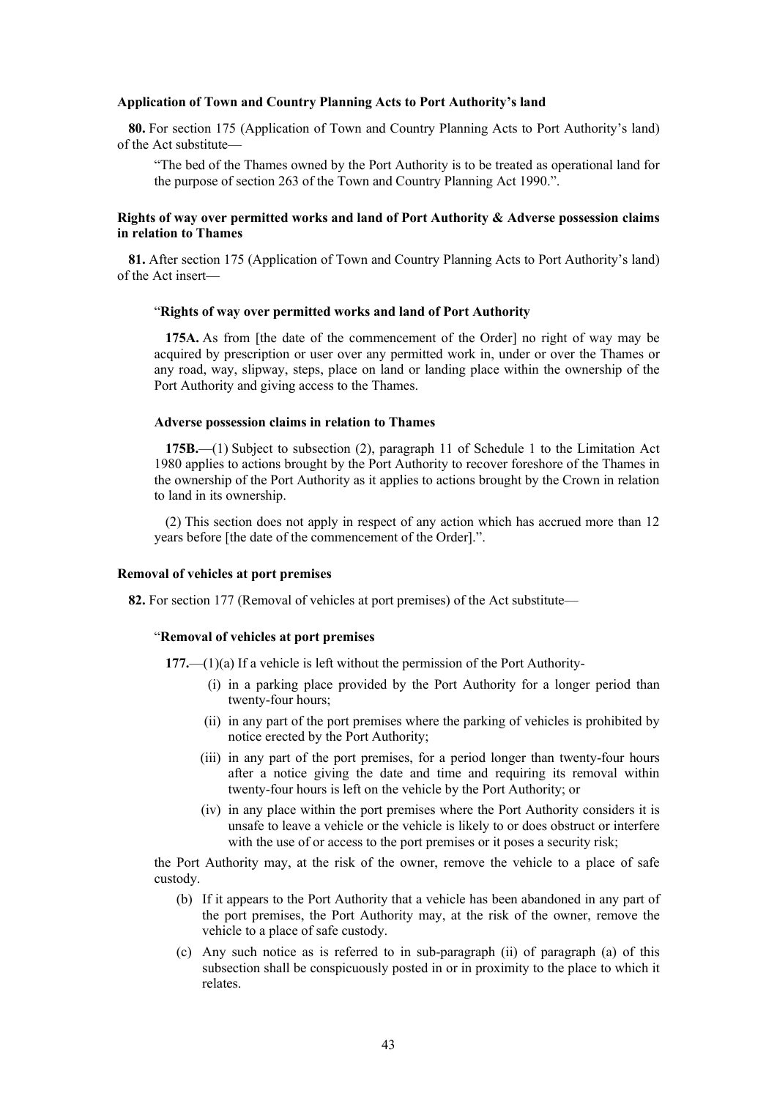#### **Application of Town and Country Planning Acts to Port Authority's land**

**80.** For section 175 (Application of Town and Country Planning Acts to Port Authority's land) of the Act substitute—

"The bed of the Thames owned by the Port Authority is to be treated as operational land for the purpose of section 263 of the Town and Country Planning Act 1990.".

# **Rights of way over permitted works and land of Port Authority & Adverse possession claims in relation to Thames**

**81.** After section 175 (Application of Town and Country Planning Acts to Port Authority's land) of the Act insert—

#### "**Rights of way over permitted works and land of Port Authority**

**175A.** As from [the date of the commencement of the Order] no right of way may be acquired by prescription or user over any permitted work in, under or over the Thames or any road, way, slipway, steps, place on land or landing place within the ownership of the Port Authority and giving access to the Thames.

#### **Adverse possession claims in relation to Thames**

**175B.**—(1) Subject to subsection (2), paragraph 11 of Schedule 1 to the Limitation Act 1980 applies to actions brought by the Port Authority to recover foreshore of the Thames in the ownership of the Port Authority as it applies to actions brought by the Crown in relation to land in its ownership.

(2) This section does not apply in respect of any action which has accrued more than 12 years before [the date of the commencement of the Order].".

### **Removal of vehicles at port premises**

**82.** For section 177 (Removal of vehicles at port premises) of the Act substitute—

# "**Removal of vehicles at port premises**

**177.**—(1)(a) If a vehicle is left without the permission of the Port Authority-

- (i) in a parking place provided by the Port Authority for a longer period than twenty-four hours;
- (ii) in any part of the port premises where the parking of vehicles is prohibited by notice erected by the Port Authority;
- (iii) in any part of the port premises, for a period longer than twenty-four hours after a notice giving the date and time and requiring its removal within twenty-four hours is left on the vehicle by the Port Authority; or
- (iv) in any place within the port premises where the Port Authority considers it is unsafe to leave a vehicle or the vehicle is likely to or does obstruct or interfere with the use of or access to the port premises or it poses a security risk;

the Port Authority may, at the risk of the owner, remove the vehicle to a place of safe custody.

- (b) If it appears to the Port Authority that a vehicle has been abandoned in any part of the port premises, the Port Authority may, at the risk of the owner, remove the vehicle to a place of safe custody.
- (c) Any such notice as is referred to in sub-paragraph (ii) of paragraph (a) of this subsection shall be conspicuously posted in or in proximity to the place to which it relates.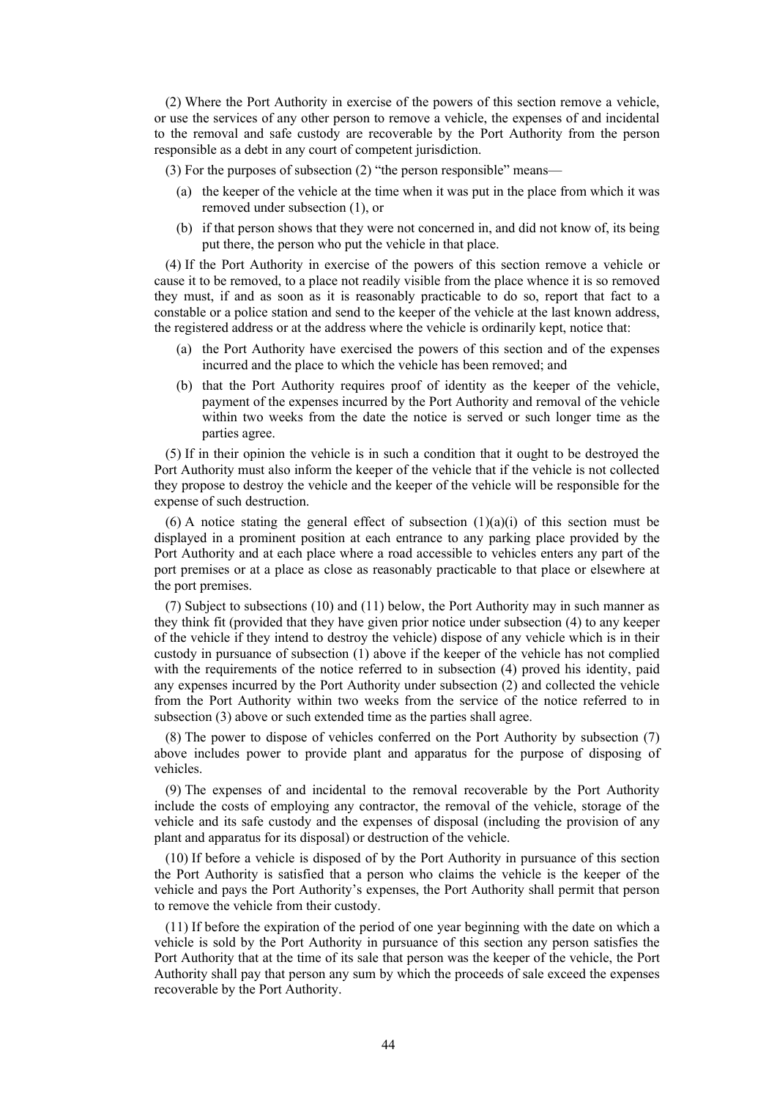(2) Where the Port Authority in exercise of the powers of this section remove a vehicle, or use the services of any other person to remove a vehicle, the expenses of and incidental to the removal and safe custody are recoverable by the Port Authority from the person responsible as a debt in any court of competent jurisdiction.

(3) For the purposes of subsection (2) "the person responsible" means—

- (a) the keeper of the vehicle at the time when it was put in the place from which it was removed under subsection (1), or
- (b) if that person shows that they were not concerned in, and did not know of, its being put there, the person who put the vehicle in that place.

(4) If the Port Authority in exercise of the powers of this section remove a vehicle or cause it to be removed, to a place not readily visible from the place whence it is so removed they must, if and as soon as it is reasonably practicable to do so, report that fact to a constable or a police station and send to the keeper of the vehicle at the last known address, the registered address or at the address where the vehicle is ordinarily kept, notice that:

- (a) the Port Authority have exercised the powers of this section and of the expenses incurred and the place to which the vehicle has been removed; and
- (b) that the Port Authority requires proof of identity as the keeper of the vehicle, payment of the expenses incurred by the Port Authority and removal of the vehicle within two weeks from the date the notice is served or such longer time as the parties agree.

(5) If in their opinion the vehicle is in such a condition that it ought to be destroyed the Port Authority must also inform the keeper of the vehicle that if the vehicle is not collected they propose to destroy the vehicle and the keeper of the vehicle will be responsible for the expense of such destruction.

(6) A notice stating the general effect of subsection  $(1)(a)(i)$  of this section must be displayed in a prominent position at each entrance to any parking place provided by the Port Authority and at each place where a road accessible to vehicles enters any part of the port premises or at a place as close as reasonably practicable to that place or elsewhere at the port premises.

(7) Subject to subsections (10) and (11) below, the Port Authority may in such manner as they think fit (provided that they have given prior notice under subsection (4) to any keeper of the vehicle if they intend to destroy the vehicle) dispose of any vehicle which is in their custody in pursuance of subsection (1) above if the keeper of the vehicle has not complied with the requirements of the notice referred to in subsection (4) proved his identity, paid any expenses incurred by the Port Authority under subsection (2) and collected the vehicle from the Port Authority within two weeks from the service of the notice referred to in subsection (3) above or such extended time as the parties shall agree.

(8) The power to dispose of vehicles conferred on the Port Authority by subsection (7) above includes power to provide plant and apparatus for the purpose of disposing of vehicles.

(9) The expenses of and incidental to the removal recoverable by the Port Authority include the costs of employing any contractor, the removal of the vehicle, storage of the vehicle and its safe custody and the expenses of disposal (including the provision of any plant and apparatus for its disposal) or destruction of the vehicle.

(10) If before a vehicle is disposed of by the Port Authority in pursuance of this section the Port Authority is satisfied that a person who claims the vehicle is the keeper of the vehicle and pays the Port Authority's expenses, the Port Authority shall permit that person to remove the vehicle from their custody.

(11) If before the expiration of the period of one year beginning with the date on which a vehicle is sold by the Port Authority in pursuance of this section any person satisfies the Port Authority that at the time of its sale that person was the keeper of the vehicle, the Port Authority shall pay that person any sum by which the proceeds of sale exceed the expenses recoverable by the Port Authority.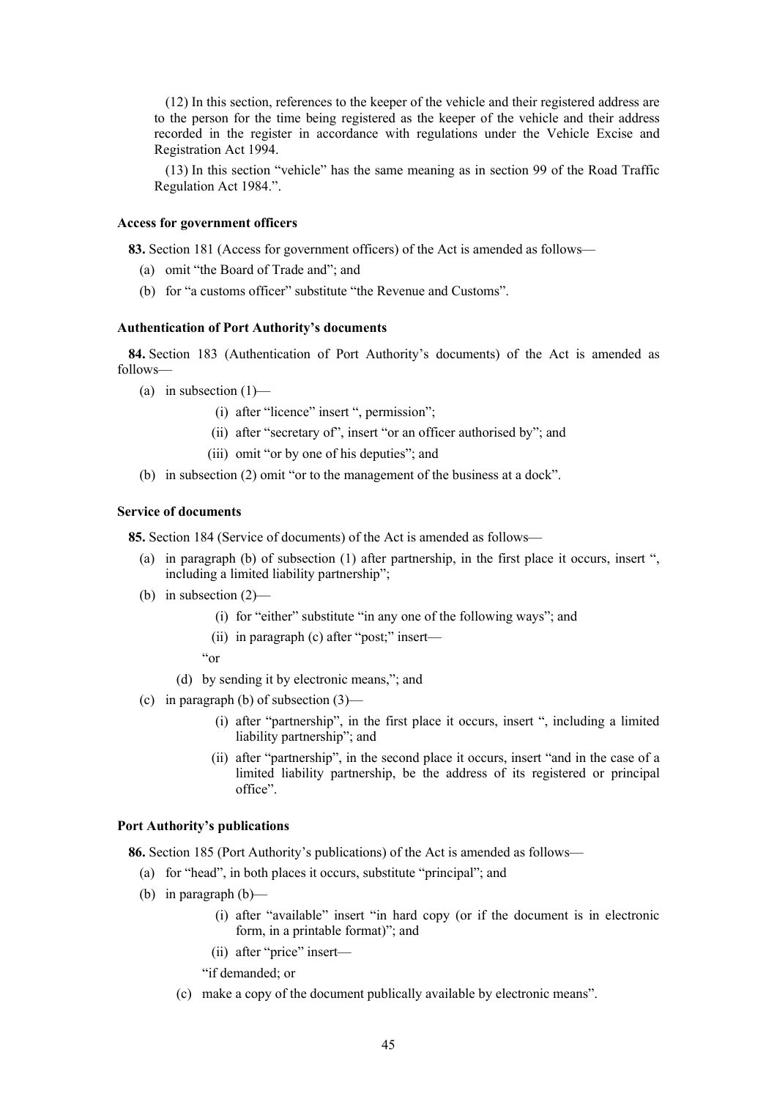(12) In this section, references to the keeper of the vehicle and their registered address are to the person for the time being registered as the keeper of the vehicle and their address recorded in the register in accordance with regulations under the Vehicle Excise and Registration Act 1994.

(13) In this section "vehicle" has the same meaning as in section 99 of the Road Traffic Regulation Act 1984.".

# **Access for government officers**

**83.** Section 181 (Access for government officers) of the Act is amended as follows—

- (a) omit "the Board of Trade and"; and
- (b) for "a customs officer" substitute "the Revenue and Customs".

# **Authentication of Port Authority's documents**

**84.** Section 183 (Authentication of Port Authority's documents) of the Act is amended as follows—

- (a) in subsection  $(1)$ 
	- (i) after "licence" insert ", permission";
	- (ii) after "secretary of", insert "or an officer authorised by"; and
	- (iii) omit "or by one of his deputies"; and
- (b) in subsection (2) omit "or to the management of the business at a dock".

# **Service of documents**

**85.** Section 184 (Service of documents) of the Act is amended as follows—

- (a) in paragraph (b) of subsection (1) after partnership, in the first place it occurs, insert ", including a limited liability partnership";
- (b) in subsection (2)—
	- (i) for "either" substitute "in any one of the following ways"; and
	- (ii) in paragraph (c) after "post;" insert—
	- "or
	- (d) by sending it by electronic means,"; and
- (c) in paragraph (b) of subsection (3)—
	- (i) after "partnership", in the first place it occurs, insert ", including a limited liability partnership"; and
	- (ii) after "partnership", in the second place it occurs, insert "and in the case of a limited liability partnership, be the address of its registered or principal office".

# **Port Authority's publications**

**86.** Section 185 (Port Authority's publications) of the Act is amended as follows—

- (a) for "head", in both places it occurs, substitute "principal"; and
- (b) in paragraph (b)—
	- (i) after "available" insert "in hard copy (or if the document is in electronic form, in a printable format)"; and
	- (ii) after "price" insert—

"if demanded; or

(c) make a copy of the document publically available by electronic means".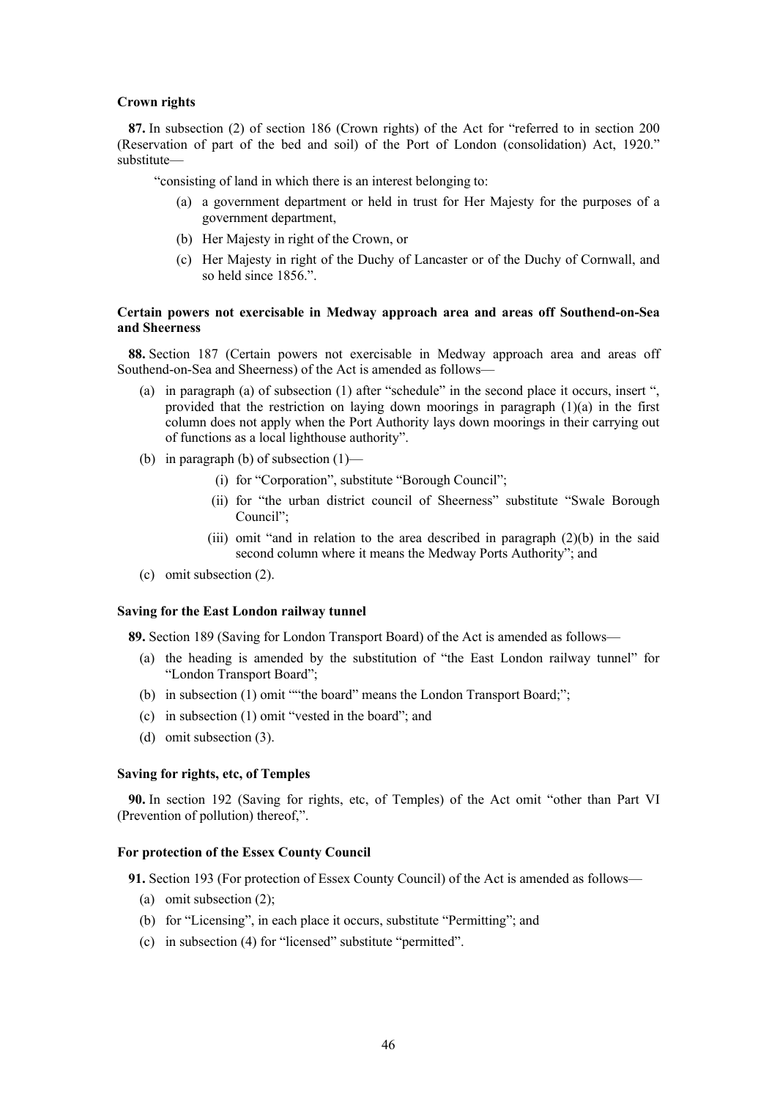# **Crown rights**

**87.** In subsection (2) of section 186 (Crown rights) of the Act for "referred to in section 200 (Reservation of part of the bed and soil) of the Port of London (consolidation) Act, 1920." substitute—

"consisting of land in which there is an interest belonging to:

- (a) a government department or held in trust for Her Majesty for the purposes of a government department,
- (b) Her Majesty in right of the Crown, or
- (c) Her Majesty in right of the Duchy of Lancaster or of the Duchy of Cornwall, and so held since 1856.".

# **Certain powers not exercisable in Medway approach area and areas off Southend-on-Sea and Sheerness**

**88.** Section 187 (Certain powers not exercisable in Medway approach area and areas off Southend-on-Sea and Sheerness) of the Act is amended as follows—

- (a) in paragraph (a) of subsection (1) after "schedule" in the second place it occurs, insert ", provided that the restriction on laying down moorings in paragraph  $(1)(a)$  in the first column does not apply when the Port Authority lays down moorings in their carrying out of functions as a local lighthouse authority".
- (b) in paragraph (b) of subsection (1)—
	- (i) for "Corporation", substitute "Borough Council";
	- (ii) for "the urban district council of Sheerness" substitute "Swale Borough Council";
	- (iii) omit "and in relation to the area described in paragraph (2)(b) in the said second column where it means the Medway Ports Authority"; and
- (c) omit subsection (2).

#### **Saving for the East London railway tunnel**

**89.** Section 189 (Saving for London Transport Board) of the Act is amended as follows—

- (a) the heading is amended by the substitution of "the East London railway tunnel" for "London Transport Board";
- (b) in subsection (1) omit ""the board" means the London Transport Board;";
- (c) in subsection (1) omit "vested in the board"; and
- (d) omit subsection (3).

# **Saving for rights, etc, of Temples**

**90.** In section 192 (Saving for rights, etc, of Temples) of the Act omit "other than Part VI (Prevention of pollution) thereof,".

# **For protection of the Essex County Council**

**91.** Section 193 (For protection of Essex County Council) of the Act is amended as follows—

- (a) omit subsection (2);
- (b) for "Licensing", in each place it occurs, substitute "Permitting"; and
- (c) in subsection (4) for "licensed" substitute "permitted".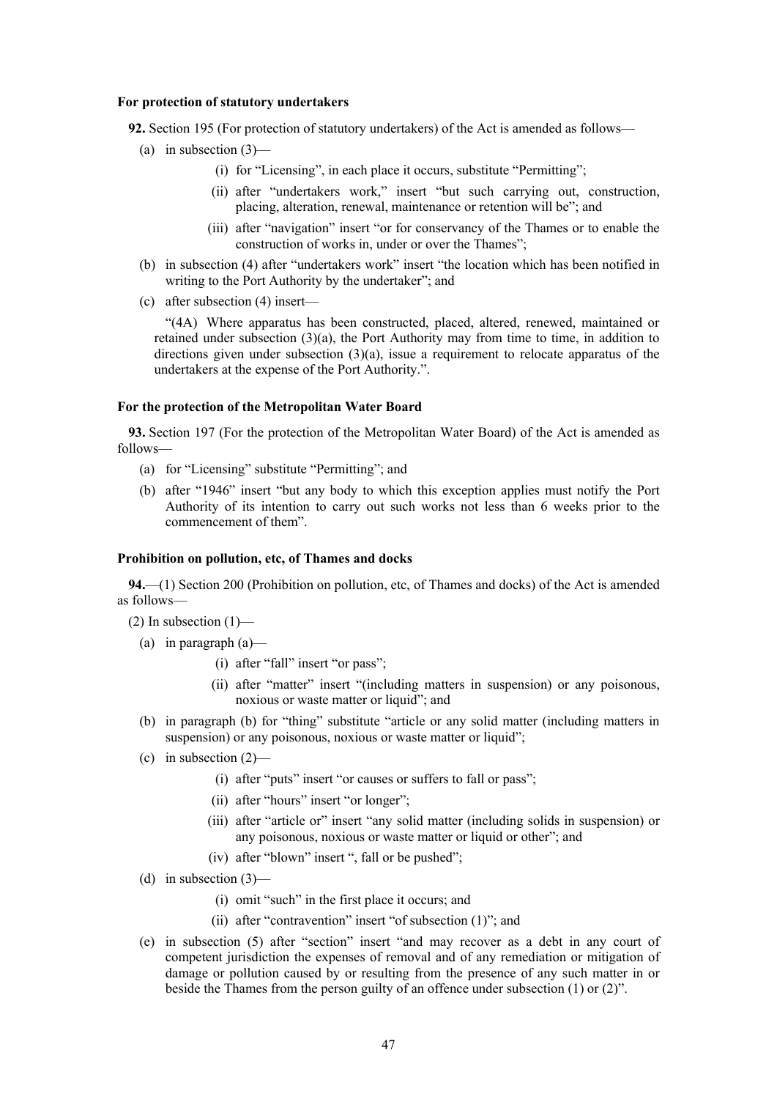#### **For protection of statutory undertakers**

**92.** Section 195 (For protection of statutory undertakers) of the Act is amended as follows—

- (a) in subsection  $(3)$ 
	- (i) for "Licensing", in each place it occurs, substitute "Permitting";
	- (ii) after "undertakers work," insert "but such carrying out, construction, placing, alteration, renewal, maintenance or retention will be"; and
	- (iii) after "navigation" insert "or for conservancy of the Thames or to enable the construction of works in, under or over the Thames";
- (b) in subsection (4) after "undertakers work" insert "the location which has been notified in writing to the Port Authority by the undertaker"; and
- (c) after subsection (4) insert—

"(4A) Where apparatus has been constructed, placed, altered, renewed, maintained or retained under subsection (3)(a), the Port Authority may from time to time, in addition to directions given under subsection  $(3)(a)$ , issue a requirement to relocate apparatus of the undertakers at the expense of the Port Authority.".

#### **For the protection of the Metropolitan Water Board**

**93.** Section 197 (For the protection of the Metropolitan Water Board) of the Act is amended as follows—

- (a) for "Licensing" substitute "Permitting"; and
- (b) after "1946" insert "but any body to which this exception applies must notify the Port Authority of its intention to carry out such works not less than 6 weeks prior to the commencement of them".

#### **Prohibition on pollution, etc, of Thames and docks**

**94.**—(1) Section 200 (Prohibition on pollution, etc, of Thames and docks) of the Act is amended as follows—

 $(2)$  In subsection  $(1)$ —

- (a) in paragraph  $(a)$ 
	- (i) after "fall" insert "or pass";
	- (ii) after "matter" insert "(including matters in suspension) or any poisonous, noxious or waste matter or liquid"; and
- (b) in paragraph (b) for "thing" substitute "article or any solid matter (including matters in suspension) or any poisonous, noxious or waste matter or liquid";
- (c) in subsection  $(2)$ 
	- (i) after "puts" insert "or causes or suffers to fall or pass";
	- (ii) after "hours" insert "or longer";
	- (iii) after "article or" insert "any solid matter (including solids in suspension) or any poisonous, noxious or waste matter or liquid or other"; and
	- (iv) after "blown" insert ", fall or be pushed";
- (d) in subsection  $(3)$ 
	- (i) omit "such" in the first place it occurs; and
	- (ii) after "contravention" insert "of subsection (1)"; and
- (e) in subsection (5) after "section" insert "and may recover as a debt in any court of competent jurisdiction the expenses of removal and of any remediation or mitigation of damage or pollution caused by or resulting from the presence of any such matter in or beside the Thames from the person guilty of an offence under subsection (1) or (2)".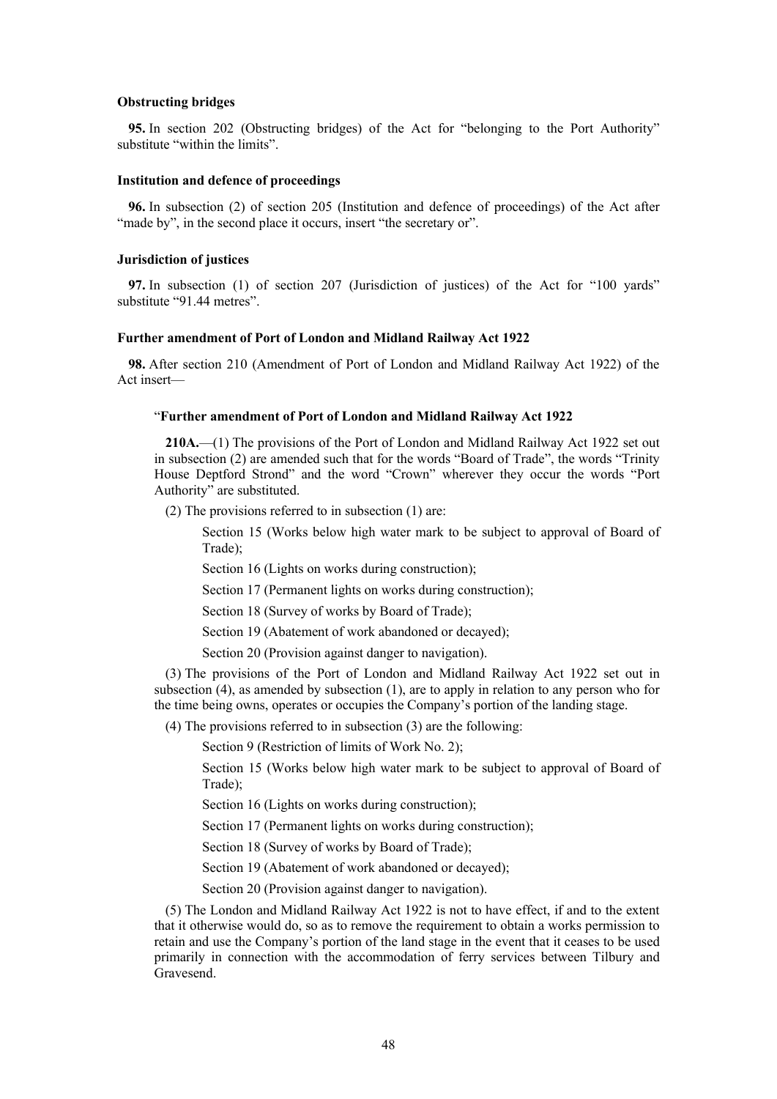#### **Obstructing bridges**

**95.** In section 202 (Obstructing bridges) of the Act for "belonging to the Port Authority" substitute "within the limits".

# **Institution and defence of proceedings**

**96.** In subsection (2) of section 205 (Institution and defence of proceedings) of the Act after "made by", in the second place it occurs, insert "the secretary or".

#### **Jurisdiction of justices**

**97.** In subsection (1) of section 207 (Jurisdiction of justices) of the Act for "100 yards" substitute "91.44 metres".

# **Further amendment of Port of London and Midland Railway Act 1922**

**98.** After section 210 (Amendment of Port of London and Midland Railway Act 1922) of the Act insert—

#### "**Further amendment of Port of London and Midland Railway Act 1922**

**210A.**—(1) The provisions of the Port of London and Midland Railway Act 1922 set out in subsection (2) are amended such that for the words "Board of Trade", the words "Trinity House Deptford Strond" and the word "Crown" wherever they occur the words "Port Authority" are substituted.

(2) The provisions referred to in subsection (1) are:

Section 15 (Works below high water mark to be subject to approval of Board of Trade);

Section 16 (Lights on works during construction);

Section 17 (Permanent lights on works during construction);

Section 18 (Survey of works by Board of Trade);

Section 19 (Abatement of work abandoned or decayed);

Section 20 (Provision against danger to navigation).

(3) The provisions of the Port of London and Midland Railway Act 1922 set out in subsection (4), as amended by subsection (1), are to apply in relation to any person who for the time being owns, operates or occupies the Company's portion of the landing stage.

(4) The provisions referred to in subsection (3) are the following:

Section 9 (Restriction of limits of Work No. 2);

Section 15 (Works below high water mark to be subject to approval of Board of Trade);

Section 16 (Lights on works during construction);

Section 17 (Permanent lights on works during construction);

Section 18 (Survey of works by Board of Trade);

Section 19 (Abatement of work abandoned or decayed);

Section 20 (Provision against danger to navigation).

(5) The London and Midland Railway Act 1922 is not to have effect, if and to the extent that it otherwise would do, so as to remove the requirement to obtain a works permission to retain and use the Company's portion of the land stage in the event that it ceases to be used primarily in connection with the accommodation of ferry services between Tilbury and Gravesend.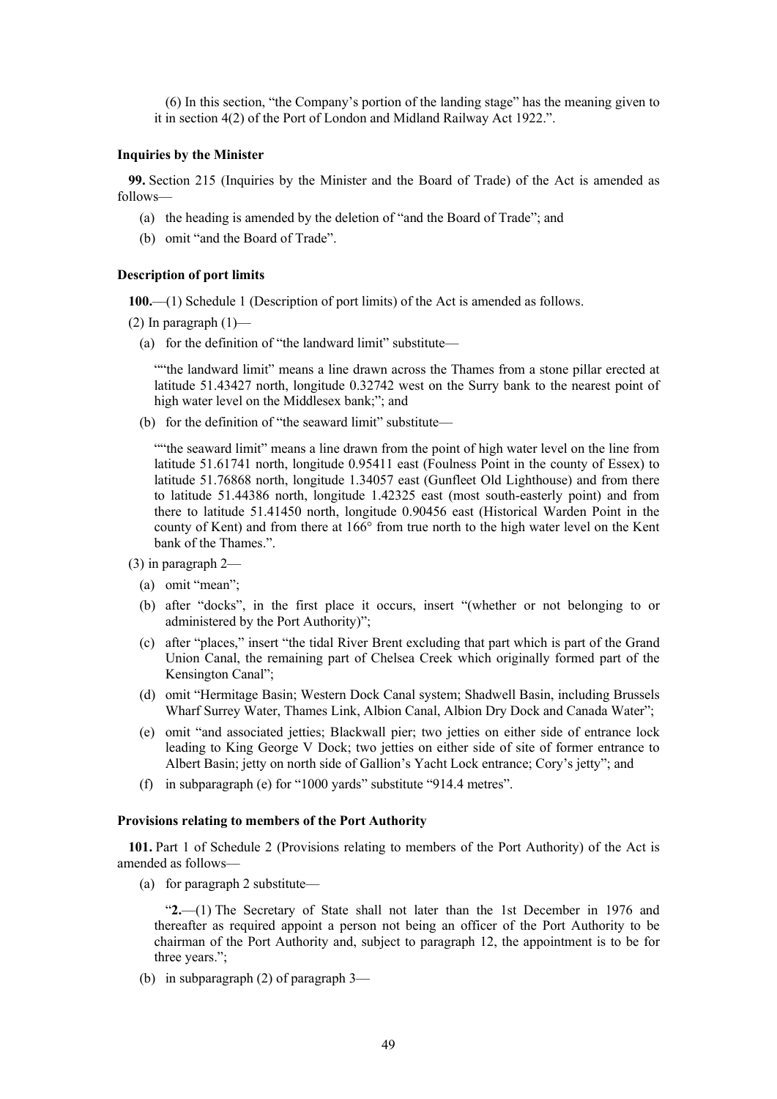(6) In this section, "the Company's portion of the landing stage" has the meaning given to it in section 4(2) of the Port of London and Midland Railway Act 1922.".

#### **Inquiries by the Minister**

**99.** Section 215 (Inquiries by the Minister and the Board of Trade) of the Act is amended as follows—

- (a) the heading is amended by the deletion of "and the Board of Trade"; and
- (b) omit "and the Board of Trade".

# **Description of port limits**

**100.**—(1) Schedule 1 (Description of port limits) of the Act is amended as follows.

(2) In paragraph  $(1)$ —

(a) for the definition of "the landward limit" substitute—

""the landward limit" means a line drawn across the Thames from a stone pillar erected at latitude 51.43427 north, longitude 0.32742 west on the Surry bank to the nearest point of high water level on the Middlesex bank;"; and

(b) for the definition of "the seaward limit" substitute—

""the seaward limit" means a line drawn from the point of high water level on the line from latitude 51.61741 north, longitude 0.95411 east (Foulness Point in the county of Essex) to latitude 51.76868 north, longitude 1.34057 east (Gunfleet Old Lighthouse) and from there to latitude 51.44386 north, longitude 1.42325 east (most south-easterly point) and from there to latitude 51.41450 north, longitude 0.90456 east (Historical Warden Point in the county of Kent) and from there at 166° from true north to the high water level on the Kent bank of the Thames.".

- (3) in paragraph 2—
	- (a) omit "mean";
	- (b) after "docks", in the first place it occurs, insert "(whether or not belonging to or administered by the Port Authority)";
	- (c) after "places," insert "the tidal River Brent excluding that part which is part of the Grand Union Canal, the remaining part of Chelsea Creek which originally formed part of the Kensington Canal";
	- (d) omit "Hermitage Basin; Western Dock Canal system; Shadwell Basin, including Brussels Wharf Surrey Water, Thames Link, Albion Canal, Albion Dry Dock and Canada Water";
	- (e) omit "and associated jetties; Blackwall pier; two jetties on either side of entrance lock leading to King George V Dock; two jetties on either side of site of former entrance to Albert Basin; jetty on north side of Gallion's Yacht Lock entrance; Cory's jetty"; and
	- (f) in subparagraph (e) for "1000 yards" substitute "914.4 metres".

# **Provisions relating to members of the Port Authority**

**101.** Part 1 of Schedule 2 (Provisions relating to members of the Port Authority) of the Act is amended as follows—

(a) for paragraph 2 substitute—

"**2.**—(1) The Secretary of State shall not later than the 1st December in 1976 and thereafter as required appoint a person not being an officer of the Port Authority to be chairman of the Port Authority and, subject to paragraph 12, the appointment is to be for three years.";

(b) in subparagraph (2) of paragraph 3—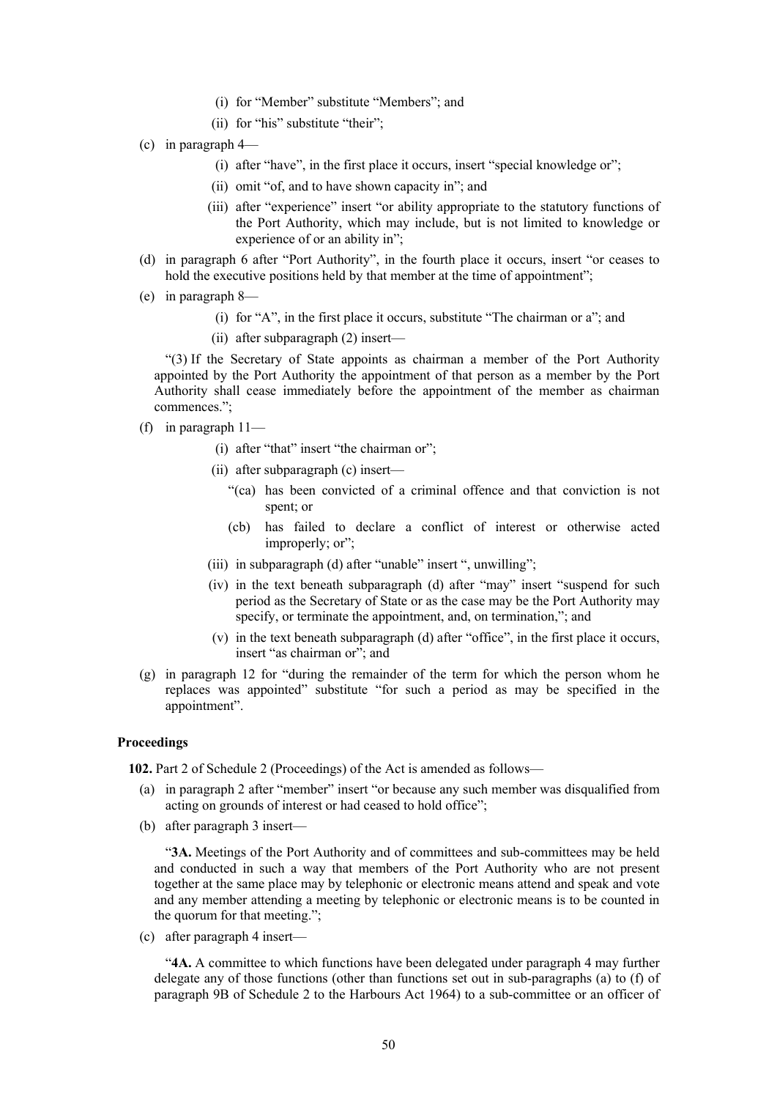- (i) for "Member" substitute "Members"; and
- (ii) for "his" substitute "their";
- (c) in paragraph 4—
	- (i) after "have", in the first place it occurs, insert "special knowledge or";
	- (ii) omit "of, and to have shown capacity in"; and
	- (iii) after "experience" insert "or ability appropriate to the statutory functions of the Port Authority, which may include, but is not limited to knowledge or experience of or an ability in";
- (d) in paragraph 6 after "Port Authority", in the fourth place it occurs, insert "or ceases to hold the executive positions held by that member at the time of appointment";
- (e) in paragraph 8—
	- (i) for "A", in the first place it occurs, substitute "The chairman or a"; and
	- (ii) after subparagraph (2) insert—

"(3) If the Secretary of State appoints as chairman a member of the Port Authority appointed by the Port Authority the appointment of that person as a member by the Port Authority shall cease immediately before the appointment of the member as chairman commences.";

- (f) in paragraph  $11-$ 
	- (i) after "that" insert "the chairman or";
	- (ii) after subparagraph (c) insert—
		- "(ca) has been convicted of a criminal offence and that conviction is not spent; or
		- (cb) has failed to declare a conflict of interest or otherwise acted improperly; or";
	- (iii) in subparagraph (d) after "unable" insert ", unwilling";
	- (iv) in the text beneath subparagraph (d) after "may" insert "suspend for such period as the Secretary of State or as the case may be the Port Authority may specify, or terminate the appointment, and, on termination,"; and
	- (v) in the text beneath subparagraph (d) after "office", in the first place it occurs, insert "as chairman or"; and
- (g) in paragraph 12 for "during the remainder of the term for which the person whom he replaces was appointed" substitute "for such a period as may be specified in the appointment".

# **Proceedings**

**102.** Part 2 of Schedule 2 (Proceedings) of the Act is amended as follows—

- (a) in paragraph 2 after "member" insert "or because any such member was disqualified from acting on grounds of interest or had ceased to hold office";
- (b) after paragraph 3 insert—

"**3A.** Meetings of the Port Authority and of committees and sub-committees may be held and conducted in such a way that members of the Port Authority who are not present together at the same place may by telephonic or electronic means attend and speak and vote and any member attending a meeting by telephonic or electronic means is to be counted in the quorum for that meeting.";

(c) after paragraph 4 insert—

"**4A.** A committee to which functions have been delegated under paragraph 4 may further delegate any of those functions (other than functions set out in sub-paragraphs (a) to (f) of paragraph 9B of Schedule 2 to the Harbours Act 1964) to a sub-committee or an officer of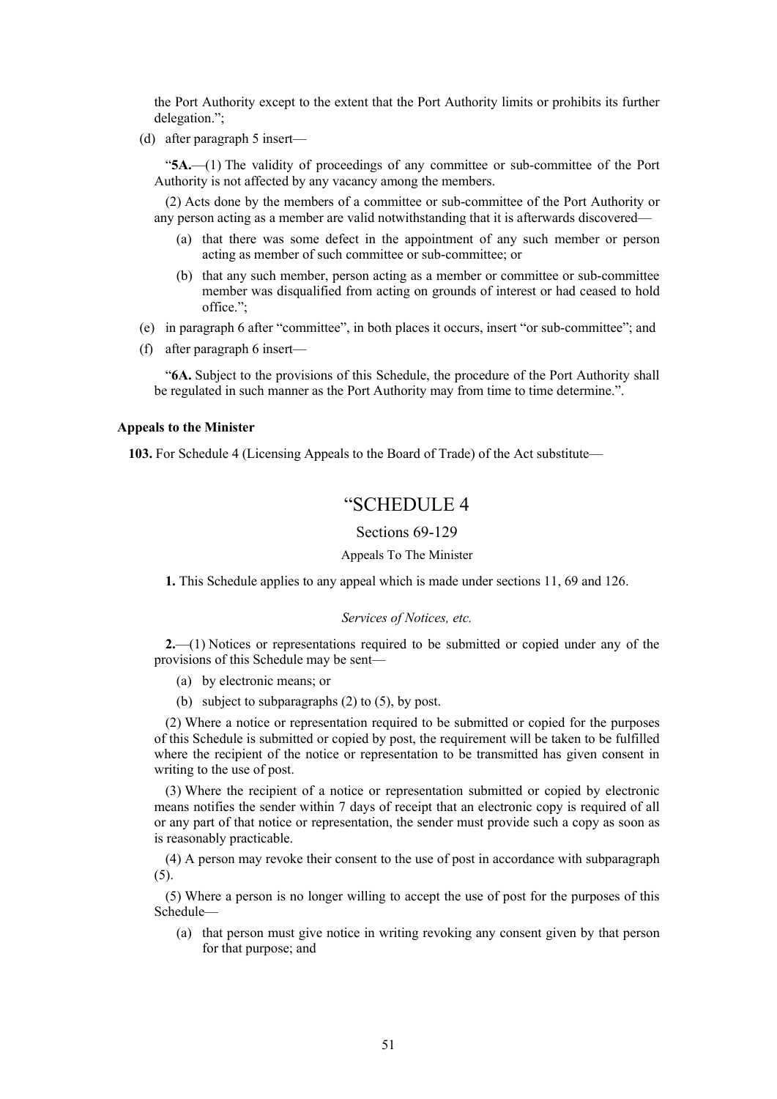the Port Authority except to the extent that the Port Authority limits or prohibits its further delegation.";

(d) after paragraph 5 insert—

"**5A.**—(1) The validity of proceedings of any committee or sub-committee of the Port Authority is not affected by any vacancy among the members.

(2) Acts done by the members of a committee or sub-committee of the Port Authority or any person acting as a member are valid notwithstanding that it is afterwards discovered—

- (a) that there was some defect in the appointment of any such member or person acting as member of such committee or sub-committee; or
- (b) that any such member, person acting as a member or committee or sub-committee member was disqualified from acting on grounds of interest or had ceased to hold office.";
- (e) in paragraph 6 after "committee", in both places it occurs, insert "or sub-committee"; and
- (f) after paragraph 6 insert—

"**6A.** Subject to the provisions of this Schedule, the procedure of the Port Authority shall be regulated in such manner as the Port Authority may from time to time determine.".

# **Appeals to the Minister**

**103.** For Schedule 4 (Licensing Appeals to the Board of Trade) of the Act substitute—

# "SCHEDULE 4

Sections 69-129

#### Appeals To The Minister

**1.** This Schedule applies to any appeal which is made under sections 11, 69 and 126.

#### *Services of Notices, etc.*

**2.**—(1) Notices or representations required to be submitted or copied under any of the provisions of this Schedule may be sent—

- (a) by electronic means; or
- (b) subject to subparagraphs (2) to (5), by post.

(2) Where a notice or representation required to be submitted or copied for the purposes of this Schedule is submitted or copied by post, the requirement will be taken to be fulfilled where the recipient of the notice or representation to be transmitted has given consent in writing to the use of post.

(3) Where the recipient of a notice or representation submitted or copied by electronic means notifies the sender within 7 days of receipt that an electronic copy is required of all or any part of that notice or representation, the sender must provide such a copy as soon as is reasonably practicable.

(4) A person may revoke their consent to the use of post in accordance with subparagraph (5).

(5) Where a person is no longer willing to accept the use of post for the purposes of this Schedule—

(a) that person must give notice in writing revoking any consent given by that person for that purpose; and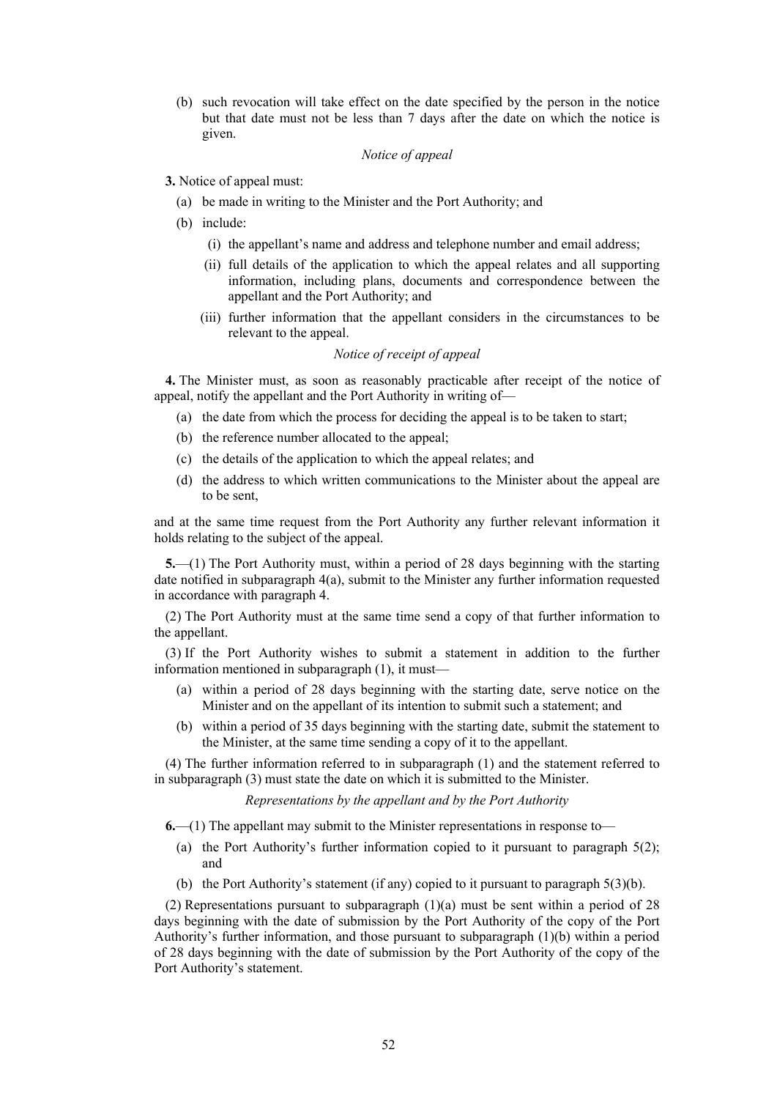(b) such revocation will take effect on the date specified by the person in the notice but that date must not be less than 7 days after the date on which the notice is given.

# *Notice of appeal*

### **3.** Notice of appeal must:

- (a) be made in writing to the Minister and the Port Authority; and
- (b) include:
	- (i) the appellant's name and address and telephone number and email address;
	- (ii) full details of the application to which the appeal relates and all supporting information, including plans, documents and correspondence between the appellant and the Port Authority; and
	- (iii) further information that the appellant considers in the circumstances to be relevant to the appeal.

# *Notice of receipt of appeal*

**4.** The Minister must, as soon as reasonably practicable after receipt of the notice of appeal, notify the appellant and the Port Authority in writing of—

- (a) the date from which the process for deciding the appeal is to be taken to start;
- (b) the reference number allocated to the appeal;
- (c) the details of the application to which the appeal relates; and
- (d) the address to which written communications to the Minister about the appeal are to be sent,

and at the same time request from the Port Authority any further relevant information it holds relating to the subject of the appeal.

**5.**—(1) The Port Authority must, within a period of 28 days beginning with the starting date notified in subparagraph 4(a), submit to the Minister any further information requested in accordance with paragraph 4.

(2) The Port Authority must at the same time send a copy of that further information to the appellant.

(3) If the Port Authority wishes to submit a statement in addition to the further information mentioned in subparagraph (1), it must—

- (a) within a period of 28 days beginning with the starting date, serve notice on the Minister and on the appellant of its intention to submit such a statement; and
- (b) within a period of 35 days beginning with the starting date, submit the statement to the Minister, at the same time sending a copy of it to the appellant.

(4) The further information referred to in subparagraph (1) and the statement referred to in subparagraph (3) must state the date on which it is submitted to the Minister.

*Representations by the appellant and by the Port Authority*

**6.**—(1) The appellant may submit to the Minister representations in response to—

- (a) the Port Authority's further information copied to it pursuant to paragraph 5(2); and
- (b) the Port Authority's statement (if any) copied to it pursuant to paragraph 5(3)(b).

(2) Representations pursuant to subparagraph  $(1)(a)$  must be sent within a period of 28 days beginning with the date of submission by the Port Authority of the copy of the Port Authority's further information, and those pursuant to subparagraph (1)(b) within a period of 28 days beginning with the date of submission by the Port Authority of the copy of the Port Authority's statement.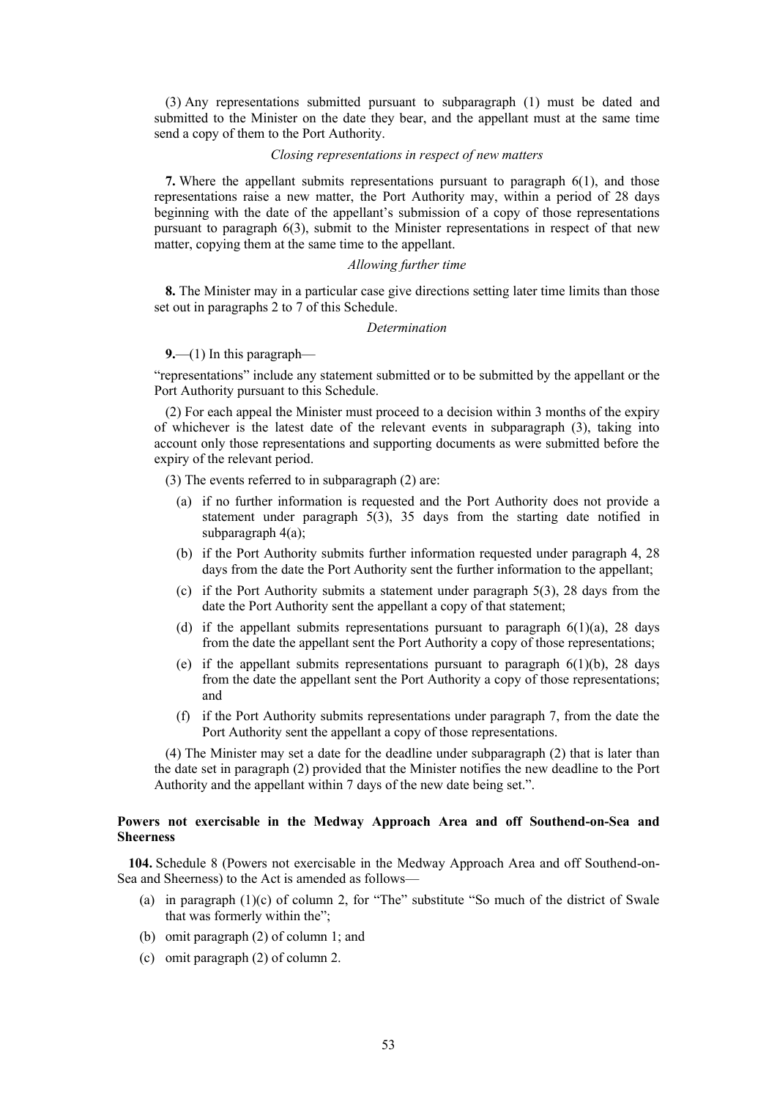(3) Any representations submitted pursuant to subparagraph (1) must be dated and submitted to the Minister on the date they bear, and the appellant must at the same time send a copy of them to the Port Authority.

#### *Closing representations in respect of new matters*

**7.** Where the appellant submits representations pursuant to paragraph 6(1), and those representations raise a new matter, the Port Authority may, within a period of 28 days beginning with the date of the appellant's submission of a copy of those representations pursuant to paragraph 6(3), submit to the Minister representations in respect of that new matter, copying them at the same time to the appellant.

# *Allowing further time*

**8.** The Minister may in a particular case give directions setting later time limits than those set out in paragraphs 2 to 7 of this Schedule.

#### *Determination*

**9.**—(1) In this paragraph—

"representations" include any statement submitted or to be submitted by the appellant or the Port Authority pursuant to this Schedule.

(2) For each appeal the Minister must proceed to a decision within 3 months of the expiry of whichever is the latest date of the relevant events in subparagraph (3), taking into account only those representations and supporting documents as were submitted before the expiry of the relevant period.

(3) The events referred to in subparagraph (2) are:

- (a) if no further information is requested and the Port Authority does not provide a statement under paragraph 5(3), 35 days from the starting date notified in subparagraph 4(a);
- (b) if the Port Authority submits further information requested under paragraph 4, 28 days from the date the Port Authority sent the further information to the appellant;
- (c) if the Port Authority submits a statement under paragraph 5(3), 28 days from the date the Port Authority sent the appellant a copy of that statement;
- (d) if the appellant submits representations pursuant to paragraph  $6(1)(a)$ , 28 days from the date the appellant sent the Port Authority a copy of those representations;
- (e) if the appellant submits representations pursuant to paragraph  $6(1)(b)$ , 28 days from the date the appellant sent the Port Authority a copy of those representations; and
- (f) if the Port Authority submits representations under paragraph 7, from the date the Port Authority sent the appellant a copy of those representations.

(4) The Minister may set a date for the deadline under subparagraph (2) that is later than the date set in paragraph (2) provided that the Minister notifies the new deadline to the Port Authority and the appellant within 7 days of the new date being set.".

# **Powers not exercisable in the Medway Approach Area and off Southend-on-Sea and Sheerness**

**104.** Schedule 8 (Powers not exercisable in the Medway Approach Area and off Southend-on-Sea and Sheerness) to the Act is amended as follows—

- (a) in paragraph  $(1)(c)$  of column 2, for "The" substitute "So much of the district of Swale that was formerly within the";
- (b) omit paragraph (2) of column 1; and
- (c) omit paragraph (2) of column 2.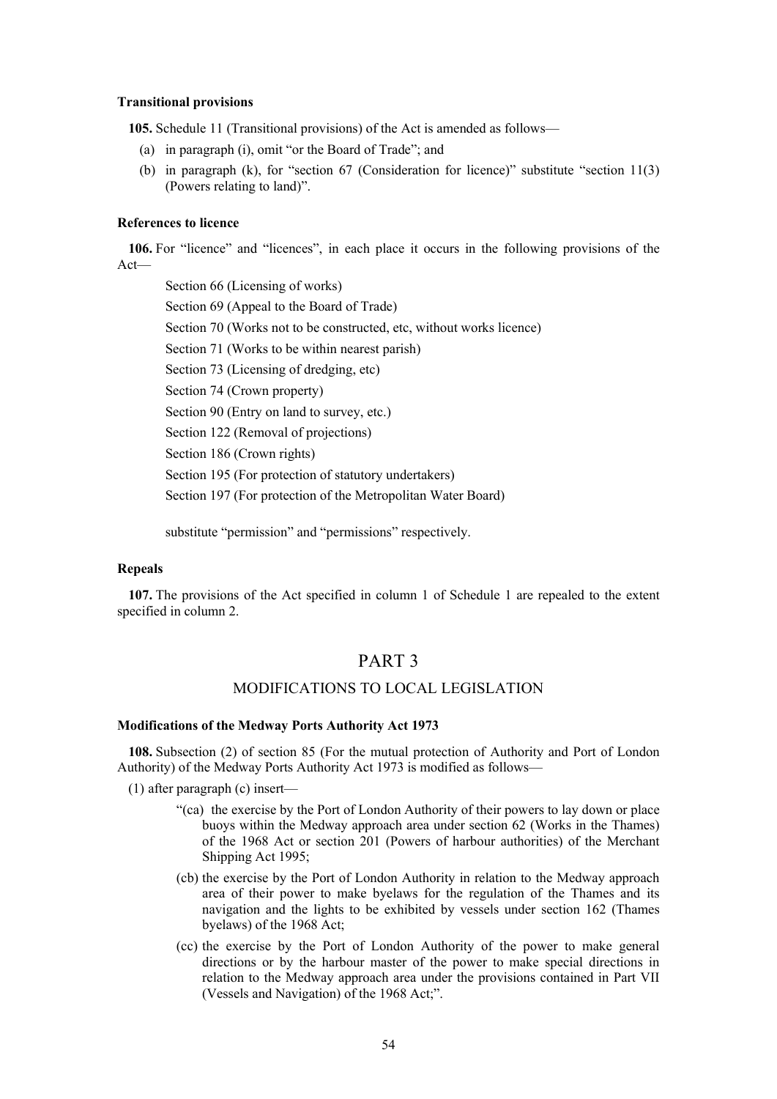#### **Transitional provisions**

**105.** Schedule 11 (Transitional provisions) of the Act is amended as follows—

- (a) in paragraph (i), omit "or the Board of Trade"; and
- (b) in paragraph (k), for "section 67 (Consideration for licence)" substitute "section 11(3) (Powers relating to land)".

# **References to licence**

**106.** For "licence" and "licences", in each place it occurs in the following provisions of the Act—

Section 66 (Licensing of works) Section 69 (Appeal to the Board of Trade) Section 70 (Works not to be constructed, etc, without works licence) Section 71 (Works to be within nearest parish) Section 73 (Licensing of dredging, etc) Section 74 (Crown property) Section 90 (Entry on land to survey, etc.) Section 122 (Removal of projections) Section 186 (Crown rights) Section 195 (For protection of statutory undertakers) Section 197 (For protection of the Metropolitan Water Board)

substitute "permission" and "permissions" respectively.

## **Repeals**

<span id="page-53-0"></span>**107.** The provisions of the Act specified in column 1 of Schedule 1 are repealed to the extent specified in column 2.

# PART 3

# MODIFICATIONS TO LOCAL LEGISLATION

#### **Modifications of the Medway Ports Authority Act 1973**

**108.** Subsection (2) of section 85 (For the mutual protection of Authority and Port of London Authority) of the Medway Ports Authority Act 1973 is modified as follows—

(1) after paragraph (c) insert—

- "(ca) the exercise by the Port of London Authority of their powers to lay down or place buoys within the Medway approach area under section 62 (Works in the Thames) of the 1968 Act or section 201 (Powers of harbour authorities) of the Merchant Shipping Act 1995;
- (cb) the exercise by the Port of London Authority in relation to the Medway approach area of their power to make byelaws for the regulation of the Thames and its navigation and the lights to be exhibited by vessels under section 162 (Thames byelaws) of the 1968 Act;
- (cc) the exercise by the Port of London Authority of the power to make general directions or by the harbour master of the power to make special directions in relation to the Medway approach area under the provisions contained in Part VII (Vessels and Navigation) of the 1968 Act;".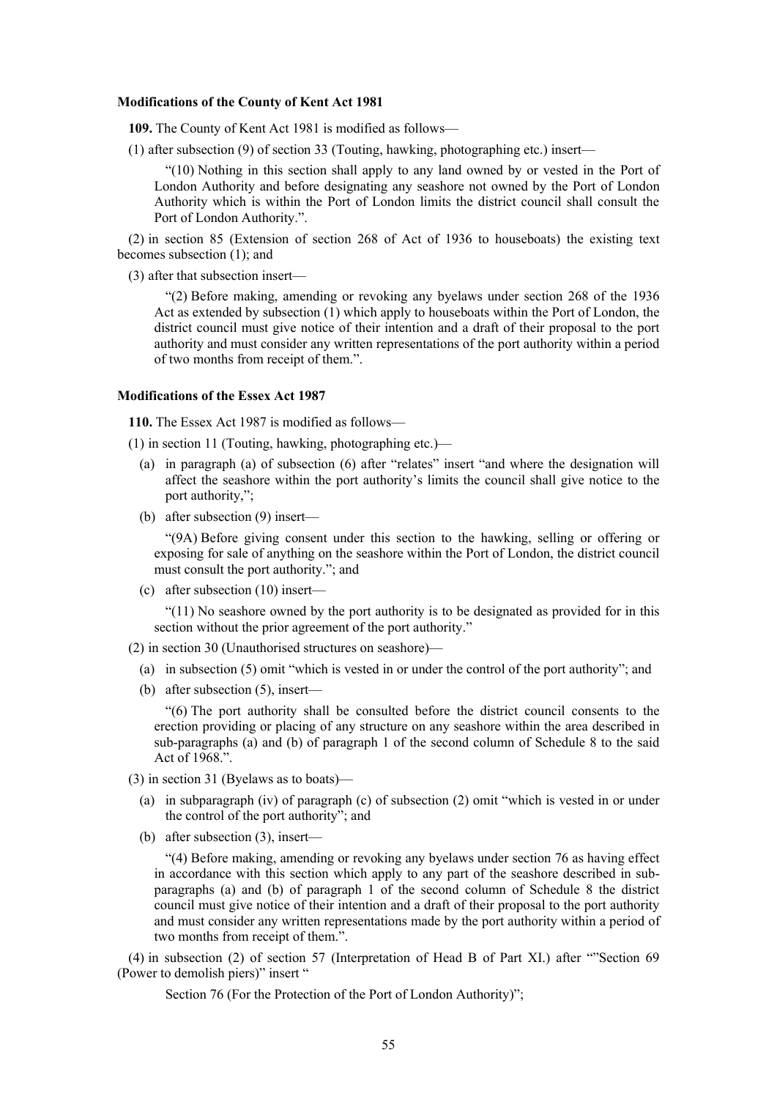#### **Modifications of the County of Kent Act 1981**

**109.** The County of Kent Act 1981 is modified as follows—

(1) after subsection (9) of section 33 (Touting, hawking, photographing etc.) insert—

"(10) Nothing in this section shall apply to any land owned by or vested in the Port of London Authority and before designating any seashore not owned by the Port of London Authority which is within the Port of London limits the district council shall consult the Port of London Authority.".

(2) in section 85 (Extension of section 268 of Act of 1936 to houseboats) the existing text becomes subsection (1); and

(3) after that subsection insert—

"(2) Before making, amending or revoking any byelaws under section 268 of the 1936 Act as extended by subsection (1) which apply to houseboats within the Port of London, the district council must give notice of their intention and a draft of their proposal to the port authority and must consider any written representations of the port authority within a period of two months from receipt of them.".

#### **Modifications of the Essex Act 1987**

**110.** The Essex Act 1987 is modified as follows—

(1) in section 11 (Touting, hawking, photographing etc.)—

- (a) in paragraph (a) of subsection (6) after "relates" insert "and where the designation will affect the seashore within the port authority's limits the council shall give notice to the port authority,";
- (b) after subsection (9) insert—

"(9A) Before giving consent under this section to the hawking, selling or offering or exposing for sale of anything on the seashore within the Port of London, the district council must consult the port authority."; and

(c) after subsection (10) insert—

 $(11)$  No seashore owned by the port authority is to be designated as provided for in this section without the prior agreement of the port authority."

(2) in section 30 (Unauthorised structures on seashore)—

- (a) in subsection (5) omit "which is vested in or under the control of the port authority"; and
- (b) after subsection (5), insert—

"(6) The port authority shall be consulted before the district council consents to the erection providing or placing of any structure on any seashore within the area described in sub-paragraphs (a) and (b) of paragraph 1 of the second column of Schedule 8 to the said Act of 1968.".

- (3) in section 31 (Byelaws as to boats)—
	- (a) in subparagraph (iv) of paragraph (c) of subsection (2) omit "which is vested in or under the control of the port authority"; and
	- (b) after subsection (3), insert—

"(4) Before making, amending or revoking any byelaws under section 76 as having effect in accordance with this section which apply to any part of the seashore described in subparagraphs (a) and (b) of paragraph 1 of the second column of Schedule 8 the district council must give notice of their intention and a draft of their proposal to the port authority and must consider any written representations made by the port authority within a period of two months from receipt of them.".

(4) in subsection (2) of section 57 (Interpretation of Head B of Part XI.) after ""Section 69 (Power to demolish piers)" insert "

Section 76 (For the Protection of the Port of London Authority)";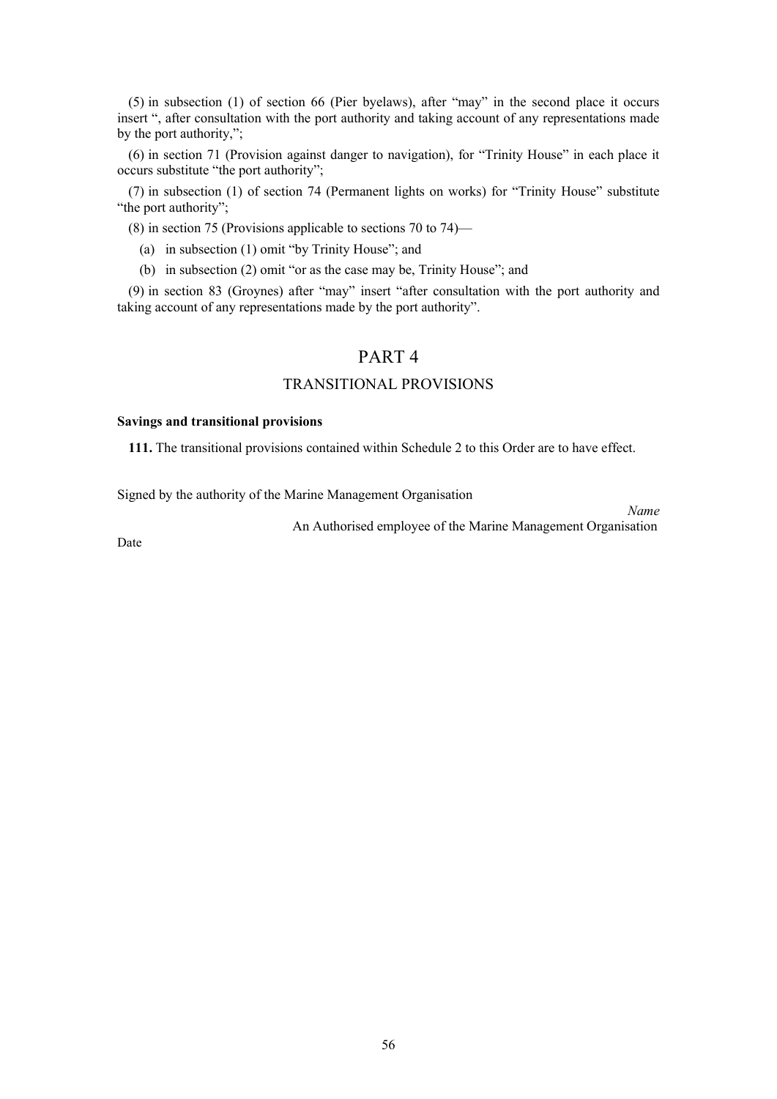(5) in subsection (1) of section 66 (Pier byelaws), after "may" in the second place it occurs insert ", after consultation with the port authority and taking account of any representations made by the port authority,";

(6) in section 71 (Provision against danger to navigation), for "Trinity House" in each place it occurs substitute "the port authority";

(7) in subsection (1) of section 74 (Permanent lights on works) for "Trinity House" substitute "the port authority";

(8) in section 75 (Provisions applicable to sections 70 to 74)—

- (a) in subsection (1) omit "by Trinity House"; and
- (b) in subsection (2) omit "or as the case may be, Trinity House"; and

(9) in section 83 (Groynes) after "may" insert "after consultation with the port authority and taking account of any representations made by the port authority".

# PART 4

# TRANSITIONAL PROVISIONS

# **Savings and transitional provisions**

<span id="page-55-0"></span>**111.** The transitional provisions contained within Schedule 2 to this Order are to have effect.

Signed by the authority of the Marine Management Organisation

An Authorised employee of the Marine Management Organisation

*Name*

Date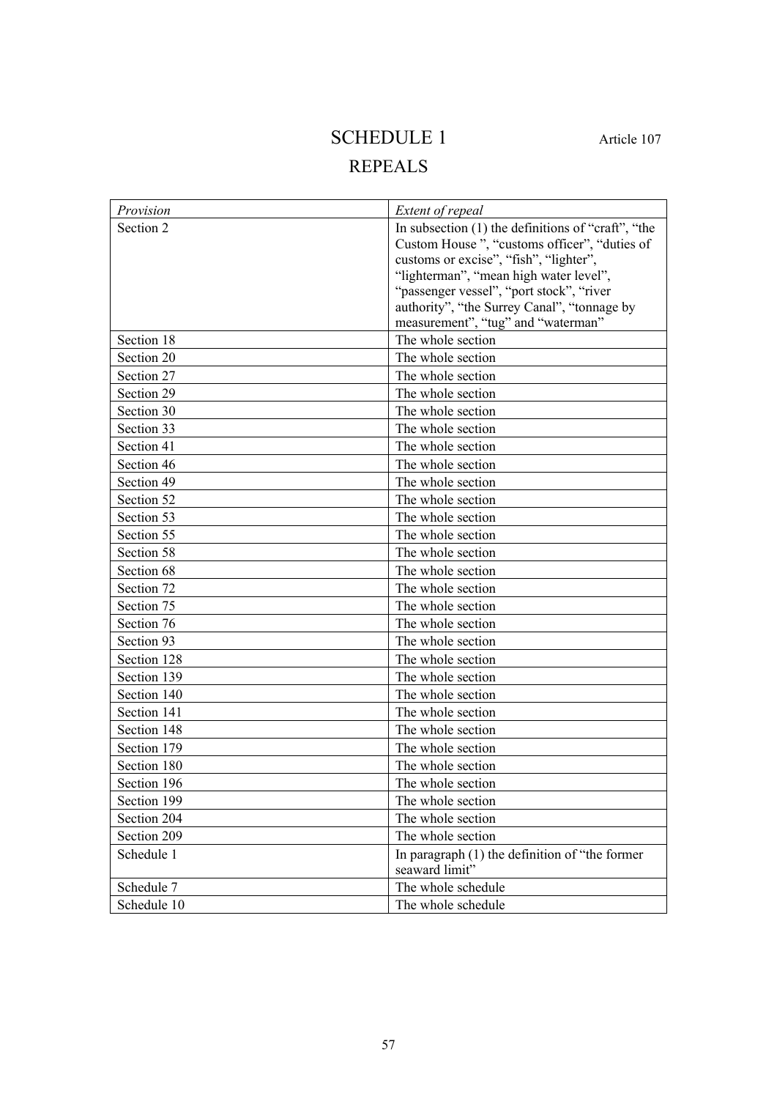# SCHEDULE 1 Article [107](#page-53-0)

# REPEALS

| Provision   | Extent of repeal                                     |
|-------------|------------------------------------------------------|
| Section 2   | In subsection $(1)$ the definitions of "craft", "the |
|             | Custom House", "customs officer", "duties of         |
|             | customs or excise", "fish", "lighter",               |
|             | "lighterman", "mean high water level",               |
|             | "passenger vessel", "port stock", "river             |
|             | authority", "the Surrey Canal", "tonnage by          |
|             | measurement", "tug" and "waterman"                   |
| Section 18  | The whole section                                    |
| Section 20  | The whole section                                    |
| Section 27  | The whole section                                    |
| Section 29  | The whole section                                    |
| Section 30  | The whole section                                    |
| Section 33  | The whole section                                    |
| Section 41  | The whole section                                    |
| Section 46  | The whole section                                    |
| Section 49  | The whole section                                    |
| Section 52  | The whole section                                    |
| Section 53  | The whole section                                    |
| Section 55  | The whole section                                    |
| Section 58  | The whole section                                    |
| Section 68  | The whole section                                    |
| Section 72  | The whole section                                    |
| Section 75  | The whole section                                    |
| Section 76  | The whole section                                    |
| Section 93  | The whole section                                    |
| Section 128 | The whole section                                    |
| Section 139 | The whole section                                    |
| Section 140 | The whole section                                    |
| Section 141 | The whole section                                    |
| Section 148 | The whole section                                    |
| Section 179 | The whole section                                    |
| Section 180 | The whole section                                    |
| Section 196 | The whole section                                    |
| Section 199 | The whole section                                    |
| Section 204 | The whole section                                    |
| Section 209 | The whole section                                    |
| Schedule 1  | In paragraph $(1)$ the definition of "the former"    |
|             | seaward limit"                                       |
| Schedule 7  | The whole schedule                                   |
| Schedule 10 | The whole schedule                                   |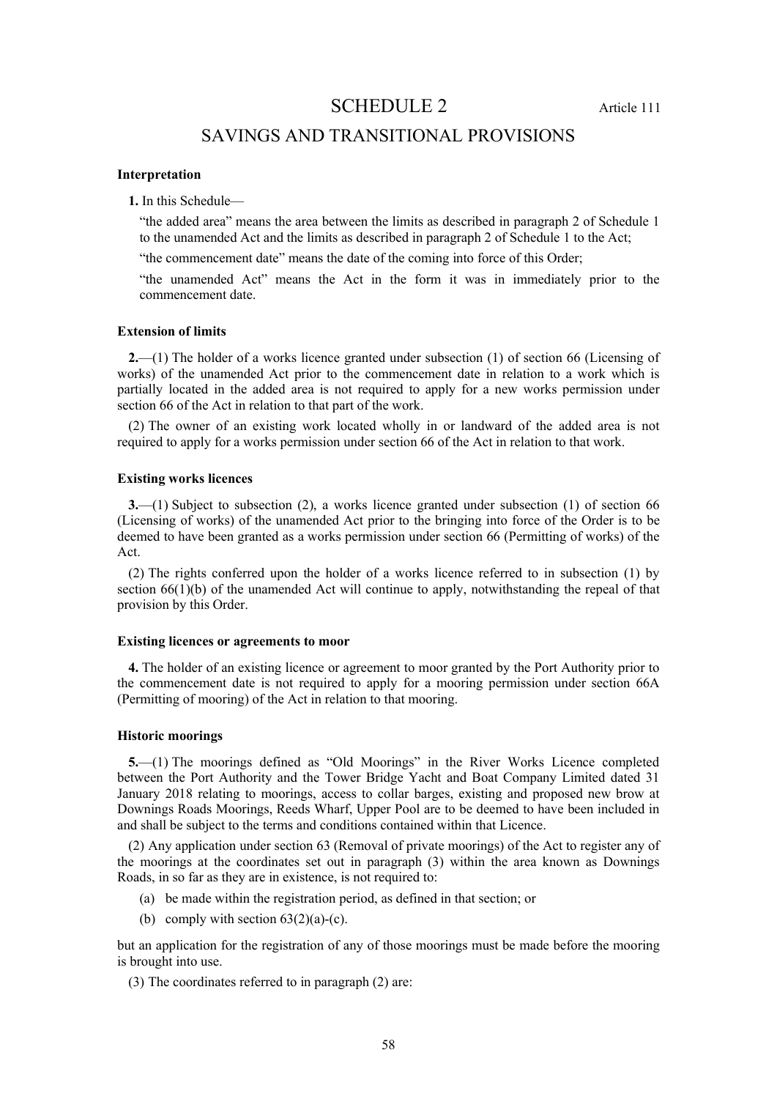SCHEDULE 2 Article [111](#page-55-0)

# SAVINGS AND TRANSITIONAL PROVISIONS

# **Interpretation**

**1.** In this Schedule—

"the added area" means the area between the limits as described in paragraph 2 of Schedule 1 to the unamended Act and the limits as described in paragraph 2 of Schedule 1 to the Act;

"the commencement date" means the date of the coming into force of this Order;

"the unamended Act" means the Act in the form it was in immediately prior to the commencement date.

## **Extension of limits**

**2.**—(1) The holder of a works licence granted under subsection (1) of section 66 (Licensing of works) of the unamended Act prior to the commencement date in relation to a work which is partially located in the added area is not required to apply for a new works permission under section 66 of the Act in relation to that part of the work.

(2) The owner of an existing work located wholly in or landward of the added area is not required to apply for a works permission under section 66 of the Act in relation to that work.

# **Existing works licences**

**3.**—(1) Subject to subsection (2), a works licence granted under subsection (1) of section 66 (Licensing of works) of the unamended Act prior to the bringing into force of the Order is to be deemed to have been granted as a works permission under section 66 (Permitting of works) of the Act.

(2) The rights conferred upon the holder of a works licence referred to in subsection (1) by section  $66(1)(b)$  of the unamended Act will continue to apply, notwithstanding the repeal of that provision by this Order.

#### **Existing licences or agreements to moor**

**4.** The holder of an existing licence or agreement to moor granted by the Port Authority prior to the commencement date is not required to apply for a mooring permission under section 66A (Permitting of mooring) of the Act in relation to that mooring.

### **Historic moorings**

**5.**—(1) The moorings defined as "Old Moorings" in the River Works Licence completed between the Port Authority and the Tower Bridge Yacht and Boat Company Limited dated 31 January 2018 relating to moorings, access to collar barges, existing and proposed new brow at Downings Roads Moorings, Reeds Wharf, Upper Pool are to be deemed to have been included in and shall be subject to the terms and conditions contained within that Licence.

(2) Any application under section 63 (Removal of private moorings) of the Act to register any of the moorings at the coordinates set out in paragraph (3) within the area known as Downings Roads, in so far as they are in existence, is not required to:

- (a) be made within the registration period, as defined in that section; or
- (b) comply with section  $63(2)(a)-(c)$ .

but an application for the registration of any of those moorings must be made before the mooring is brought into use.

(3) The coordinates referred to in paragraph (2) are: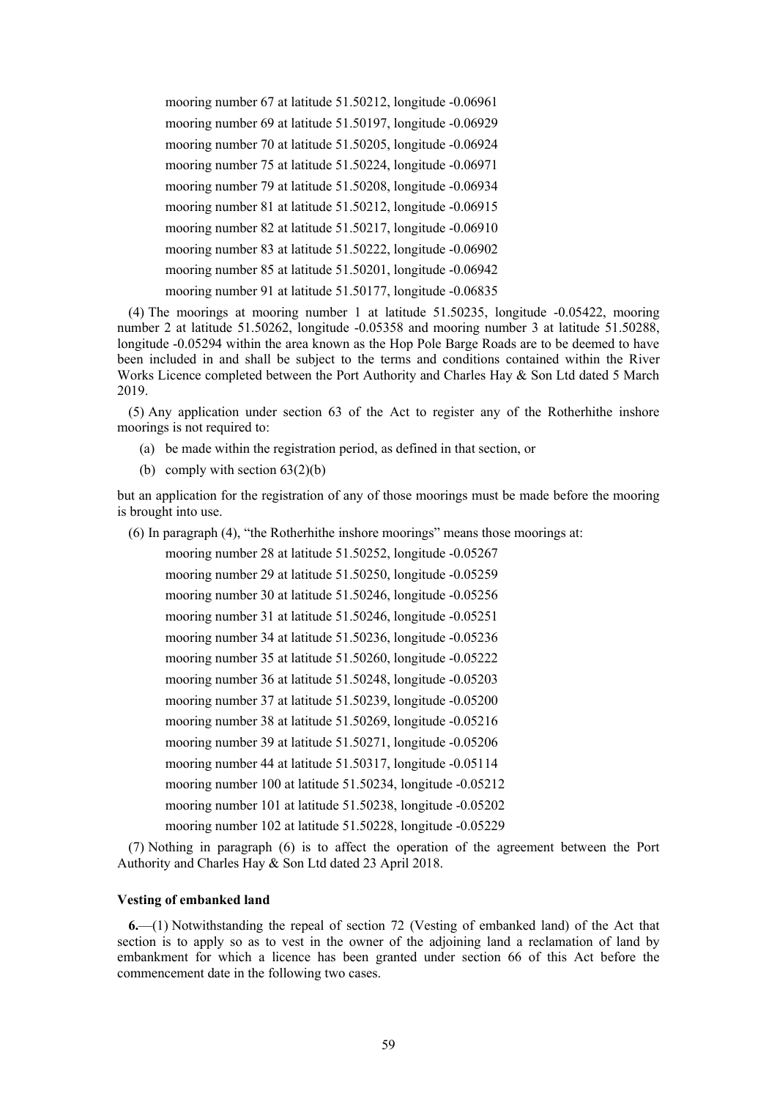mooring number 67 at latitude 51.50212, longitude -0.06961 mooring number 69 at latitude 51.50197, longitude -0.06929 mooring number 70 at latitude 51.50205, longitude -0.06924 mooring number 75 at latitude 51.50224, longitude -0.06971 mooring number 79 at latitude 51.50208, longitude -0.06934 mooring number 81 at latitude 51.50212, longitude -0.06915 mooring number 82 at latitude 51.50217, longitude -0.06910 mooring number 83 at latitude 51.50222, longitude -0.06902 mooring number 85 at latitude 51.50201, longitude -0.06942 mooring number 91 at latitude 51.50177, longitude -0.06835

(4) The moorings at mooring number 1 at latitude 51.50235, longitude -0.05422, mooring number 2 at latitude 51.50262, longitude -0.05358 and mooring number 3 at latitude 51.50288, longitude -0.05294 within the area known as the Hop Pole Barge Roads are to be deemed to have been included in and shall be subject to the terms and conditions contained within the River Works Licence completed between the Port Authority and Charles Hay & Son Ltd dated 5 March 2019.

(5) Any application under section 63 of the Act to register any of the Rotherhithe inshore moorings is not required to:

- (a) be made within the registration period, as defined in that section, or
- (b) comply with section  $63(2)(b)$

but an application for the registration of any of those moorings must be made before the mooring is brought into use.

(6) In paragraph (4), "the Rotherhithe inshore moorings" means those moorings at:

mooring number 28 at latitude 51.50252, longitude -0.05267 mooring number 29 at latitude 51.50250, longitude -0.05259 mooring number 30 at latitude 51.50246, longitude -0.05256 mooring number 31 at latitude 51.50246, longitude -0.05251 mooring number 34 at latitude 51.50236, longitude -0.05236 mooring number 35 at latitude 51.50260, longitude -0.05222 mooring number 36 at latitude 51.50248, longitude -0.05203 mooring number 37 at latitude 51.50239, longitude -0.05200 mooring number 38 at latitude 51.50269, longitude -0.05216 mooring number 39 at latitude 51.50271, longitude -0.05206 mooring number 44 at latitude 51.50317, longitude -0.05114 mooring number 100 at latitude 51.50234, longitude -0.05212 mooring number 101 at latitude 51.50238, longitude -0.05202 mooring number 102 at latitude 51.50228, longitude -0.05229

(7) Nothing in paragraph (6) is to affect the operation of the agreement between the Port Authority and Charles Hay & Son Ltd dated 23 April 2018.

# **Vesting of embanked land**

**6.**—(1) Notwithstanding the repeal of section 72 (Vesting of embanked land) of the Act that section is to apply so as to vest in the owner of the adjoining land a reclamation of land by embankment for which a licence has been granted under section 66 of this Act before the commencement date in the following two cases.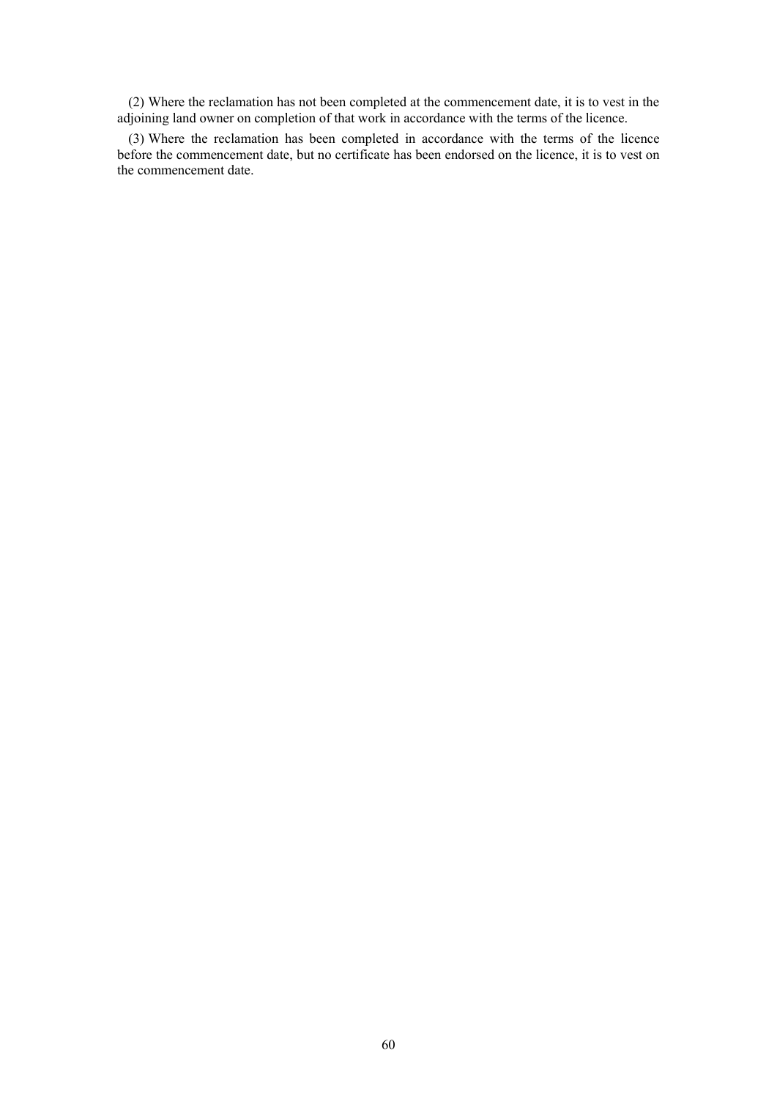(2) Where the reclamation has not been completed at the commencement date, it is to vest in the adjoining land owner on completion of that work in accordance with the terms of the licence.

(3) Where the reclamation has been completed in accordance with the terms of the licence before the commencement date, but no certificate has been endorsed on the licence, it is to vest on the commencement date.